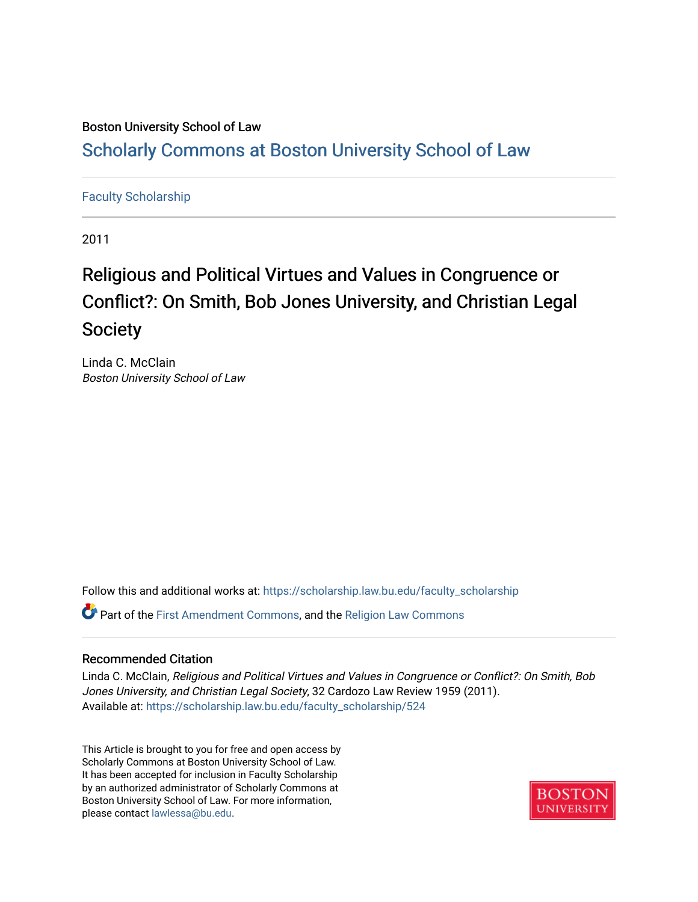# Boston University School of Law

# [Scholarly Commons at Boston University School of Law](https://scholarship.law.bu.edu/)

# [Faculty Scholarship](https://scholarship.law.bu.edu/faculty_scholarship)

2011

# Religious and Political Virtues and Values in Congruence or Conflict?: On Smith, Bob Jones University, and Christian Legal Society

Linda C. McClain Boston University School of Law

Follow this and additional works at: [https://scholarship.law.bu.edu/faculty\\_scholarship](https://scholarship.law.bu.edu/faculty_scholarship?utm_source=scholarship.law.bu.edu%2Ffaculty_scholarship%2F524&utm_medium=PDF&utm_campaign=PDFCoverPages) Part of the [First Amendment Commons,](http://network.bepress.com/hgg/discipline/1115?utm_source=scholarship.law.bu.edu%2Ffaculty_scholarship%2F524&utm_medium=PDF&utm_campaign=PDFCoverPages) and the [Religion Law Commons](http://network.bepress.com/hgg/discipline/872?utm_source=scholarship.law.bu.edu%2Ffaculty_scholarship%2F524&utm_medium=PDF&utm_campaign=PDFCoverPages) 

## Recommended Citation

Linda C. McClain, Religious and Political Virtues and Values in Congruence or Conflict?: On Smith, Bob Jones University, and Christian Legal Society, 32 Cardozo Law Review 1959 (2011). Available at: [https://scholarship.law.bu.edu/faculty\\_scholarship/524](https://scholarship.law.bu.edu/faculty_scholarship/524?utm_source=scholarship.law.bu.edu%2Ffaculty_scholarship%2F524&utm_medium=PDF&utm_campaign=PDFCoverPages) 

This Article is brought to you for free and open access by Scholarly Commons at Boston University School of Law. It has been accepted for inclusion in Faculty Scholarship by an authorized administrator of Scholarly Commons at Boston University School of Law. For more information, please contact [lawlessa@bu.edu](mailto:lawlessa@bu.edu).

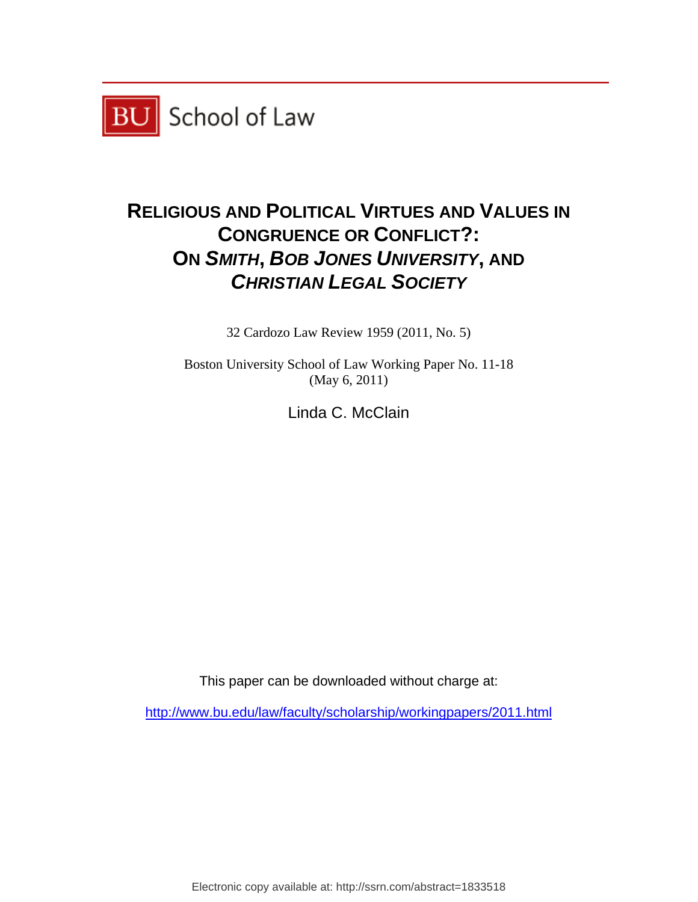

# **RELIGIOUS AND POLITICAL VIRTUES AND VALUES IN CONGRUENCE OR CONFLICT?: ON** *SMITH***,** *BOB JONES UNIVERSITY***, AND**  *CHRISTIAN LEGAL SOCIETY*

32 Cardozo Law Review 1959 (2011, No. 5)

Boston University School of Law Working Paper No. 11-18 (May 6, 2011)

Linda C. McClain

This paper can be downloaded without charge at:

http://www.bu.edu/law/faculty/scholarship/workingpapers/2011.html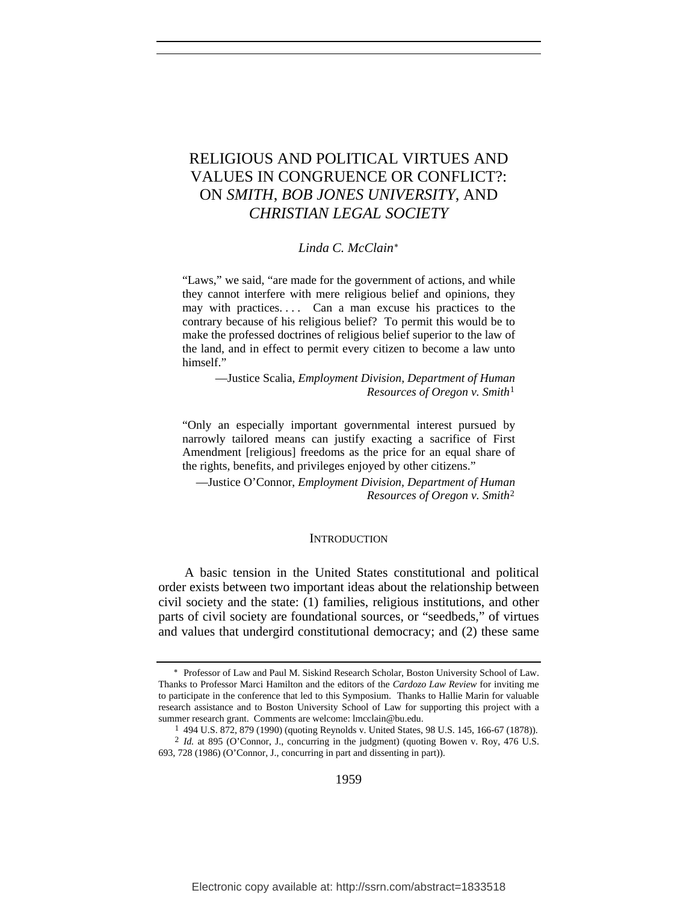# RELIGIOUS AND POLITICAL VIRTUES AND VALUES IN CONGRUENCE OR CONFLICT?: ON *SMITH*, *BOB JONES UNIVERSITY*, AND *CHRISTIAN LEGAL SOCIETY*

#### *Linda C. McClain*[∗](#page-2-0)

"Laws," we said, "are made for the government of actions, and while they cannot interfere with mere religious belief and opinions, they may with practices.... Can a man excuse his practices to the contrary because of his religious belief? To permit this would be to make the professed doctrines of religious belief superior to the law of the land, and in effect to permit every citizen to become a law unto himself."

—Justice Scalia, *Employment Division, Department of Human Resources of Oregon v. Smith*[1](#page-2-1)

"Only an especially important governmental interest pursued by narrowly tailored means can justify exacting a sacrifice of First Amendment [religious] freedoms as the price for an equal share of the rights, benefits, and privileges enjoyed by other citizens."

—Justice O'Connor, *Employment Division, Department of Human Resources of Oregon v. Smith*[2](#page-2-2)

#### **INTRODUCTION**

A basic tension in the United States constitutional and political order exists between two important ideas about the relationship between civil society and the state: (1) families, religious institutions, and other parts of civil society are foundational sources, or "seedbeds," of virtues and values that undergird constitutional democracy; and (2) these same

<span id="page-2-0"></span><sup>∗</sup> Professor of Law and Paul M. Siskind Research Scholar, Boston University School of Law. Thanks to Professor Marci Hamilton and the editors of the *Cardozo Law Review* for inviting me to participate in the conference that led to this Symposium. Thanks to Hallie Marin for valuable research assistance and to Boston University School of Law for supporting this project with a summer research grant. Comments are welcome: lmcclain@bu.edu.

<span id="page-2-2"></span><span id="page-2-1"></span><sup>1 494</sup> U.S. 872, 879 (1990) (quoting Reynolds v. United States, 98 U.S. 145, 166-67 (1878)). 2 *Id.* at 895 (O'Connor, J., concurring in the judgment) (quoting Bowen v. Roy, 476 U.S. 693, 728 (1986) (O'Connor, J., concurring in part and dissenting in part)).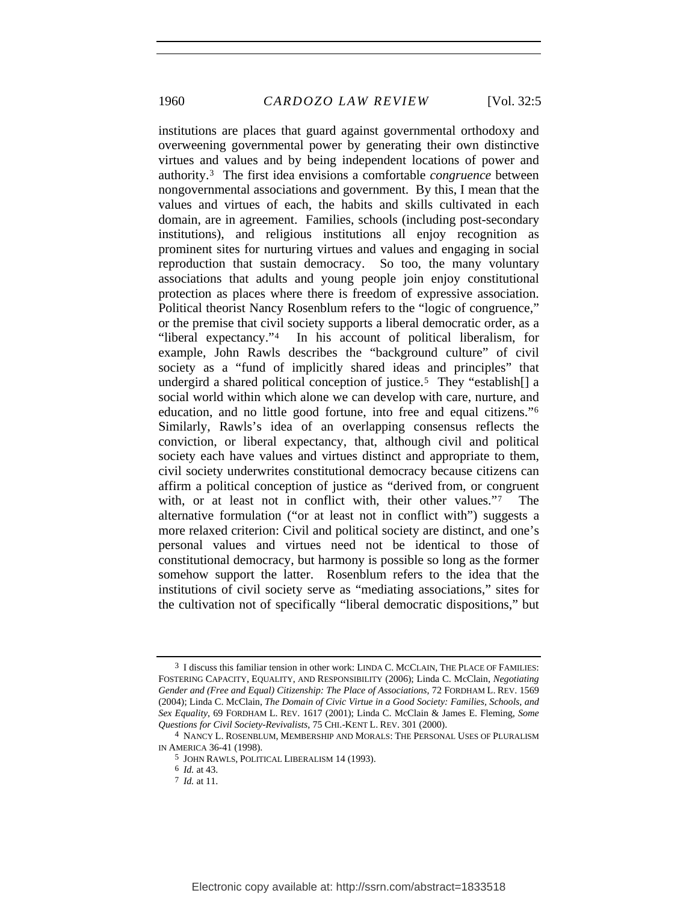1960 *CARDOZO LAW REVIEW* [Vol. 32:5

institutions are places that guard against governmental orthodoxy and overweening governmental power by generating their own distinctive virtues and values and by being independent locations of power and authority.[3](#page-3-0) The first idea envisions a comfortable *congruence* between nongovernmental associations and government. By this, I mean that the values and virtues of each, the habits and skills cultivated in each domain, are in agreement. Families, schools (including post-secondary institutions), and religious institutions all enjoy recognition as prominent sites for nurturing virtues and values and engaging in social reproduction that sustain democracy. So too, the many voluntary associations that adults and young people join enjoy constitutional protection as places where there is freedom of expressive association. Political theorist Nancy Rosenblum refers to the "logic of congruence," or the premise that civil society supports a liberal democratic order, as a "liberal expectancy."[4](#page-3-1) In his account of political liberalism, for example, John Rawls describes the "background culture" of civil society as a "fund of implicitly shared ideas and principles" that undergird a shared political conception of justice.<sup>[5](#page-3-2)</sup> They "establish<sup>[]</sup> a social world within which alone we can develop with care, nurture, and education, and no little good fortune, into free and equal citizens."[6](#page-3-3) Similarly, Rawls's idea of an overlapping consensus reflects the conviction, or liberal expectancy, that, although civil and political society each have values and virtues distinct and appropriate to them, civil society underwrites constitutional democracy because citizens can affirm a political conception of justice as "derived from, or congruent with, or at least not in conflict with, their other values."[7](#page-3-4) The alternative formulation ("or at least not in conflict with") suggests a more relaxed criterion: Civil and political society are distinct, and one's personal values and virtues need not be identical to those of constitutional democracy, but harmony is possible so long as the former somehow support the latter. Rosenblum refers to the idea that the institutions of civil society serve as "mediating associations," sites for the cultivation not of specifically "liberal democratic dispositions," but

<span id="page-3-0"></span><sup>3</sup> I discuss this familiar tension in other work: LINDA C. MCCLAIN, THE PLACE OF FAMILIES: FOSTERING CAPACITY, EQUALITY, AND RESPONSIBILITY (2006); Linda C. McClain, *Negotiating Gender and (Free and Equal) Citizenship: The Place of Associations*, 72 FORDHAM L. REV. 1569 (2004); Linda C. McClain, *The Domain of Civic Virtue in a Good Society: Families, Schools, and Sex Equality*, 69 FORDHAM L. REV. 1617 (2001); Linda C. McClain & James E. Fleming, *Some Questions for Civil Society-Revivalists*, 75 CHI.-KENT L. REV. 301 (2000).

<span id="page-3-4"></span><span id="page-3-3"></span><span id="page-3-2"></span><span id="page-3-1"></span><sup>4</sup> NANCY L. ROSENBLUM, MEMBERSHIP AND MORALS: THE PERSONAL USES OF PLURALISM IN AMERICA 36-41 (1998).

<sup>5</sup> JOHN RAWLS, POLITICAL LIBERALISM 14 (1993).

<sup>6</sup> *Id.* at 43.

<sup>7</sup> *Id.* at 11.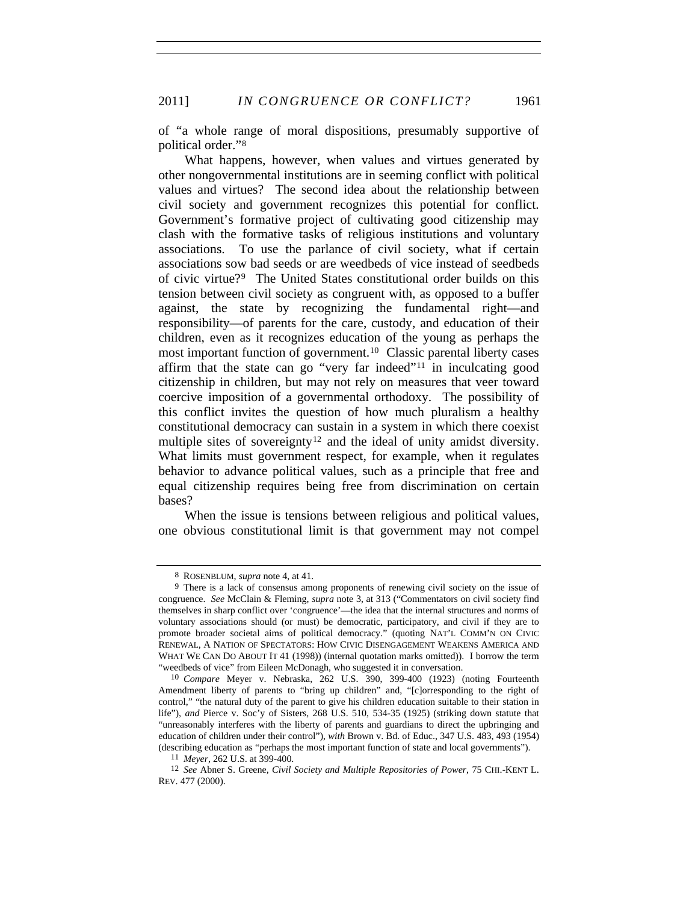2011] *IN CONGRUENCE OR CONFLICT?* 1961

of "a whole range of moral dispositions, presumably supportive of political order."[8](#page-4-0)

What happens, however, when values and virtues generated by other nongovernmental institutions are in seeming conflict with political values and virtues? The second idea about the relationship between civil society and government recognizes this potential for conflict. Government's formative project of cultivating good citizenship may clash with the formative tasks of religious institutions and voluntary associations. To use the parlance of civil society, what if certain associations sow bad seeds or are weedbeds of vice instead of seedbeds of civic virtue?[9](#page-4-1) The United States constitutional order builds on this tension between civil society as congruent with, as opposed to a buffer against, the state by recognizing the fundamental right—and responsibility—of parents for the care, custody, and education of their children, even as it recognizes education of the young as perhaps the most important function of government.[10](#page-4-2) Classic parental liberty cases affirm that the state can go "very far indeed"[11](#page-4-3) in inculcating good citizenship in children, but may not rely on measures that veer toward coercive imposition of a governmental orthodoxy. The possibility of this conflict invites the question of how much pluralism a healthy constitutional democracy can sustain in a system in which there coexist multiple sites of sovereignty<sup>[12](#page-4-4)</sup> and the ideal of unity amidst diversity. What limits must government respect, for example, when it regulates behavior to advance political values, such as a principle that free and equal citizenship requires being free from discrimination on certain bases?

When the issue is tensions between religious and political values, one obvious constitutional limit is that government may not compel

<sup>8</sup> ROSENBLUM, *supra* note 4, at 41.

<span id="page-4-1"></span><span id="page-4-0"></span><sup>9</sup> There is a lack of consensus among proponents of renewing civil society on the issue of congruence. *See* McClain & Fleming, *supra* note 3, at 313 ("Commentators on civil society find themselves in sharp conflict over 'congruence'—the idea that the internal structures and norms of voluntary associations should (or must) be democratic, participatory, and civil if they are to promote broader societal aims of political democracy." (quoting NAT'L COMM'N ON CIVIC RENEWAL, A NATION OF SPECTATORS: HOW CIVIC DISENGAGEMENT WEAKENS AMERICA AND WHAT WE CAN DO ABOUT IT 41 (1998)) (internal quotation marks omitted)). I borrow the term "weedbeds of vice" from Eileen McDonagh, who suggested it in conversation.

<span id="page-4-2"></span><sup>10</sup> *Compare* Meyer v. Nebraska, 262 U.S. 390, 399-400 (1923) (noting Fourteenth Amendment liberty of parents to "bring up children" and, "[c]orresponding to the right of control," "the natural duty of the parent to give his children education suitable to their station in life"), *and* Pierce v. Soc'y of Sisters, 268 U.S. 510, 534-35 (1925) (striking down statute that "unreasonably interferes with the liberty of parents and guardians to direct the upbringing and education of children under their control"), *with* Brown v. Bd. of Educ., 347 U.S. 483, 493 (1954) (describing education as "perhaps the most important function of state and local governments").

<sup>11</sup> *Meyer*, 262 U.S. at 399-400.

<span id="page-4-4"></span><span id="page-4-3"></span><sup>12</sup> *See* Abner S. Greene, *Civil Society and Multiple Repositories of Power*, 75 CHI.-KENT L. REV. 477 (2000).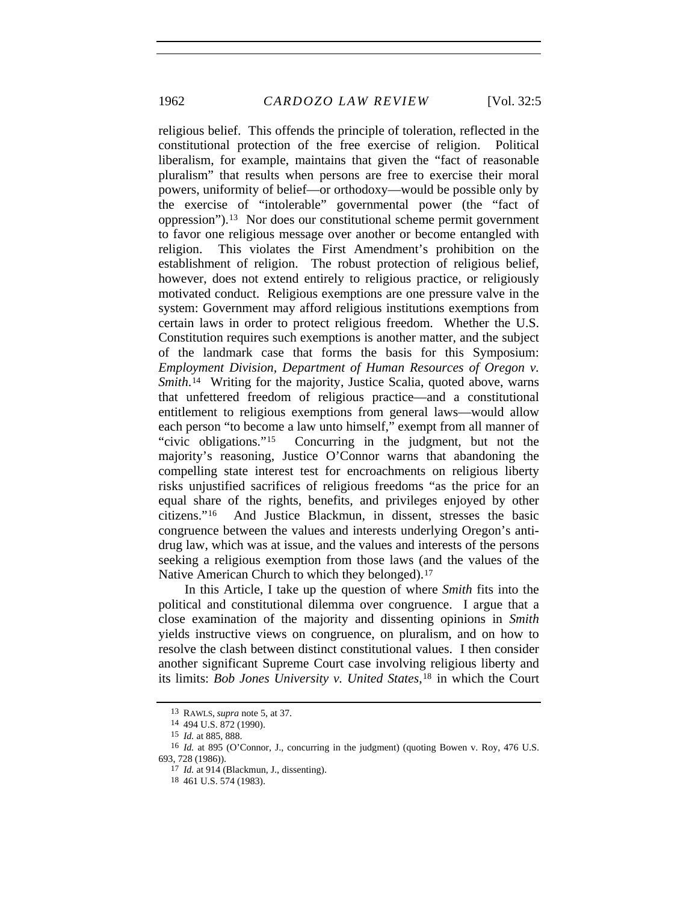1962 *CARDOZO LAW REVIEW* [Vol. 32:5

religious belief. This offends the principle of toleration, reflected in the constitutional protection of the free exercise of religion. Political liberalism, for example, maintains that given the "fact of reasonable pluralism" that results when persons are free to exercise their moral powers, uniformity of belief—or orthodoxy—would be possible only by the exercise of "intolerable" governmental power (the "fact of oppression").[13](#page-5-0) Nor does our constitutional scheme permit government to favor one religious message over another or become entangled with religion. This violates the First Amendment's prohibition on the establishment of religion. The robust protection of religious belief, however, does not extend entirely to religious practice, or religiously motivated conduct. Religious exemptions are one pressure valve in the system: Government may afford religious institutions exemptions from certain laws in order to protect religious freedom. Whether the U.S. Constitution requires such exemptions is another matter, and the subject of the landmark case that forms the basis for this Symposium: *Employment Division, Department of Human Resources of Oregon v. Smith*.<sup>[14](#page-5-1)</sup> Writing for the majority, Justice Scalia, quoted above, warns that unfettered freedom of religious practice—and a constitutional entitlement to religious exemptions from general laws—would allow each person "to become a law unto himself," exempt from all manner of "civic obligations."[15](#page-5-2) Concurring in the judgment, but not the majority's reasoning, Justice O'Connor warns that abandoning the compelling state interest test for encroachments on religious liberty risks unjustified sacrifices of religious freedoms "as the price for an equal share of the rights, benefits, and privileges enjoyed by other citizens."[16](#page-5-3) And Justice Blackmun, in dissent, stresses the basic congruence between the values and interests underlying Oregon's antidrug law, which was at issue, and the values and interests of the persons seeking a religious exemption from those laws (and the values of the Native American Church to which they belonged).<sup>[17](#page-5-4)</sup>

In this Article, I take up the question of where *Smith* fits into the political and constitutional dilemma over congruence. I argue that a close examination of the majority and dissenting opinions in *Smith*  yields instructive views on congruence, on pluralism, and on how to resolve the clash between distinct constitutional values. I then consider another significant Supreme Court case involving religious liberty and its limits: *Bob Jones University v. United States*,[18](#page-5-5) in which the Court

<sup>13</sup> RAWLS, *supra* note 5, at 37.

<sup>14 494</sup> U.S. 872 (1990).

<sup>15</sup> *Id.* at 885, 888.

<span id="page-5-5"></span><span id="page-5-4"></span><span id="page-5-3"></span><span id="page-5-2"></span><span id="page-5-1"></span><span id="page-5-0"></span><sup>16</sup> *Id.* at 895 (O'Connor, J., concurring in the judgment) (quoting Bowen v. Roy, 476 U.S. 693, 728 (1986)).

<sup>17</sup> *Id.* at 914 (Blackmun, J., dissenting).

<sup>18 461</sup> U.S. 574 (1983).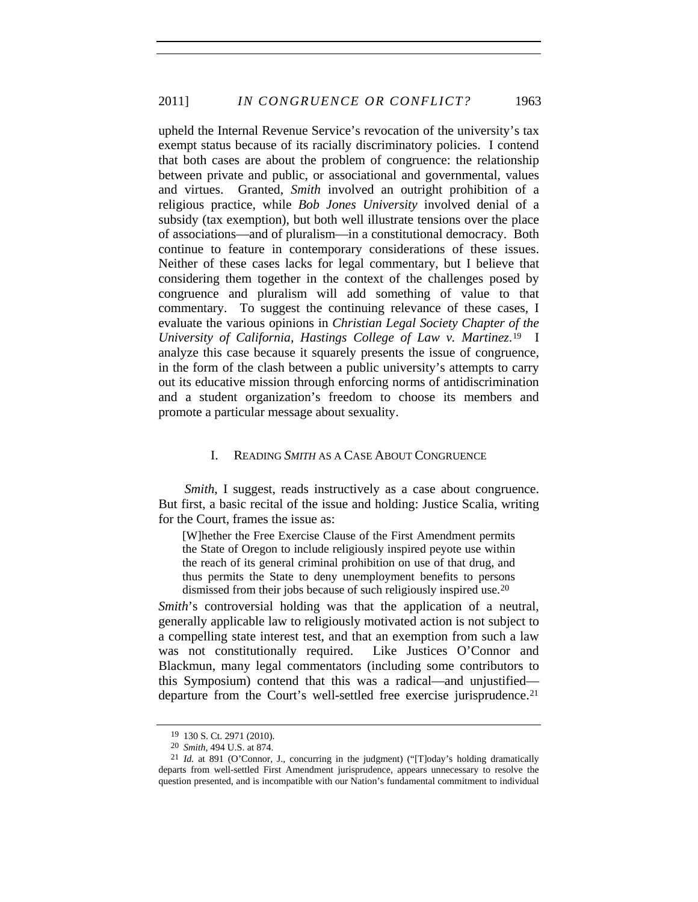upheld the Internal Revenue Service's revocation of the university's tax exempt status because of its racially discriminatory policies. I contend that both cases are about the problem of congruence: the relationship between private and public, or associational and governmental, values and virtues. Granted, *Smith* involved an outright prohibition of a religious practice, while *Bob Jones University* involved denial of a subsidy (tax exemption), but both well illustrate tensions over the place of associations—and of pluralism—in a constitutional democracy. Both continue to feature in contemporary considerations of these issues. Neither of these cases lacks for legal commentary, but I believe that considering them together in the context of the challenges posed by congruence and pluralism will add something of value to that commentary. To suggest the continuing relevance of these cases, I evaluate the various opinions in *Christian Legal Society Chapter of the University of California, Hastings College of Law v. Martinez*.[19](#page-6-0) I analyze this case because it squarely presents the issue of congruence, in the form of the clash between a public university's attempts to carry out its educative mission through enforcing norms of antidiscrimination and a student organization's freedom to choose its members and promote a particular message about sexuality.

#### I. READING *SMITH* AS A CASE ABOUT CONGRUENCE

*Smith*, I suggest, reads instructively as a case about congruence. But first, a basic recital of the issue and holding: Justice Scalia, writing for the Court, frames the issue as:

[W]hether the Free Exercise Clause of the First Amendment permits the State of Oregon to include religiously inspired peyote use within the reach of its general criminal prohibition on use of that drug, and thus permits the State to deny unemployment benefits to persons dismissed from their jobs because of such religiously inspired use.[20](#page-6-1)

*Smith*'s controversial holding was that the application of a neutral, generally applicable law to religiously motivated action is not subject to a compelling state interest test, and that an exemption from such a law was not constitutionally required. Like Justices O'Connor and Blackmun, many legal commentators (including some contributors to this Symposium) contend that this was a radical—and unjustified— departure from the Court's well-settled free exercise jurisprudence.<sup>[21](#page-6-2)</sup>

<sup>19 130</sup> S. Ct. 2971 (2010).

<sup>20</sup> *Smith*, 494 U.S. at 874.

<span id="page-6-2"></span><span id="page-6-1"></span><span id="page-6-0"></span><sup>21</sup> *Id.* at 891 (O'Connor, J., concurring in the judgment) ("[T]oday's holding dramatically departs from well-settled First Amendment jurisprudence, appears unnecessary to resolve the question presented, and is incompatible with our Nation's fundamental commitment to individual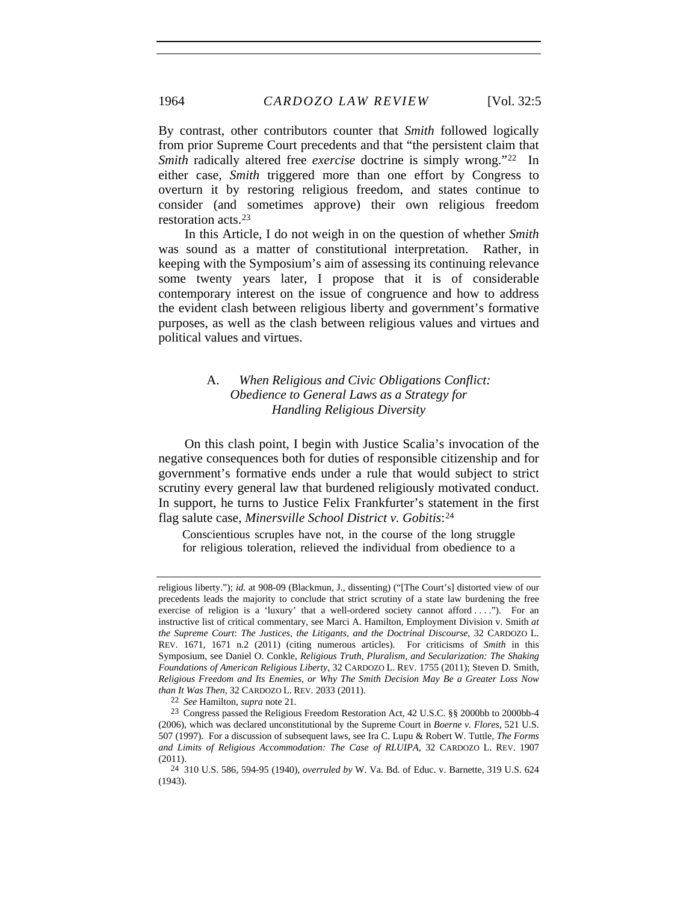By contrast, other contributors counter that *Smith* followed logically from prior Supreme Court precedents and that "the persistent claim that *Smith* radically altered free *exercise* doctrine is simply wrong."[22](#page-7-0) In either case, *Smith* triggered more than one effort by Congress to overturn it by restoring religious freedom, and states continue to consider (and sometimes approve) their own religious freedom restoration acts.[23](#page-7-1)

In this Article, I do not weigh in on the question of whether *Smith* was sound as a matter of constitutional interpretation. Rather, in keeping with the Symposium's aim of assessing its continuing relevance some twenty years later, I propose that it is of considerable contemporary interest on the issue of congruence and how to address the evident clash between religious liberty and government's formative purposes, as well as the clash between religious values and virtues and political values and virtues.

# A. *When Religious and Civic Obligations Conflict: Obedience to General Laws as a Strategy for Handling Religious Diversity*

On this clash point, I begin with Justice Scalia's invocation of the negative consequences both for duties of responsible citizenship and for government's formative ends under a rule that would subject to strict scrutiny every general law that burdened religiously motivated conduct. In support, he turns to Justice Felix Frankfurter's statement in the first flag salute case, *Minersville School District v. Gobitis*:[24](#page-7-2)

Conscientious scruples have not, in the course of the long struggle for religious toleration, relieved the individual from obedience to a

22 *See* Hamilton, *supra* note 21.

religious liberty."); *id.* at 908-09 (Blackmun, J., dissenting) ("[The Court's] distorted view of our precedents leads the majority to conclude that strict scrutiny of a state law burdening the free exercise of religion is a 'luxury' that a well-ordered society cannot afford . . . ."). For an instructive list of critical commentary, see Marci A. Hamilton, Employment Division v. Smith *at the Supreme Court*: *The Justices, the Litigants, and the Doctrinal Discourse*, 32 CARDOZO L. REV. 1671, 1671 n.2 (2011) (citing numerous articles). For criticisms of *Smith* in this Symposium, see Daniel O. Conkle, *Religious Truth, Pluralism, and Secularization: The Shaking Foundations of American Religious Liberty*, 32 CARDOZO L. REV. 1755 (2011); Steven D. Smith, *Religious Freedom and Its Enemies, or Why The Smith Decision May Be a Greater Loss Now than It Was Then*, 32 CARDOZO L. REV. 2033 (2011).

<span id="page-7-1"></span><span id="page-7-0"></span><sup>23</sup> Congress passed the Religious Freedom Restoration Act, 42 U.S.C. §§ 2000bb to 2000bb-4 (2006), which was declared unconstitutional by the Supreme Court in *Boerne v. Flores*, 521 U.S. 507 (1997). For a discussion of subsequent laws, see Ira C. Lupu & Robert W. Tuttle, *The Forms and Limits of Religious Accommodation: The Case of RLUIPA*, 32 CARDOZO L. REV. 1907 (2011).

<span id="page-7-2"></span><sup>24 310</sup> U.S. 586, 594-95 (1940), *overruled by* W. Va. Bd. of Educ. v. Barnette, 319 U.S. 624 (1943).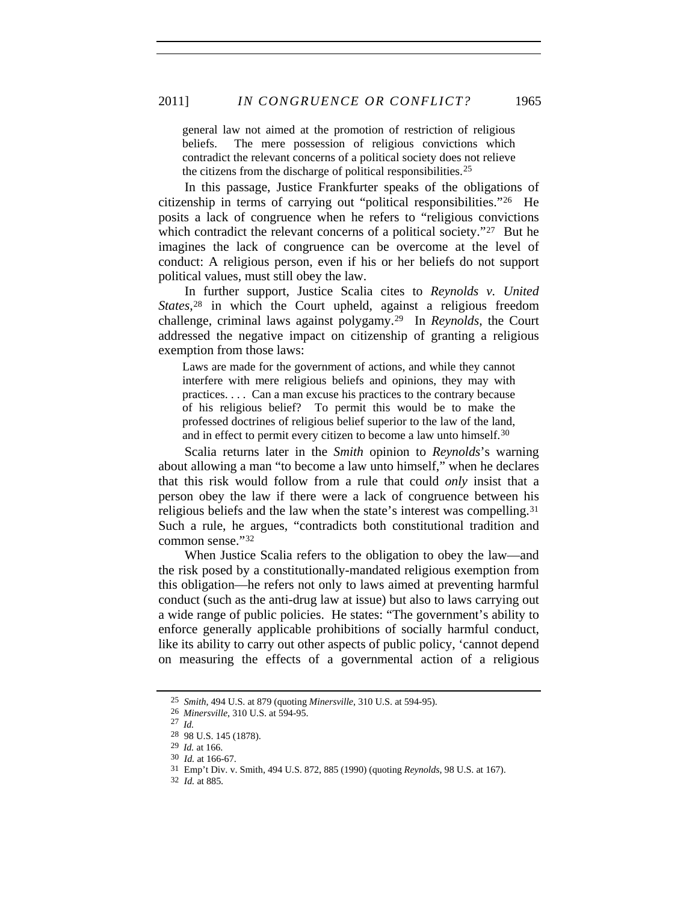general law not aimed at the promotion of restriction of religious beliefs. The mere possession of religious convictions which contradict the relevant concerns of a political society does not relieve the citizens from the discharge of political responsibilities.[25](#page-8-0)

In this passage, Justice Frankfurter speaks of the obligations of citizenship in terms of carrying out "political responsibilities."[26](#page-8-1) He posits a lack of congruence when he refers to "religious convictions which contradict the relevant concerns of a political society."<sup>[27](#page-8-2)</sup> But he imagines the lack of congruence can be overcome at the level of conduct: A religious person, even if his or her beliefs do not support political values, must still obey the law.

In further support, Justice Scalia cites to *Reynolds v. United States*,[28](#page-8-3) in which the Court upheld, against a religious freedom challenge, criminal laws against polygamy.[29](#page-8-4) In *Reynolds*, the Court addressed the negative impact on citizenship of granting a religious exemption from those laws:

Laws are made for the government of actions, and while they cannot interfere with mere religious beliefs and opinions, they may with practices. . . . Can a man excuse his practices to the contrary because of his religious belief? To permit this would be to make the professed doctrines of religious belief superior to the law of the land, and in effect to permit every citizen to become a law unto himself.[30](#page-8-5)

Scalia returns later in the *Smith* opinion to *Reynolds*'s warning about allowing a man "to become a law unto himself," when he declares that this risk would follow from a rule that could *only* insist that a person obey the law if there were a lack of congruence between his religious beliefs and the law when the state's interest was compelling.[31](#page-8-6) Such a rule, he argues, "contradicts both constitutional tradition and common sense."[32](#page-8-7)

When Justice Scalia refers to the obligation to obey the law—and the risk posed by a constitutionally-mandated religious exemption from this obligation—he refers not only to laws aimed at preventing harmful conduct (such as the anti-drug law at issue) but also to laws carrying out a wide range of public policies. He states: "The government's ability to enforce generally applicable prohibitions of socially harmful conduct, like its ability to carry out other aspects of public policy, 'cannot depend on measuring the effects of a governmental action of a religious

<span id="page-8-1"></span><span id="page-8-0"></span><sup>25</sup> *Smith*, 494 U.S. at 879 (quoting *Minersville*, 310 U.S. at 594-95).

<sup>26</sup> *Minersville*, 310 U.S. at 594-95.

<span id="page-8-2"></span><sup>27</sup> *Id.*

<span id="page-8-3"></span><sup>28 98</sup> U.S. 145 (1878).

<span id="page-8-4"></span><sup>29</sup> *Id.* at 166.

<span id="page-8-5"></span><sup>30</sup> *Id.* at 166-67.

<sup>31</sup> Emp't Div. v. Smith, 494 U.S. 872, 885 (1990) (quoting *Reynolds*, 98 U.S. at 167).

<span id="page-8-7"></span><span id="page-8-6"></span><sup>32</sup> *Id.* at 885.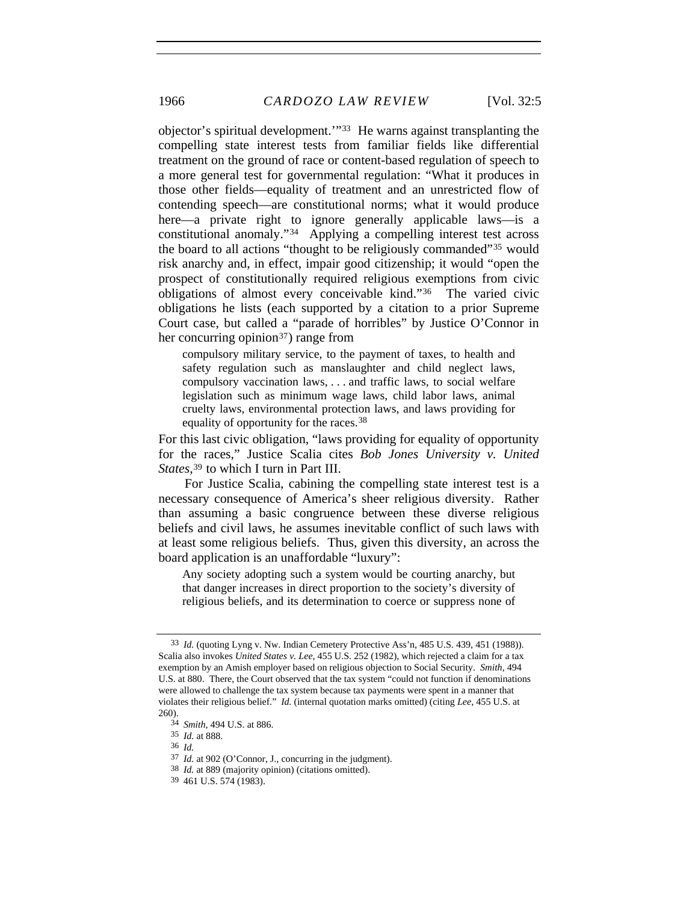objector's spiritual development.'"[33](#page-9-0) He warns against transplanting the compelling state interest tests from familiar fields like differential treatment on the ground of race or content-based regulation of speech to a more general test for governmental regulation: "What it produces in those other fields—equality of treatment and an unrestricted flow of contending speech—are constitutional norms; what it would produce here—a private right to ignore generally applicable laws—is a constitutional anomaly."[34](#page-9-1) Applying a compelling interest test across the board to all actions "thought to be religiously commanded"[35](#page-9-2) would risk anarchy and, in effect, impair good citizenship; it would "open the prospect of constitutionally required religious exemptions from civic obligations of almost every conceivable kind."[36](#page-9-3) The varied civic obligations he lists (each supported by a citation to a prior Supreme Court case, but called a "parade of horribles" by Justice O'Connor in her concurring opinion<sup>[37](#page-9-4)</sup>) range from

compulsory military service, to the payment of taxes, to health and safety regulation such as manslaughter and child neglect laws, compulsory vaccination laws, . . . and traffic laws, to social welfare legislation such as minimum wage laws, child labor laws, animal cruelty laws, environmental protection laws, and laws providing for equality of opportunity for the races.[38](#page-9-5)

For this last civic obligation, "laws providing for equality of opportunity for the races," Justice Scalia cites *Bob Jones University v. United States*,[39](#page-9-6) to which I turn in Part III.

For Justice Scalia, cabining the compelling state interest test is a necessary consequence of America's sheer religious diversity. Rather than assuming a basic congruence between these diverse religious beliefs and civil laws, he assumes inevitable conflict of such laws with at least some religious beliefs. Thus, given this diversity, an across the board application is an unaffordable "luxury":

Any society adopting such a system would be courting anarchy, but that danger increases in direct proportion to the society's diversity of religious beliefs, and its determination to coerce or suppress none of

<span id="page-9-0"></span><sup>33</sup> *Id.* (quoting Lyng v. Nw. Indian Cemetery Protective Ass'n, 485 U.S. 439, 451 (1988)). Scalia also invokes *United States v. Lee*, 455 U.S. 252 (1982), which rejected a claim for a tax exemption by an Amish employer based on religious objection to Social Security. *Smith*, 494 U.S. at 880. There, the Court observed that the tax system "could not function if denominations were allowed to challenge the tax system because tax payments were spent in a manner that violates their religious belief." *Id.* (internal quotation marks omitted) (citing *Lee*, 455 U.S. at 260).

<span id="page-9-1"></span><sup>34</sup> *Smith*, 494 U.S. at 886.

<sup>35</sup> *Id.* at 888.

<span id="page-9-4"></span><span id="page-9-3"></span><span id="page-9-2"></span><sup>36</sup> *Id.*

<span id="page-9-5"></span><sup>37</sup> *Id.* at 902 (O'Connor, J., concurring in the judgment).

<sup>38</sup> *Id.* at 889 (majority opinion) (citations omitted).

<span id="page-9-6"></span><sup>39 461</sup> U.S. 574 (1983).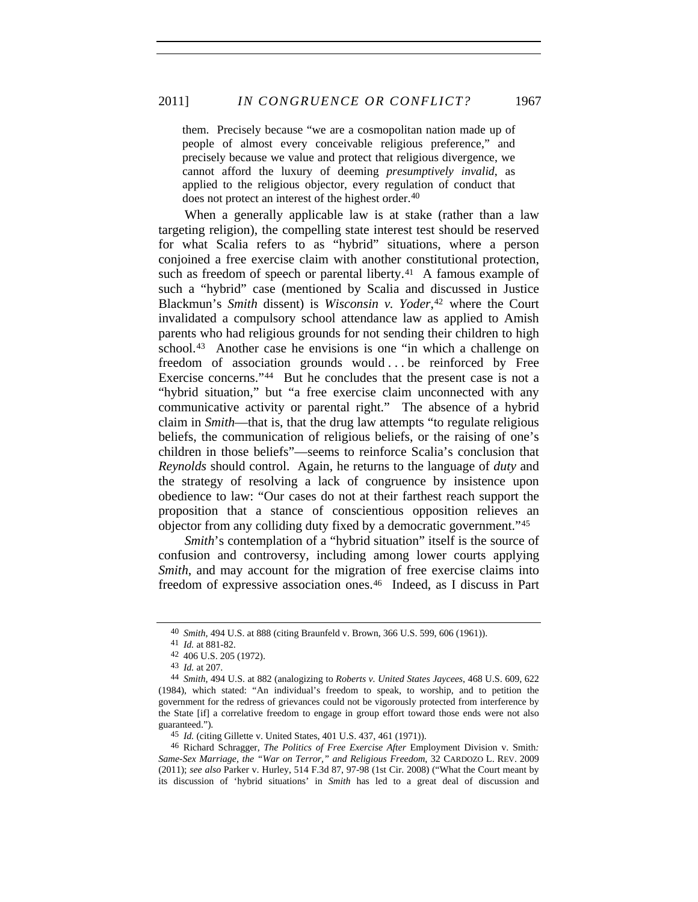them. Precisely because "we are a cosmopolitan nation made up of people of almost every conceivable religious preference," and precisely because we value and protect that religious divergence, we cannot afford the luxury of deeming *presumptively invalid*, as applied to the religious objector, every regulation of conduct that does not protect an interest of the highest order.<sup>[40](#page-10-0)</sup>

When a generally applicable law is at stake (rather than a law targeting religion), the compelling state interest test should be reserved for what Scalia refers to as "hybrid" situations, where a person conjoined a free exercise claim with another constitutional protection, such as freedom of speech or parental liberty.<sup>[41](#page-10-1)</sup> A famous example of such a "hybrid" case (mentioned by Scalia and discussed in Justice Blackmun's *Smith* dissent) is *Wisconsin v. Yoder*,<sup>[42](#page-10-2)</sup> where the Court invalidated a compulsory school attendance law as applied to Amish parents who had religious grounds for not sending their children to high school.<sup>[43](#page-10-3)</sup> Another case he envisions is one "in which a challenge on freedom of association grounds would ... be reinforced by Free Exercise concerns."[44](#page-10-4) But he concludes that the present case is not a "hybrid situation," but "a free exercise claim unconnected with any communicative activity or parental right." The absence of a hybrid claim in *Smith*—that is, that the drug law attempts "to regulate religious beliefs, the communication of religious beliefs, or the raising of one's children in those beliefs"—seems to reinforce Scalia's conclusion that *Reynolds* should control. Again, he returns to the language of *duty* and the strategy of resolving a lack of congruence by insistence upon obedience to law: "Our cases do not at their farthest reach support the proposition that a stance of conscientious opposition relieves an objector from any colliding duty fixed by a democratic government."[45](#page-10-5)

*Smith*'s contemplation of a "hybrid situation" itself is the source of confusion and controversy, including among lower courts applying *Smith*, and may account for the migration of free exercise claims into freedom of expressive association ones.[46](#page-10-6) Indeed, as I discuss in Part

<sup>40</sup> *Smith*, 494 U.S. at 888 (citing Braunfeld v. Brown, 366 U.S. 599, 606 (1961)).

<sup>41</sup> *Id.* at 881-82.

<sup>42 406</sup> U.S. 205 (1972).

<sup>43</sup> *Id.* at 207.

<span id="page-10-4"></span><span id="page-10-3"></span><span id="page-10-2"></span><span id="page-10-1"></span><span id="page-10-0"></span><sup>44</sup> *Smith*, 494 U.S. at 882 (analogizing to *Roberts v. United States Jaycees*, 468 U.S. 609, 622 (1984), which stated: "An individual's freedom to speak, to worship, and to petition the government for the redress of grievances could not be vigorously protected from interference by the State [if] a correlative freedom to engage in group effort toward those ends were not also guaranteed.").

<sup>45</sup> *Id.* (citing Gillette v. United States, 401 U.S. 437, 461 (1971)).

<span id="page-10-6"></span><span id="page-10-5"></span><sup>46</sup> Richard Schragger, *The Politics of Free Exercise After* Employment Division v. Smith*: Same-Sex Marriage, the "War on Terror," and Religious Freedom*, 32 CARDOZO L. REV. 2009 (2011); *see also* Parker v. Hurley, 514 F.3d 87, 97-98 (1st Cir. 2008) ("What the Court meant by its discussion of 'hybrid situations' in *Smith* has led to a great deal of discussion and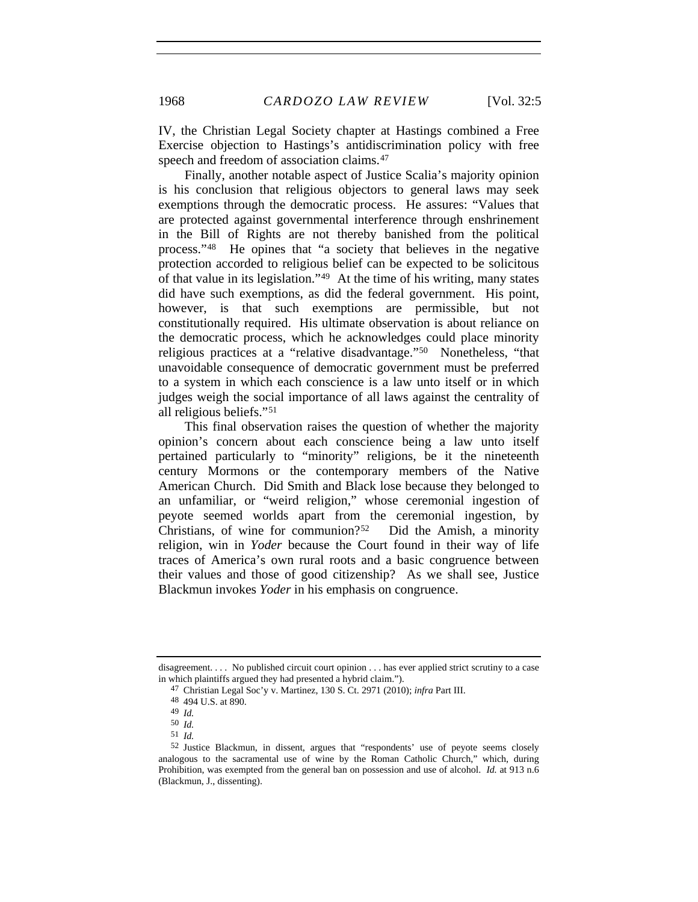IV, the Christian Legal Society chapter at Hastings combined a Free Exercise objection to Hastings's antidiscrimination policy with free speech and freedom of association claims.<sup>[47](#page-11-0)</sup>

Finally, another notable aspect of Justice Scalia's majority opinion is his conclusion that religious objectors to general laws may seek exemptions through the democratic process. He assures: "Values that are protected against governmental interference through enshrinement in the Bill of Rights are not thereby banished from the political process."[48](#page-11-1) He opines that "a society that believes in the negative protection accorded to religious belief can be expected to be solicitous of that value in its legislation."[49](#page-11-2) At the time of his writing, many states did have such exemptions, as did the federal government. His point, however, is that such exemptions are permissible, but not constitutionally required. His ultimate observation is about reliance on the democratic process, which he acknowledges could place minority religious practices at a "relative disadvantage."[50](#page-11-3) Nonetheless, "that unavoidable consequence of democratic government must be preferred to a system in which each conscience is a law unto itself or in which judges weigh the social importance of all laws against the centrality of all religious beliefs."[51](#page-11-4)

This final observation raises the question of whether the majority opinion's concern about each conscience being a law unto itself pertained particularly to "minority" religions, be it the nineteenth century Mormons or the contemporary members of the Native American Church. Did Smith and Black lose because they belonged to an unfamiliar, or "weird religion," whose ceremonial ingestion of peyote seemed worlds apart from the ceremonial ingestion, by Christians, of wine for communion?[52](#page-11-5) Did the Amish, a minority religion, win in *Yoder* because the Court found in their way of life traces of America's own rural roots and a basic congruence between their values and those of good citizenship? As we shall see, Justice Blackmun invokes *Yoder* in his emphasis on congruence.

<span id="page-11-1"></span><span id="page-11-0"></span>disagreement. . . . No published circuit court opinion . . . has ever applied strict scrutiny to a case in which plaintiffs argued they had presented a hybrid claim.").

<sup>47</sup> Christian Legal Soc'y v. Martinez, 130 S. Ct. 2971 (2010); *infra* Part III.

<sup>48 494</sup> U.S. at 890.

<sup>49</sup> *Id.*

<sup>50</sup> *Id.*

<sup>51</sup> *Id.*

<span id="page-11-5"></span><span id="page-11-4"></span><span id="page-11-3"></span><span id="page-11-2"></span><sup>52</sup> Justice Blackmun, in dissent, argues that "respondents' use of peyote seems closely analogous to the sacramental use of wine by the Roman Catholic Church," which, during Prohibition, was exempted from the general ban on possession and use of alcohol. *Id.* at 913 n.6 (Blackmun, J., dissenting).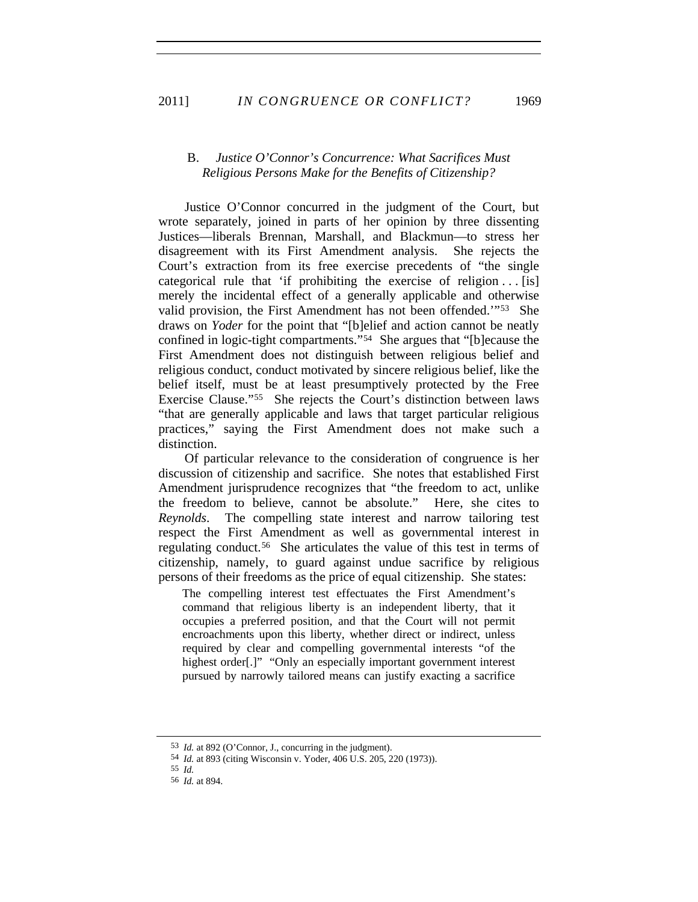## B. *Justice O'Connor's Concurrence: What Sacrifices Must Religious Persons Make for the Benefits of Citizenship?*

Justice O'Connor concurred in the judgment of the Court, but wrote separately, joined in parts of her opinion by three dissenting Justices—liberals Brennan, Marshall, and Blackmun—to stress her disagreement with its First Amendment analysis. She rejects the Court's extraction from its free exercise precedents of "the single categorical rule that 'if prohibiting the exercise of religion  $\dots$  [is] merely the incidental effect of a generally applicable and otherwise valid provision, the First Amendment has not been offended.'"[53](#page-12-0) She draws on *Yoder* for the point that "[b]elief and action cannot be neatly confined in logic-tight compartments."[54](#page-12-1) She argues that "[b]ecause the First Amendment does not distinguish between religious belief and religious conduct, conduct motivated by sincere religious belief, like the belief itself, must be at least presumptively protected by the Free Exercise Clause."[55](#page-12-2) She rejects the Court's distinction between laws "that are generally applicable and laws that target particular religious practices," saying the First Amendment does not make such a distinction.

Of particular relevance to the consideration of congruence is her discussion of citizenship and sacrifice. She notes that established First Amendment jurisprudence recognizes that "the freedom to act, unlike the freedom to believe, cannot be absolute." Here, she cites to *Reynolds*. The compelling state interest and narrow tailoring test respect the First Amendment as well as governmental interest in regulating conduct.[56](#page-12-3) She articulates the value of this test in terms of citizenship, namely, to guard against undue sacrifice by religious persons of their freedoms as the price of equal citizenship. She states:

The compelling interest test effectuates the First Amendment's command that religious liberty is an independent liberty, that it occupies a preferred position, and that the Court will not permit encroachments upon this liberty, whether direct or indirect, unless required by clear and compelling governmental interests "of the highest order[.]" "Only an especially important government interest pursued by narrowly tailored means can justify exacting a sacrifice

<span id="page-12-0"></span><sup>53</sup> *Id.* at 892 (O'Connor, J., concurring in the judgment).

<span id="page-12-1"></span><sup>54</sup> *Id.* at 893 (citing Wisconsin v. Yoder, 406 U.S. 205, 220 (1973)).

<sup>55</sup> *Id.*

<span id="page-12-3"></span><span id="page-12-2"></span><sup>56</sup> *Id.* at 894.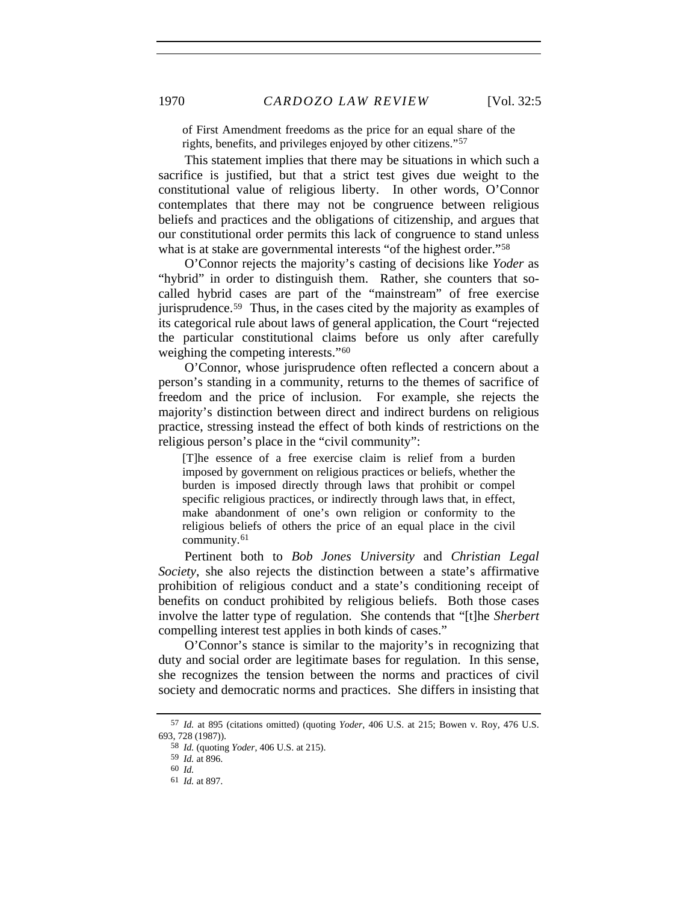of First Amendment freedoms as the price for an equal share of the rights, benefits, and privileges enjoyed by other citizens."[57](#page-13-0)

This statement implies that there may be situations in which such a sacrifice is justified, but that a strict test gives due weight to the constitutional value of religious liberty. In other words, O'Connor contemplates that there may not be congruence between religious beliefs and practices and the obligations of citizenship, and argues that our constitutional order permits this lack of congruence to stand unless what is at stake are governmental interests "of the highest order."<sup>[58](#page-13-1)</sup>

O'Connor rejects the majority's casting of decisions like *Yoder* as "hybrid" in order to distinguish them. Rather, she counters that socalled hybrid cases are part of the "mainstream" of free exercise jurisprudence.[59](#page-13-2) Thus, in the cases cited by the majority as examples of its categorical rule about laws of general application, the Court "rejected the particular constitutional claims before us only after carefully weighing the competing interests."[60](#page-13-3)

O'Connor, whose jurisprudence often reflected a concern about a person's standing in a community, returns to the themes of sacrifice of freedom and the price of inclusion. For example, she rejects the majority's distinction between direct and indirect burdens on religious practice, stressing instead the effect of both kinds of restrictions on the religious person's place in the "civil community":

[T]he essence of a free exercise claim is relief from a burden imposed by government on religious practices or beliefs, whether the burden is imposed directly through laws that prohibit or compel specific religious practices, or indirectly through laws that, in effect, make abandonment of one's own religion or conformity to the religious beliefs of others the price of an equal place in the civil community.[61](#page-13-4)

Pertinent both to *Bob Jones University* and *Christian Legal Society*, she also rejects the distinction between a state's affirmative prohibition of religious conduct and a state's conditioning receipt of benefits on conduct prohibited by religious beliefs. Both those cases involve the latter type of regulation. She contends that "[t]he *Sherbert* compelling interest test applies in both kinds of cases."

O'Connor's stance is similar to the majority's in recognizing that duty and social order are legitimate bases for regulation. In this sense, she recognizes the tension between the norms and practices of civil society and democratic norms and practices. She differs in insisting that

<span id="page-13-4"></span><span id="page-13-3"></span><span id="page-13-2"></span><span id="page-13-1"></span><span id="page-13-0"></span><sup>57</sup> *Id.* at 895 (citations omitted) (quoting *Yoder*, 406 U.S. at 215; Bowen v. Roy, 476 U.S. 693, 728 (1987)).

<sup>58</sup> *Id.* (quoting *Yoder*, 406 U.S. at 215).

<sup>59</sup> *Id.* at 896.

<sup>60</sup> *Id.*

<sup>61</sup> *Id.* at 897.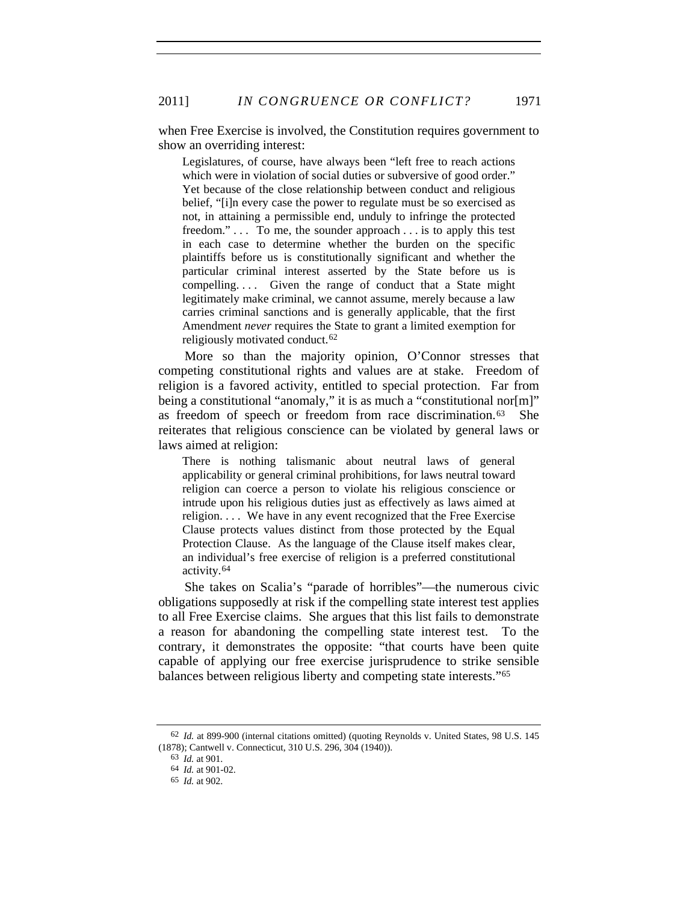2011] *IN CONGRUENCE OR CONFLICT?* 1971

when Free Exercise is involved, the Constitution requires government to show an overriding interest:

Legislatures, of course, have always been "left free to reach actions which were in violation of social duties or subversive of good order." Yet because of the close relationship between conduct and religious belief, "[i]n every case the power to regulate must be so exercised as not, in attaining a permissible end, unduly to infringe the protected freedom."... To me, the sounder approach... is to apply this test in each case to determine whether the burden on the specific plaintiffs before us is constitutionally significant and whether the particular criminal interest asserted by the State before us is compelling. . . . Given the range of conduct that a State might legitimately make criminal, we cannot assume, merely because a law carries criminal sanctions and is generally applicable, that the first Amendment *never* requires the State to grant a limited exemption for religiously motivated conduct.[62](#page-14-0)

More so than the majority opinion, O'Connor stresses that competing constitutional rights and values are at stake. Freedom of religion is a favored activity, entitled to special protection. Far from being a constitutional "anomaly," it is as much a "constitutional nor[m]" as freedom of speech or freedom from race discrimination.[63](#page-14-1) She reiterates that religious conscience can be violated by general laws or laws aimed at religion:

There is nothing talismanic about neutral laws of general applicability or general criminal prohibitions, for laws neutral toward religion can coerce a person to violate his religious conscience or intrude upon his religious duties just as effectively as laws aimed at religion. . . . We have in any event recognized that the Free Exercise Clause protects values distinct from those protected by the Equal Protection Clause. As the language of the Clause itself makes clear, an individual's free exercise of religion is a preferred constitutional activity.[64](#page-14-2)

She takes on Scalia's "parade of horribles"—the numerous civic obligations supposedly at risk if the compelling state interest test applies to all Free Exercise claims. She argues that this list fails to demonstrate a reason for abandoning the compelling state interest test. To the contrary, it demonstrates the opposite: "that courts have been quite capable of applying our free exercise jurisprudence to strike sensible balances between religious liberty and competing state interests."[65](#page-14-3)

<span id="page-14-3"></span><span id="page-14-2"></span><span id="page-14-1"></span><span id="page-14-0"></span><sup>62</sup> *Id.* at 899-900 (internal citations omitted) (quoting Reynolds v. United States, 98 U.S. 145 (1878); Cantwell v. Connecticut, 310 U.S. 296, 304 (1940)).

<sup>63</sup> *Id.* at 901.

<sup>64</sup> *Id.* at 901-02.

<sup>65</sup> *Id.* at 902.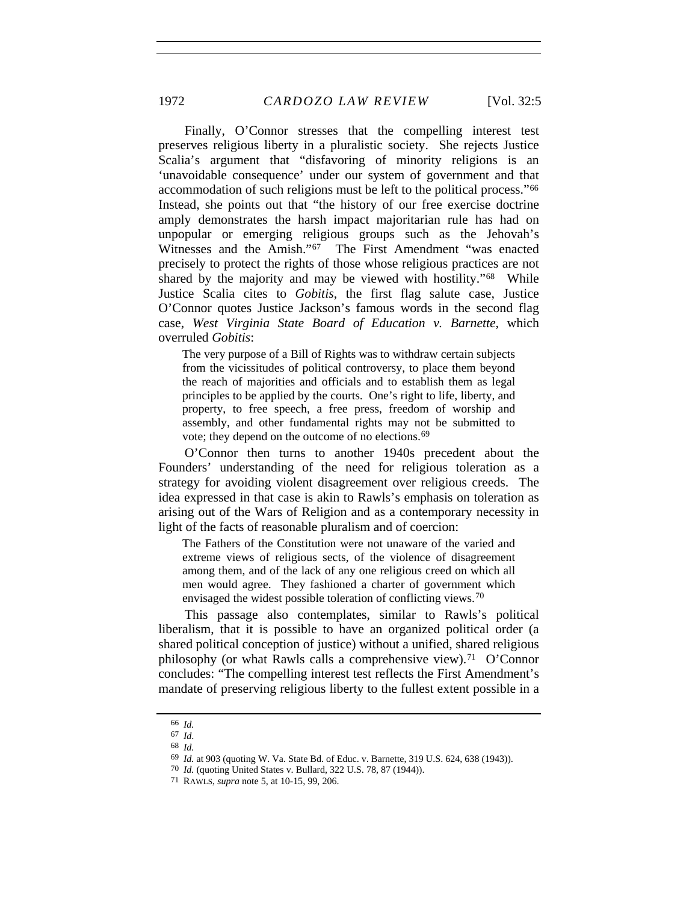Finally, O'Connor stresses that the compelling interest test preserves religious liberty in a pluralistic society. She rejects Justice Scalia's argument that "disfavoring of minority religions is an 'unavoidable consequence' under our system of government and that accommodation of such religions must be left to the political process."[66](#page-15-0) Instead, she points out that "the history of our free exercise doctrine amply demonstrates the harsh impact majoritarian rule has had on unpopular or emerging religious groups such as the Jehovah's Witnesses and the Amish."[67](#page-15-1) The First Amendment "was enacted precisely to protect the rights of those whose religious practices are not shared by the majority and may be viewed with hostility."[68](#page-15-2) While Justice Scalia cites to *Gobitis*, the first flag salute case, Justice O'Connor quotes Justice Jackson's famous words in the second flag case, *West Virginia State Board of Education v. Barnette*, which overruled *Gobitis*:

The very purpose of a Bill of Rights was to withdraw certain subjects from the vicissitudes of political controversy, to place them beyond the reach of majorities and officials and to establish them as legal principles to be applied by the courts. One's right to life, liberty, and property, to free speech, a free press, freedom of worship and assembly, and other fundamental rights may not be submitted to vote; they depend on the outcome of no elections.<sup>[69](#page-15-3)</sup>

O'Connor then turns to another 1940s precedent about the Founders' understanding of the need for religious toleration as a strategy for avoiding violent disagreement over religious creeds. The idea expressed in that case is akin to Rawls's emphasis on toleration as arising out of the Wars of Religion and as a contemporary necessity in light of the facts of reasonable pluralism and of coercion:

The Fathers of the Constitution were not unaware of the varied and extreme views of religious sects, of the violence of disagreement among them, and of the lack of any one religious creed on which all men would agree. They fashioned a charter of government which envisaged the widest possible toleration of conflicting views.<sup>[70](#page-15-4)</sup>

This passage also contemplates, similar to Rawls's political liberalism, that it is possible to have an organized political order (a shared political conception of justice) without a unified, shared religious philosophy (or what Rawls calls a comprehensive view).<sup>[71](#page-15-5)</sup> O'Connor concludes: "The compelling interest test reflects the First Amendment's mandate of preserving religious liberty to the fullest extent possible in a

<span id="page-15-0"></span><sup>66</sup> *Id.*

<span id="page-15-3"></span><span id="page-15-2"></span><span id="page-15-1"></span><sup>67</sup> *Id*. 68 *Id.*

<sup>69</sup> *Id.* at 903 (quoting W. Va. State Bd. of Educ. v. Barnette, 319 U.S. 624, 638 (1943)).

<sup>70</sup> *Id.* (quoting United States v. Bullard, 322 U.S. 78, 87 (1944)).

<span id="page-15-5"></span><span id="page-15-4"></span><sup>71</sup> RAWLS, *supra* note 5, at 10-15, 99, 206.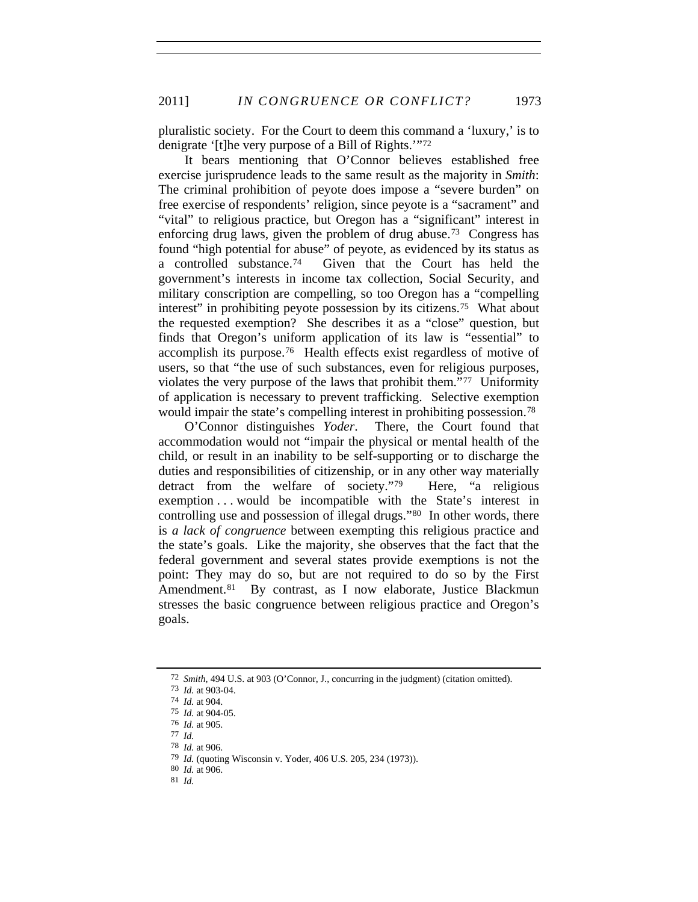pluralistic society. For the Court to deem this command a 'luxury,' is to denigrate '[t]he very purpose of a Bill of Rights.'"[72](#page-16-0)

It bears mentioning that O'Connor believes established free exercise jurisprudence leads to the same result as the majority in *Smith*: The criminal prohibition of peyote does impose a "severe burden" on free exercise of respondents' religion, since peyote is a "sacrament" and "vital" to religious practice, but Oregon has a "significant" interest in enforcing drug laws, given the problem of drug abuse.[73](#page-16-1) Congress has found "high potential for abuse" of peyote, as evidenced by its status as a controlled substance.[74](#page-16-2) Given that the Court has held the government's interests in income tax collection, Social Security, and military conscription are compelling, so too Oregon has a "compelling interest" in prohibiting peyote possession by its citizens.[75](#page-16-3) What about the requested exemption? She describes it as a "close" question, but finds that Oregon's uniform application of its law is "essential" to accomplish its purpose[.76](#page-16-4) Health effects exist regardless of motive of users, so that "the use of such substances, even for religious purposes, violates the very purpose of the laws that prohibit them."[77](#page-16-5) Uniformity of application is necessary to prevent trafficking. Selective exemption would impair the state's compelling interest in prohibiting possession.<sup>78</sup>

O'Connor distinguishes *Yoder*.There, the Court found that accommodation would not "impair the physical or mental health of the child, or result in an inability to be self-supporting or to discharge the duties and responsibilities of citizenship, or in any other way materially detract from the welfare of society."[79](#page-16-7) Here, "a religious exemption . . . would be incompatible with the State's interest in controlling use and possession of illegal drugs."[80](#page-16-8) In other words, there is *a lack of congruence* between exempting this religious practice and the state's goals. Like the majority, she observes that the fact that the federal government and several states provide exemptions is not the point: They may do so, but are not required to do so by the First Amendment.<sup>[81](#page-16-9)</sup> By contrast, as I now elaborate, Justice Blackmun stresses the basic congruence between religious practice and Oregon's goals.

<sup>72</sup> *Smith*, 494 U.S. at 903 (O'Connor, J., concurring in the judgment) (citation omitted).

<span id="page-16-1"></span><span id="page-16-0"></span><sup>73</sup> *Id.* at 903-04.

<span id="page-16-3"></span><span id="page-16-2"></span><sup>74</sup> *Id.* at 904.

<sup>75</sup> *Id.* at 904-05.

<span id="page-16-4"></span><sup>76</sup> *Id.* at 905.

<sup>77</sup> *Id.*

<span id="page-16-6"></span><span id="page-16-5"></span><sup>78</sup> *Id.* at 906.

<span id="page-16-8"></span><span id="page-16-7"></span><sup>79</sup> *Id.* (quoting Wisconsin v. Yoder, 406 U.S. 205, 234 (1973)).

<sup>80</sup> *Id.* at 906.

<span id="page-16-9"></span><sup>81</sup> *Id.*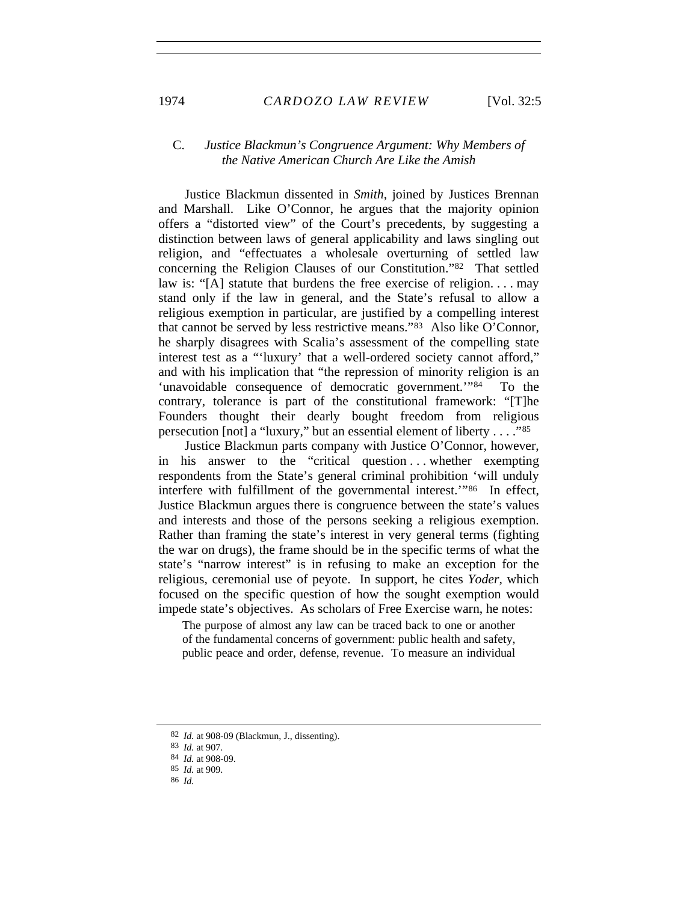## C. *Justice Blackmun's Congruence Argument: Why Members of the Native American Church Are Like the Amish*

Justice Blackmun dissented in *Smith*, joined by Justices Brennan and Marshall. Like O'Connor, he argues that the majority opinion offers a "distorted view" of the Court's precedents, by suggesting a distinction between laws of general applicability and laws singling out religion, and "effectuates a wholesale overturning of settled law concerning the Religion Clauses of our Constitution."[82](#page-17-0) That settled law is: "[A] statute that burdens the free exercise of religion. . . . may stand only if the law in general, and the State's refusal to allow a religious exemption in particular, are justified by a compelling interest that cannot be served by less restrictive means."[83](#page-17-1) Also like O'Connor, he sharply disagrees with Scalia's assessment of the compelling state interest test as a "'luxury' that a well-ordered society cannot afford," and with his implication that "the repression of minority religion is an 'unavoidable consequence of democratic government.'"[84](#page-17-2) To the contrary, tolerance is part of the constitutional framework: "[T]he Founders thought their dearly bought freedom from religious persecution [not] a "luxury," but an essential element of liberty . . . ."[85](#page-17-3)

Justice Blackmun parts company with Justice O'Connor, however, in his answer to the "critical question . . . whether exempting respondents from the State's general criminal prohibition 'will unduly interfere with fulfillment of the governmental interest.'"[86](#page-17-4) In effect, Justice Blackmun argues there is congruence between the state's values and interests and those of the persons seeking a religious exemption. Rather than framing the state's interest in very general terms (fighting the war on drugs), the frame should be in the specific terms of what the state's "narrow interest" is in refusing to make an exception for the religious, ceremonial use of peyote. In support, he cites *Yoder*, which focused on the specific question of how the sought exemption would impede state's objectives. As scholars of Free Exercise warn, he notes:

The purpose of almost any law can be traced back to one or another of the fundamental concerns of government: public health and safety, public peace and order, defense, revenue. To measure an individual

<span id="page-17-1"></span><span id="page-17-0"></span><sup>82</sup> *Id.* at 908-09 (Blackmun, J., dissenting).

<sup>83</sup> *Id.* at 907.

<span id="page-17-2"></span><sup>84</sup> *Id.* at 908-09.

<span id="page-17-3"></span><sup>85</sup> *Id.* at 909.

<span id="page-17-4"></span><sup>86</sup> *Id.*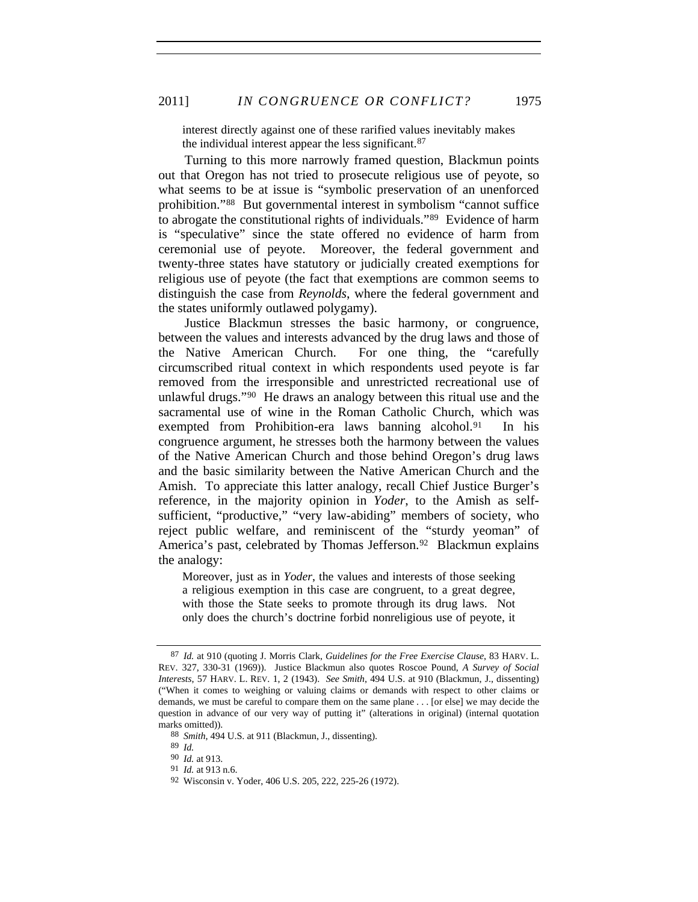interest directly against one of these rarified values inevitably makes the individual interest appear the less significant.<sup>[87](#page-18-0)</sup>

Turning to this more narrowly framed question, Blackmun points out that Oregon has not tried to prosecute religious use of peyote, so what seems to be at issue is "symbolic preservation of an unenforced prohibition."[88](#page-18-1) But governmental interest in symbolism "cannot suffice to abrogate the constitutional rights of individuals."[89](#page-18-2) Evidence of harm is "speculative" since the state offered no evidence of harm from ceremonial use of peyote. Moreover, the federal government and twenty-three states have statutory or judicially created exemptions for religious use of peyote (the fact that exemptions are common seems to distinguish the case from *Reynolds*, where the federal government and the states uniformly outlawed polygamy).

Justice Blackmun stresses the basic harmony, or congruence, between the values and interests advanced by the drug laws and those of the Native American Church. For one thing, the "carefully circumscribed ritual context in which respondents used peyote is far removed from the irresponsible and unrestricted recreational use of unlawful drugs."[90](#page-18-3) He draws an analogy between this ritual use and the sacramental use of wine in the Roman Catholic Church, which was exempted from Prohibition-era laws banning alcohol.<sup>[91](#page-18-4)</sup> In his congruence argument, he stresses both the harmony between the values of the Native American Church and those behind Oregon's drug laws and the basic similarity between the Native American Church and the Amish. To appreciate this latter analogy, recall Chief Justice Burger's reference, in the majority opinion in *Yoder*, to the Amish as selfsufficient, "productive," "very law-abiding" members of society, who reject public welfare, and reminiscent of the "sturdy yeoman" of America's past, celebrated by Thomas Jefferson.<sup>[92](#page-18-5)</sup> Blackmun explains the analogy:

Moreover, just as in *Yoder*, the values and interests of those seeking a religious exemption in this case are congruent, to a great degree, with those the State seeks to promote through its drug laws. Not only does the church's doctrine forbid nonreligious use of peyote, it

<span id="page-18-0"></span><sup>87</sup> *Id.* at 910 (quoting J. Morris Clark, *Guidelines for the Free Exercise Clause*, 83 HARV. L. REV. 327, 330-31 (1969)). Justice Blackmun also quotes Roscoe Pound, *A Survey of Social Interests*, 57 HARV. L. REV. 1, 2 (1943). *See Smith*, 494 U.S. at 910 (Blackmun, J., dissenting) ("When it comes to weighing or valuing claims or demands with respect to other claims or demands, we must be careful to compare them on the same plane . . . [or else] we may decide the question in advance of our very way of putting it" (alterations in original) (internal quotation marks omitted)).

<span id="page-18-2"></span><span id="page-18-1"></span><sup>88</sup> *Smith*, 494 U.S. at 911 (Blackmun, J., dissenting).

<sup>89</sup> *Id.*

<span id="page-18-3"></span><sup>90</sup> *Id.* at 913.

<span id="page-18-4"></span><sup>91</sup> *Id.* at 913 n.6.

<span id="page-18-5"></span><sup>92</sup> Wisconsin v. Yoder, 406 U.S. 205, 222, 225-26 (1972).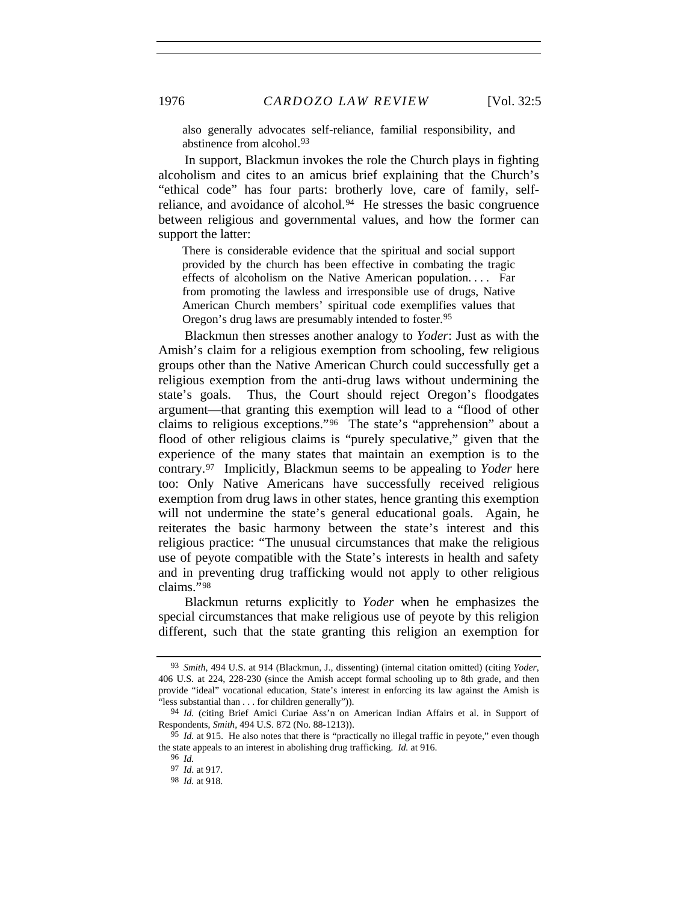also generally advocates self-reliance, familial responsibility, and abstinence from alcohol.[93](#page-19-0)

In support, Blackmun invokes the role the Church plays in fighting alcoholism and cites to an amicus brief explaining that the Church's "ethical code" has four parts: brotherly love, care of family, self-reliance, and avoidance of alcohol.<sup>[94](#page-19-1)</sup> He stresses the basic congruence between religious and governmental values, and how the former can support the latter:

There is considerable evidence that the spiritual and social support provided by the church has been effective in combating the tragic effects of alcoholism on the Native American population. . . . Far from promoting the lawless and irresponsible use of drugs, Native American Church members' spiritual code exemplifies values that Oregon's drug laws are presumably intended to foster.[95](#page-19-2)

Blackmun then stresses another analogy to *Yoder*: Just as with the Amish's claim for a religious exemption from schooling, few religious groups other than the Native American Church could successfully get a religious exemption from the anti-drug laws without undermining the state's goals. Thus, the Court should reject Oregon's floodgates argument—that granting this exemption will lead to a "flood of other claims to religious exceptions."[96](#page-19-3) The state's "apprehension" about a flood of other religious claims is "purely speculative," given that the experience of the many states that maintain an exemption is to the contrary.[97](#page-19-4) Implicitly, Blackmun seems to be appealing to *Yoder* here too: Only Native Americans have successfully received religious exemption from drug laws in other states, hence granting this exemption will not undermine the state's general educational goals. Again, he reiterates the basic harmony between the state's interest and this religious practice: "The unusual circumstances that make the religious use of peyote compatible with the State's interests in health and safety and in preventing drug trafficking would not apply to other religious claims."[98](#page-19-5)

Blackmun returns explicitly to *Yoder* when he emphasizes the special circumstances that make religious use of peyote by this religion different, such that the state granting this religion an exemption for

<span id="page-19-0"></span><sup>93</sup> *Smith*, 494 U.S. at 914 (Blackmun, J., dissenting) (internal citation omitted) (citing *Yoder*, 406 U.S. at 224, 228-230 (since the Amish accept formal schooling up to 8th grade, and then provide "ideal" vocational education, State's interest in enforcing its law against the Amish is "less substantial than . . . for children generally")).

<span id="page-19-1"></span><sup>94</sup> *Id.* (citing Brief Amici Curiae Ass'n on American Indian Affairs et al. in Support of Respondents, *Smith*, 494 U.S. 872 (No. 88-1213)).

<span id="page-19-5"></span><span id="page-19-4"></span><span id="page-19-3"></span><span id="page-19-2"></span><sup>95</sup> *Id.* at 915. He also notes that there is "practically no illegal traffic in peyote," even though the state appeals to an interest in abolishing drug trafficking. *Id.* at 916.

<sup>96</sup> *Id.*

<sup>97</sup> *Id*. at 917.

<sup>98</sup> *Id.* at 918.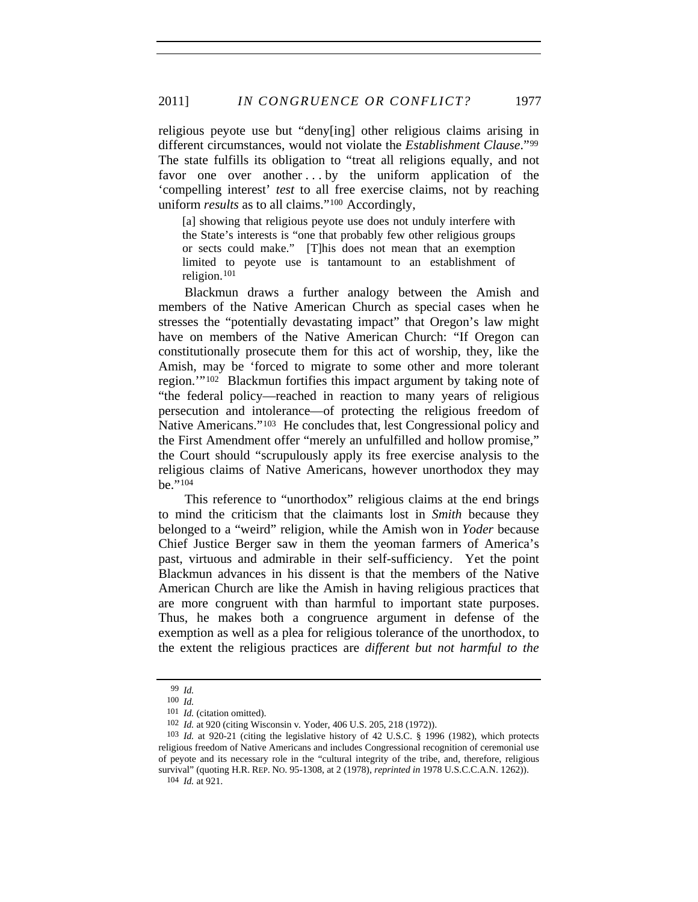religious peyote use but "deny[ing] other religious claims arising in different circumstances, would not violate the *Establishment Clause*."[99](#page-20-0) The state fulfills its obligation to "treat all religions equally, and not favor one over another ... by the uniform application of the 'compelling interest' *test* to all free exercise claims, not by reaching uniform *results* as to all claims."[100](#page-20-1) Accordingly,

[a] showing that religious peyote use does not unduly interfere with the State's interests is "one that probably few other religious groups or sects could make." [T]his does not mean that an exemption limited to peyote use is tantamount to an establishment of religion.[101](#page-20-2)

Blackmun draws a further analogy between the Amish and members of the Native American Church as special cases when he stresses the "potentially devastating impact" that Oregon's law might have on members of the Native American Church: "If Oregon can constitutionally prosecute them for this act of worship, they, like the Amish, may be 'forced to migrate to some other and more tolerant region.'"[102](#page-20-3) Blackmun fortifies this impact argument by taking note of "the federal policy—reached in reaction to many years of religious persecution and intolerance—of protecting the religious freedom of Native Americans."[103](#page-20-4) He concludes that, lest Congressional policy and the First Amendment offer "merely an unfulfilled and hollow promise," the Court should "scrupulously apply its free exercise analysis to the religious claims of Native Americans, however unorthodox they may be."[104](#page-20-5)

This reference to "unorthodox" religious claims at the end brings to mind the criticism that the claimants lost in *Smith* because they belonged to a "weird" religion, while the Amish won in *Yoder* because Chief Justice Berger saw in them the yeoman farmers of America's past, virtuous and admirable in their self-sufficiency. Yet the point Blackmun advances in his dissent is that the members of the Native American Church are like the Amish in having religious practices that are more congruent with than harmful to important state purposes. Thus, he makes both a congruence argument in defense of the exemption as well as a plea for religious tolerance of the unorthodox, to the extent the religious practices are *different but not harmful to the* 

<sup>99</sup> *Id.*

<sup>100</sup> *Id.*

<sup>101</sup> *Id.* (citation omitted).

<sup>102</sup> *Id.* at 920 (citing Wisconsin v*.* Yoder, 406 U.S. 205, 218 (1972)).

<span id="page-20-5"></span><span id="page-20-4"></span><span id="page-20-3"></span><span id="page-20-2"></span><span id="page-20-1"></span><span id="page-20-0"></span><sup>103</sup> *Id.* at 920-21 (citing the legislative history of 42 U.S.C. § 1996 (1982), which protects religious freedom of Native Americans and includes Congressional recognition of ceremonial use of peyote and its necessary role in the "cultural integrity of the tribe, and, therefore, religious survival" (quoting H.R. REP. NO. 95-1308, at 2 (1978), *reprinted in* 1978 U.S.C.C.A.N. 1262)).

<sup>104</sup> *Id.* at 921.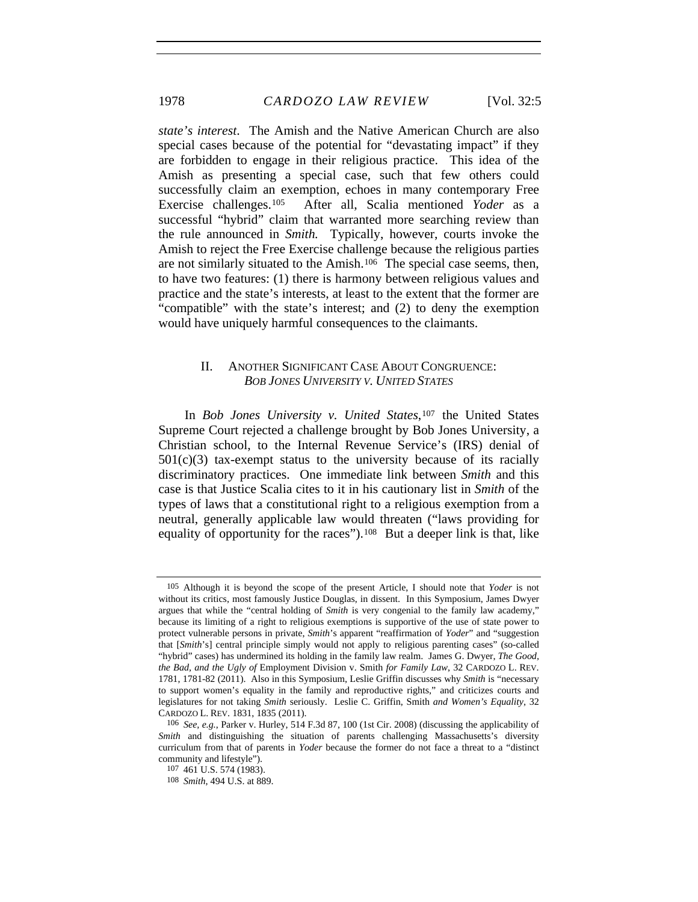*state's interest*. The Amish and the Native American Church are also special cases because of the potential for "devastating impact" if they are forbidden to engage in their religious practice. This idea of the Amish as presenting a special case, such that few others could successfully claim an exemption, echoes in many contemporary Free Exercise challenges.[105](#page-21-0) After all, Scalia mentioned *Yoder* as a successful "hybrid" claim that warranted more searching review than the rule announced in *Smith.* Typically, however, courts invoke the Amish to reject the Free Exercise challenge because the religious parties are not similarly situated to the Amish.<sup>[106](#page-21-1)</sup> The special case seems, then, to have two features: (1) there is harmony between religious values and practice and the state's interests, at least to the extent that the former are "compatible" with the state's interest; and (2) to deny the exemption would have uniquely harmful consequences to the claimants.

#### II. ANOTHER SIGNIFICANT CASE ABOUT CONGRUENCE: *BOB JONES UNIVERSITY V. UNITED STATES*

In *Bob Jones University v. United States*,<sup>[107](#page-21-2)</sup> the United States Supreme Court rejected a challenge brought by Bob Jones University, a Christian school, to the Internal Revenue Service's (IRS) denial of  $501(c)(3)$  tax-exempt status to the university because of its racially discriminatory practices. One immediate link between *Smith* and this case is that Justice Scalia cites to it in his cautionary list in *Smith* of the types of laws that a constitutional right to a religious exemption from a neutral, generally applicable law would threaten ("laws providing for equality of opportunity for the races").<sup>[108](#page-21-3)</sup> But a deeper link is that, like

<span id="page-21-0"></span><sup>105</sup> Although it is beyond the scope of the present Article, I should note that *Yoder* is not without its critics, most famously Justice Douglas, in dissent. In this Symposium, James Dwyer argues that while the "central holding of *Smith* is very congenial to the family law academy," because its limiting of a right to religious exemptions is supportive of the use of state power to protect vulnerable persons in private, *Smith*'s apparent "reaffirmation of *Yoder*" and "suggestion that [*Smith*'s] central principle simply would not apply to religious parenting cases" (so-called "hybrid" cases) has undermined its holding in the family law realm. James G. Dwyer, *The Good, the Bad, and the Ugly of* Employment Division v. Smith *for Family Law*, 32 CARDOZO L. REV. 1781, 1781-82 (2011). Also in this Symposium, Leslie Griffin discusses why *Smith* is "necessary to support women's equality in the family and reproductive rights," and criticizes courts and legislatures for not taking *Smith* seriously. Leslie C. Griffin, Smith *and Women's Equality*, 32 CARDOZO L. REV. 1831, 1835 (2011).

<span id="page-21-2"></span><span id="page-21-1"></span><sup>106</sup> *See, e.g.*, Parker v. Hurley, 514 F.3d 87, 100 (1st Cir. 2008) (discussing the applicability of *Smith* and distinguishing the situation of parents challenging Massachusetts's diversity curriculum from that of parents in *Yoder* because the former do not face a threat to a "distinct community and lifestyle").

<sup>107 461</sup> U.S. 574 (1983).

<span id="page-21-3"></span><sup>108</sup> *Smith*, 494 U.S. at 889.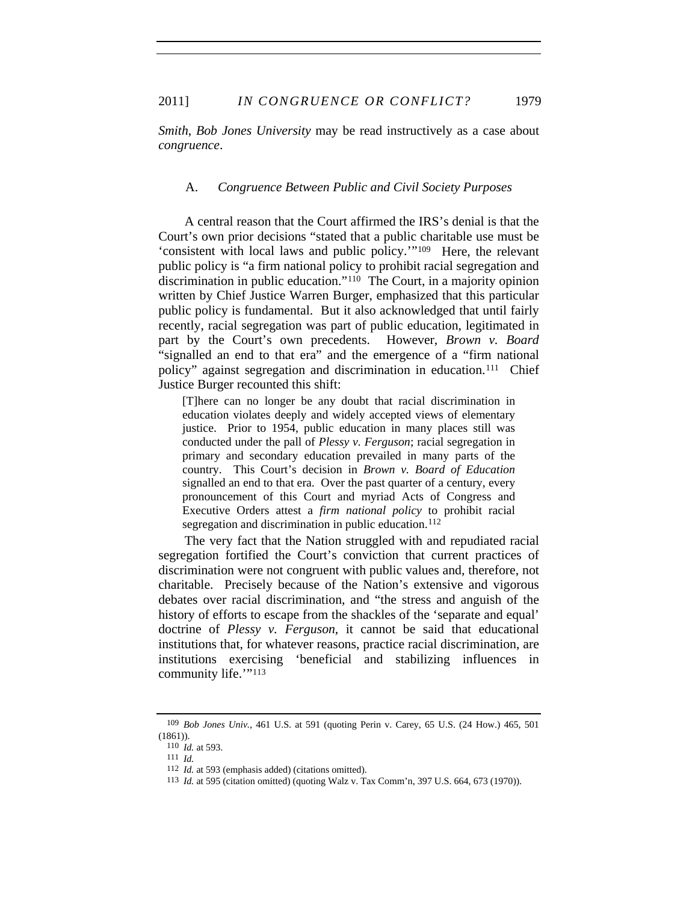*Smith*, *Bob Jones University* may be read instructively as a case about *congruence*.

#### A. *Congruence Between Public and Civil Society Purposes*

A central reason that the Court affirmed the IRS's denial is that the Court's own prior decisions "stated that a public charitable use must be 'consistent with local laws and public policy.'"[109](#page-22-0) Here, the relevant public policy is "a firm national policy to prohibit racial segregation and discrimination in public education."[110](#page-22-1) The Court, in a majority opinion written by Chief Justice Warren Burger, emphasized that this particular public policy is fundamental. But it also acknowledged that until fairly recently, racial segregation was part of public education, legitimated in part by the Court's own precedents. However, *Brown v. Board* "signalled an end to that era" and the emergence of a "firm national policy" against segregation and discrimination in education.<sup>[111](#page-22-2)</sup> Chief Justice Burger recounted this shift:

[T]here can no longer be any doubt that racial discrimination in education violates deeply and widely accepted views of elementary justice. Prior to 1954, public education in many places still was conducted under the pall of *Plessy v. Ferguson*; racial segregation in primary and secondary education prevailed in many parts of the country. This Court's decision in *Brown v. Board of Education*  signalled an end to that era. Over the past quarter of a century, every pronouncement of this Court and myriad Acts of Congress and Executive Orders attest a *firm national policy* to prohibit racial segregation and discrimination in public education.<sup>[112](#page-22-3)</sup>

The very fact that the Nation struggled with and repudiated racial segregation fortified the Court's conviction that current practices of discrimination were not congruent with public values and, therefore, not charitable. Precisely because of the Nation's extensive and vigorous debates over racial discrimination, and "the stress and anguish of the history of efforts to escape from the shackles of the 'separate and equal' doctrine of *Plessy v. Ferguson*, it cannot be said that educational institutions that, for whatever reasons, practice racial discrimination, are institutions exercising 'beneficial and stabilizing influences in community life."<sup>[113](#page-22-4)</sup>

<span id="page-22-3"></span><span id="page-22-2"></span><span id="page-22-1"></span><span id="page-22-0"></span><sup>109</sup> *Bob Jones Univ.*, 461 U.S. at 591 (quoting Perin v. Carey, 65 U.S. (24 How.) 465, 501 (1861)).

<sup>110</sup> *Id.* at 593.

<sup>111</sup> *Id.*

<sup>112</sup> *Id.* at 593 (emphasis added) (citations omitted).

<span id="page-22-4"></span><sup>113</sup> *Id.* at 595 (citation omitted) (quoting Walz v. Tax Comm'n, 397 U.S. 664, 673 (1970)).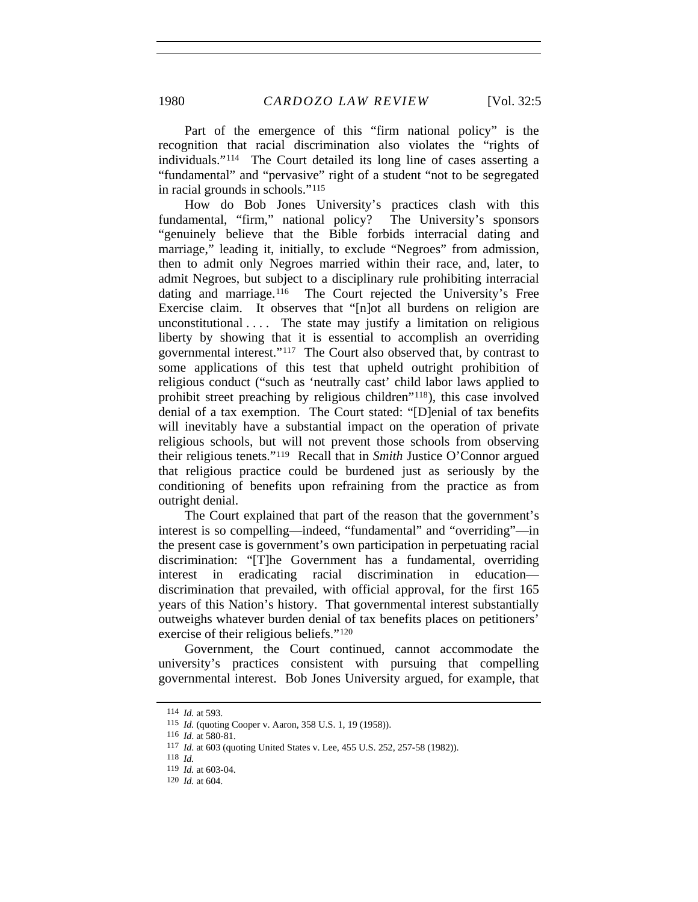Part of the emergence of this "firm national policy" is the recognition that racial discrimination also violates the "rights of individuals."[114](#page-23-0) The Court detailed its long line of cases asserting a "fundamental" and "pervasive" right of a student "not to be segregated in racial grounds in schools."[115](#page-23-1)

How do Bob Jones University's practices clash with this fundamental, "firm," national policy? The University's sponsors "genuinely believe that the Bible forbids interracial dating and marriage," leading it, initially, to exclude "Negroes" from admission, then to admit only Negroes married within their race, and, later, to admit Negroes, but subject to a disciplinary rule prohibiting interracial dating and marriage.<sup>[116](#page-23-2)</sup> The Court rejected the University's Free Exercise claim. It observes that "[n]ot all burdens on religion are unconstitutional  $\ldots$  The state may justify a limitation on religious liberty by showing that it is essential to accomplish an overriding governmental interest."[117](#page-23-3) The Court also observed that, by contrast to some applications of this test that upheld outright prohibition of religious conduct ("such as 'neutrally cast' child labor laws applied to prohibit street preaching by religious children"[118](#page-23-4)), this case involved denial of a tax exemption. The Court stated: "[D]enial of tax benefits will inevitably have a substantial impact on the operation of private religious schools, but will not prevent those schools from observing their religious tenets."[119](#page-23-5) Recall that in *Smith* Justice O'Connor argued that religious practice could be burdened just as seriously by the conditioning of benefits upon refraining from the practice as from outright denial.

The Court explained that part of the reason that the government's interest is so compelling—indeed, "fundamental" and "overriding"—in the present case is government's own participation in perpetuating racial discrimination: "[T]he Government has a fundamental, overriding interest in eradicating racial discrimination in education discrimination that prevailed, with official approval, for the first 165 years of this Nation's history. That governmental interest substantially outweighs whatever burden denial of tax benefits places on petitioners' exercise of their religious beliefs."[120](#page-23-6)

Government, the Court continued, cannot accommodate the university's practices consistent with pursuing that compelling governmental interest. Bob Jones University argued, for example, that

<span id="page-23-0"></span><sup>114</sup> *Id.* at 593.

<sup>115</sup> *Id.* (quoting Cooper v. Aaron, 358 U.S. 1, 19 (1958)).

<span id="page-23-4"></span><span id="page-23-3"></span><span id="page-23-2"></span><span id="page-23-1"></span><sup>116</sup> *Id*. at 580-81.

<sup>117</sup> *Id*. at 603 (quoting United States v. Lee, 455 U.S. 252, 257-58 (1982)).

<sup>118</sup> *Id.*

<span id="page-23-5"></span><sup>119</sup> *Id.* at 603-04.

<span id="page-23-6"></span><sup>120</sup> *Id.* at 604.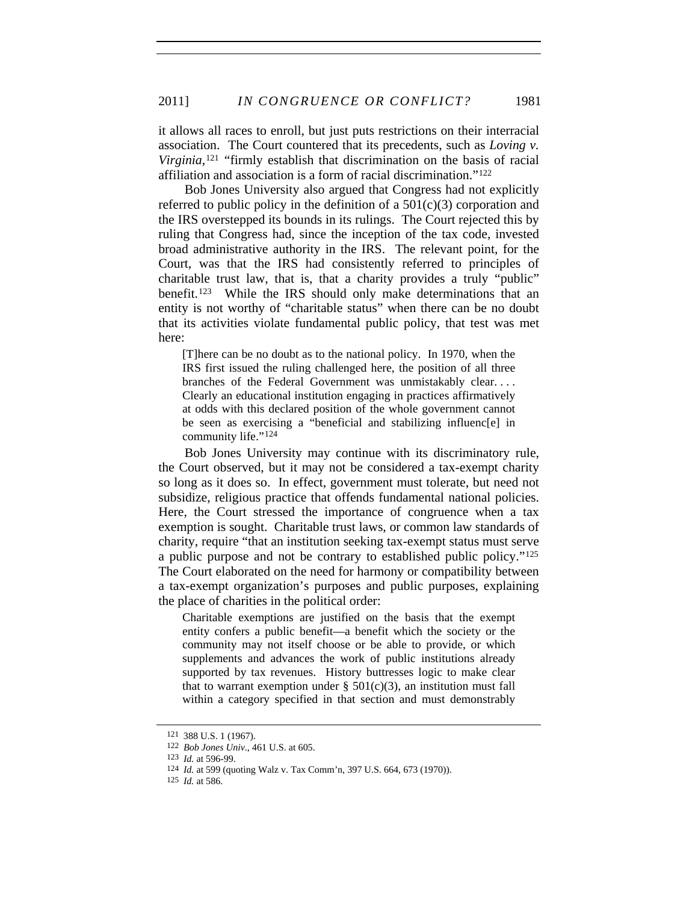it allows all races to enroll, but just puts restrictions on their interracial association. The Court countered that its precedents, such as *Loving v. Virginia*,<sup>[121](#page-24-0)</sup> "firmly establish that discrimination on the basis of racial affiliation and association is a form of racial discrimination."[122](#page-24-1)

Bob Jones University also argued that Congress had not explicitly referred to public policy in the definition of a  $501(c)(3)$  corporation and the IRS overstepped its bounds in its rulings. The Court rejected this by ruling that Congress had, since the inception of the tax code, invested broad administrative authority in the IRS. The relevant point, for the Court, was that the IRS had consistently referred to principles of charitable trust law, that is, that a charity provides a truly "public" benefit.[123](#page-24-2) While the IRS should only make determinations that an entity is not worthy of "charitable status" when there can be no doubt that its activities violate fundamental public policy, that test was met here:

[T]here can be no doubt as to the national policy. In 1970, when the IRS first issued the ruling challenged here, the position of all three branches of the Federal Government was unmistakably clear. . . . Clearly an educational institution engaging in practices affirmatively at odds with this declared position of the whole government cannot be seen as exercising a "beneficial and stabilizing influenc[e] in community life."[124](#page-24-3)

Bob Jones University may continue with its discriminatory rule, the Court observed, but it may not be considered a tax-exempt charity so long as it does so. In effect, government must tolerate, but need not subsidize, religious practice that offends fundamental national policies. Here, the Court stressed the importance of congruence when a tax exemption is sought. Charitable trust laws, or common law standards of charity, require "that an institution seeking tax-exempt status must serve a public purpose and not be contrary to established public policy."[125](#page-24-4) The Court elaborated on the need for harmony or compatibility between a tax-exempt organization's purposes and public purposes, explaining the place of charities in the political order:

Charitable exemptions are justified on the basis that the exempt entity confers a public benefit—a benefit which the society or the community may not itself choose or be able to provide, or which supplements and advances the work of public institutions already supported by tax revenues. History buttresses logic to make clear that to warrant exemption under  $\S$  501(c)(3), an institution must fall within a category specified in that section and must demonstrably

<span id="page-24-2"></span><span id="page-24-1"></span><span id="page-24-0"></span><sup>121 388</sup> U.S. 1 (1967).

<sup>122</sup> *Bob Jones Univ*., 461 U.S. at 605.

<sup>123</sup> *Id.* at 596-99.

<span id="page-24-3"></span><sup>124</sup> *Id.* at 599 (quoting Walz v. Tax Comm'n, 397 U.S. 664, 673 (1970)).

<span id="page-24-4"></span><sup>125</sup> *Id.* at 586.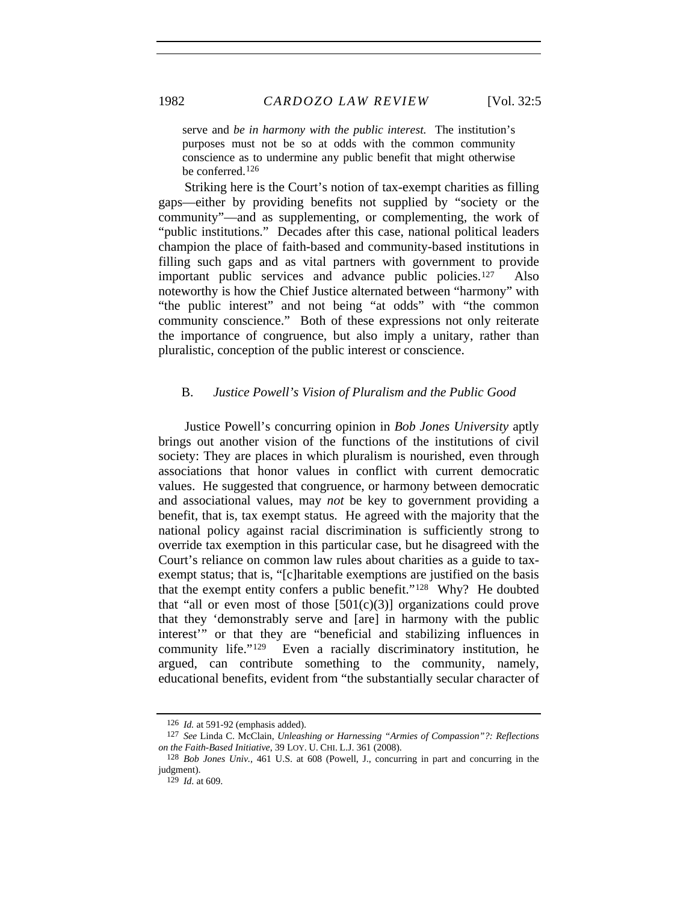serve and *be in harmony with the public interest.* The institution's purposes must not be so at odds with the common community conscience as to undermine any public benefit that might otherwise be conferred.[126](#page-25-0)

Striking here is the Court's notion of tax-exempt charities as filling gaps—either by providing benefits not supplied by "society or the community"—and as supplementing, or complementing, the work of "public institutions." Decades after this case, national political leaders champion the place of faith-based and community-based institutions in filling such gaps and as vital partners with government to provide important public services and advance public policies.<sup>[127](#page-25-1)</sup> Also noteworthy is how the Chief Justice alternated between "harmony" with "the public interest" and not being "at odds" with "the common community conscience." Both of these expressions not only reiterate the importance of congruence, but also imply a unitary, rather than pluralistic, conception of the public interest or conscience.

#### B. *Justice Powell's Vision of Pluralism and the Public Good*

Justice Powell's concurring opinion in *Bob Jones University* aptly brings out another vision of the functions of the institutions of civil society: They are places in which pluralism is nourished, even through associations that honor values in conflict with current democratic values. He suggested that congruence, or harmony between democratic and associational values, may *not* be key to government providing a benefit, that is, tax exempt status. He agreed with the majority that the national policy against racial discrimination is sufficiently strong to override tax exemption in this particular case, but he disagreed with the Court's reliance on common law rules about charities as a guide to taxexempt status; that is, "[c]haritable exemptions are justified on the basis that the exempt entity confers a public benefit."[128](#page-25-2) Why? He doubted that "all or even most of those  $[501(c)(3)]$  organizations could prove that they 'demonstrably serve and [are] in harmony with the public interest'" or that they are "beneficial and stabilizing influences in community life."[129](#page-25-3) Even a racially discriminatory institution, he argued, can contribute something to the community, namely, educational benefits, evident from "the substantially secular character of

<sup>126</sup> *Id.* at 591-92 (emphasis added).

<span id="page-25-1"></span><span id="page-25-0"></span><sup>127</sup> *See* Linda C. McClain, *Unleashing or Harnessing "Armies of Compassion"?: Reflections on the Faith-Based Initiative*, 39 LOY. U. CHI. L.J. 361 (2008).

<span id="page-25-3"></span><span id="page-25-2"></span><sup>128</sup> *Bob Jones Univ.*, 461 U.S. at 608 (Powell, J., concurring in part and concurring in the judgment).

<sup>129</sup> *Id*. at 609.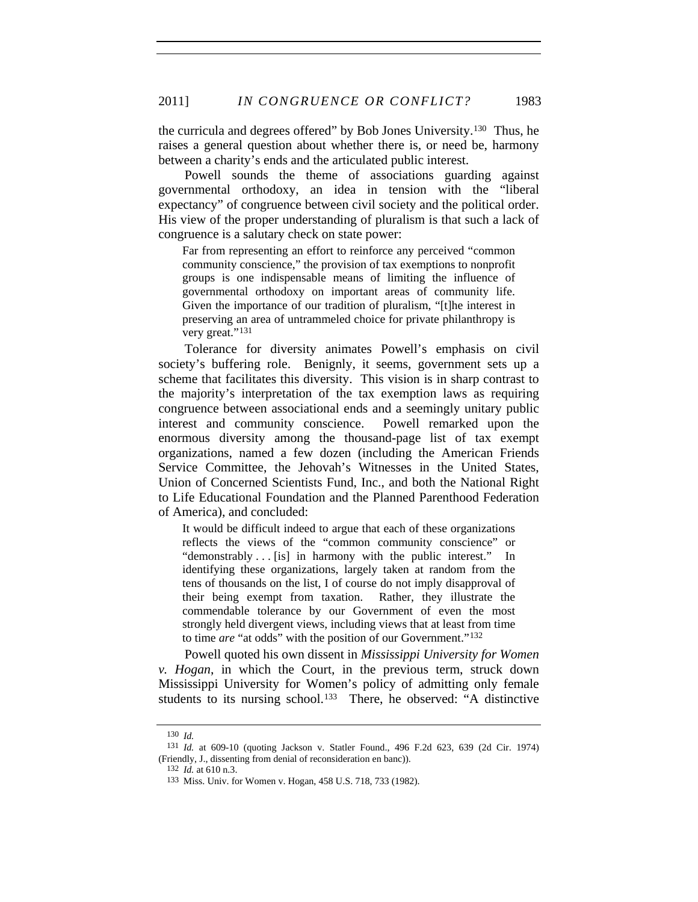the curricula and degrees offered" by Bob Jones University.[130](#page-26-0) Thus, he raises a general question about whether there is, or need be, harmony between a charity's ends and the articulated public interest.

Powell sounds the theme of associations guarding against governmental orthodoxy, an idea in tension with the "liberal expectancy" of congruence between civil society and the political order. His view of the proper understanding of pluralism is that such a lack of congruence is a salutary check on state power:

Far from representing an effort to reinforce any perceived "common community conscience," the provision of tax exemptions to nonprofit groups is one indispensable means of limiting the influence of governmental orthodoxy on important areas of community life. Given the importance of our tradition of pluralism, "[t]he interest in preserving an area of untrammeled choice for private philanthropy is very great."<sup>[131](#page-26-1)</sup>

Tolerance for diversity animates Powell's emphasis on civil society's buffering role. Benignly, it seems, government sets up a scheme that facilitates this diversity. This vision is in sharp contrast to the majority's interpretation of the tax exemption laws as requiring congruence between associational ends and a seemingly unitary public interest and community conscience. Powell remarked upon the enormous diversity among the thousand-page list of tax exempt organizations, named a few dozen (including the American Friends Service Committee, the Jehovah's Witnesses in the United States, Union of Concerned Scientists Fund, Inc., and both the National Right to Life Educational Foundation and the Planned Parenthood Federation of America), and concluded:

It would be difficult indeed to argue that each of these organizations reflects the views of the "common community conscience" or "demonstrably . . . [is] in harmony with the public interest." In identifying these organizations, largely taken at random from the tens of thousands on the list, I of course do not imply disapproval of their being exempt from taxation. Rather, they illustrate the commendable tolerance by our Government of even the most strongly held divergent views, including views that at least from time to time *are* "at odds" with the position of our Government."[132](#page-26-2)

Powell quoted his own dissent in *Mississippi University for Women v. Hogan*, in which the Court, in the previous term, struck down Mississippi University for Women's policy of admitting only female students to its nursing school.<sup>[133](#page-26-3)</sup> There, he observed: "A distinctive

<sup>130</sup> *Id.*

<span id="page-26-3"></span><span id="page-26-2"></span><span id="page-26-1"></span><span id="page-26-0"></span><sup>131</sup> *Id.* at 609-10 (quoting Jackson v. Statler Found., 496 F.2d 623, 639 (2d Cir. 1974) (Friendly, J., dissenting from denial of reconsideration en banc)).

<sup>132</sup> *Id.* at 610 n.3.

<sup>133</sup> Miss. Univ. for Women v. Hogan, 458 U.S. 718, 733 (1982).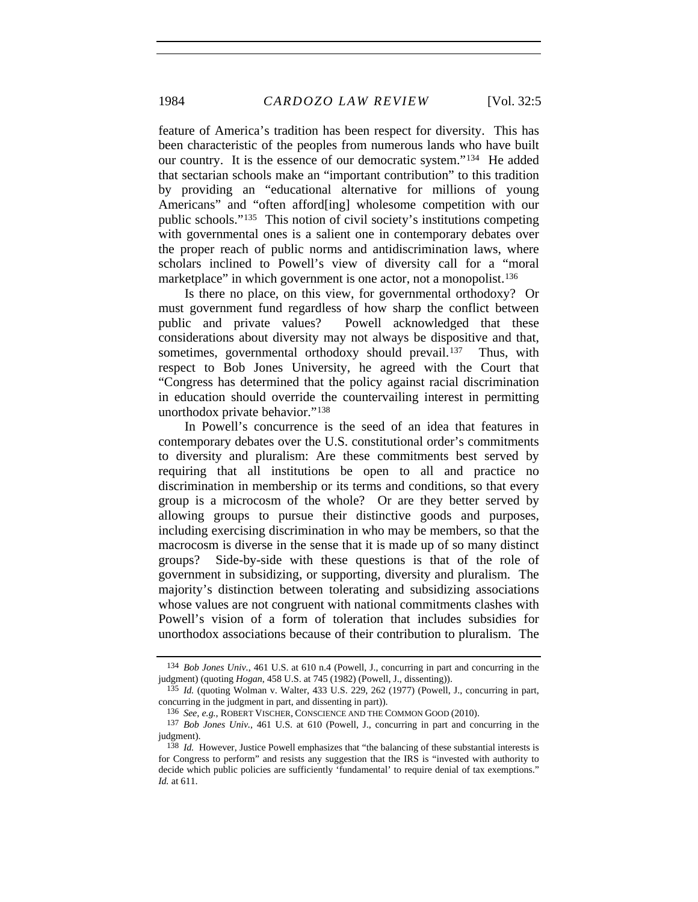feature of America's tradition has been respect for diversity. This has been characteristic of the peoples from numerous lands who have built our country. It is the essence of our democratic system."[134](#page-27-0) He added that sectarian schools make an "important contribution" to this tradition by providing an "educational alternative for millions of young Americans" and "often afford[ing] wholesome competition with our public schools."[135](#page-27-1) This notion of civil society's institutions competing with governmental ones is a salient one in contemporary debates over the proper reach of public norms and antidiscrimination laws, where scholars inclined to Powell's view of diversity call for a "moral marketplace" in which government is one actor, not a monopolist.<sup>[136](#page-27-2)</sup>

Is there no place, on this view, for governmental orthodoxy? Or must government fund regardless of how sharp the conflict between public and private values? Powell acknowledged that these considerations about diversity may not always be dispositive and that, sometimes, governmental orthodoxy should prevail.<sup>[137](#page-27-3)</sup> Thus, with respect to Bob Jones University, he agreed with the Court that "Congress has determined that the policy against racial discrimination in education should override the countervailing interest in permitting unorthodox private behavior.["138](#page-27-4)

In Powell's concurrence is the seed of an idea that features in contemporary debates over the U.S. constitutional order's commitments to diversity and pluralism: Are these commitments best served by requiring that all institutions be open to all and practice no discrimination in membership or its terms and conditions, so that every group is a microcosm of the whole? Or are they better served by allowing groups to pursue their distinctive goods and purposes, including exercising discrimination in who may be members, so that the macrocosm is diverse in the sense that it is made up of so many distinct groups? Side-by-side with these questions is that of the role of government in subsidizing, or supporting, diversity and pluralism. The majority's distinction between tolerating and subsidizing associations whose values are not congruent with national commitments clashes with Powell's vision of a form of toleration that includes subsidies for unorthodox associations because of their contribution to pluralism. The

<span id="page-27-0"></span><sup>134</sup> *Bob Jones Univ.*, 461 U.S. at 610 n.4 (Powell, J., concurring in part and concurring in the judgment) (quoting *Hogan*, 458 U.S. at 745 (1982) (Powell, J., dissenting)).

<span id="page-27-1"></span><sup>135</sup> *Id.* (quoting Wolman v. Walter, 433 U.S. 229, 262 (1977) (Powell, J., concurring in part, concurring in the judgment in part, and dissenting in part)).

<sup>136</sup> *See, e.g.*, ROBERT VISCHER, CONSCIENCE AND THE COMMON GOOD (2010).

<span id="page-27-3"></span><span id="page-27-2"></span><sup>137</sup> *Bob Jones Univ.*, 461 U.S. at 610 (Powell, J., concurring in part and concurring in the judgment).

<span id="page-27-4"></span><sup>138</sup> *Id.* However, Justice Powell emphasizes that "the balancing of these substantial interests is for Congress to perform" and resists any suggestion that the IRS is "invested with authority to decide which public policies are sufficiently 'fundamental' to require denial of tax exemptions." *Id.* at 611.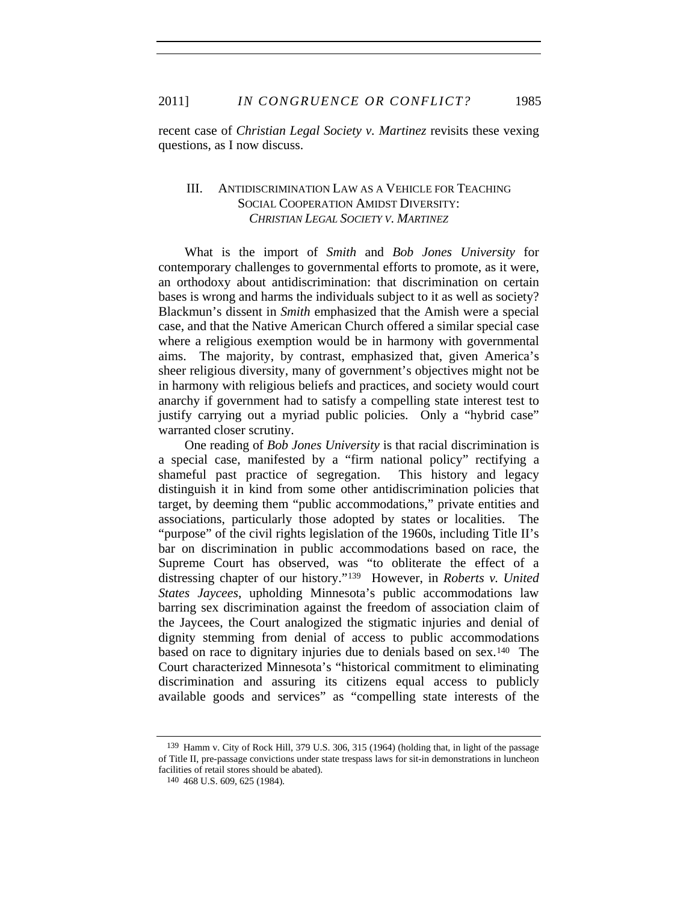recent case of *Christian Legal Society v. Martinez* revisits these vexing questions, as I now discuss.

# III. ANTIDISCRIMINATION LAW AS A VEHICLE FOR TEACHING SOCIAL COOPERATION AMIDST DIVERSITY: *CHRISTIAN LEGAL SOCIETY V. MARTINEZ*

What is the import of *Smith* and *Bob Jones University* for contemporary challenges to governmental efforts to promote, as it were, an orthodoxy about antidiscrimination: that discrimination on certain bases is wrong and harms the individuals subject to it as well as society? Blackmun's dissent in *Smith* emphasized that the Amish were a special case, and that the Native American Church offered a similar special case where a religious exemption would be in harmony with governmental aims. The majority, by contrast, emphasized that, given America's sheer religious diversity, many of government's objectives might not be in harmony with religious beliefs and practices, and society would court anarchy if government had to satisfy a compelling state interest test to justify carrying out a myriad public policies. Only a "hybrid case" warranted closer scrutiny.

One reading of *Bob Jones University* is that racial discrimination is a special case, manifested by a "firm national policy" rectifying a shameful past practice of segregation. This history and legacy distinguish it in kind from some other antidiscrimination policies that target, by deeming them "public accommodations," private entities and associations, particularly those adopted by states or localities. The "purpose" of the civil rights legislation of the 1960s, including Title II's bar on discrimination in public accommodations based on race, the Supreme Court has observed, was "to obliterate the effect of a distressing chapter of our history."[139](#page-28-0) However, in *Roberts v. United States Jaycees*, upholding Minnesota's public accommodations law barring sex discrimination against the freedom of association claim of the Jaycees, the Court analogized the stigmatic injuries and denial of dignity stemming from denial of access to public accommodations based on race to dignitary injuries due to denials based on sex.[140](#page-28-1) The Court characterized Minnesota's "historical commitment to eliminating discrimination and assuring its citizens equal access to publicly available goods and services" as "compelling state interests of the

<span id="page-28-1"></span><span id="page-28-0"></span><sup>139</sup> Hamm v. City of Rock Hill, 379 U.S. 306, 315 (1964) (holding that, in light of the passage of Title II, pre-passage convictions under state trespass laws for sit-in demonstrations in luncheon facilities of retail stores should be abated).

<sup>140 468</sup> U.S. 609, 625 (1984).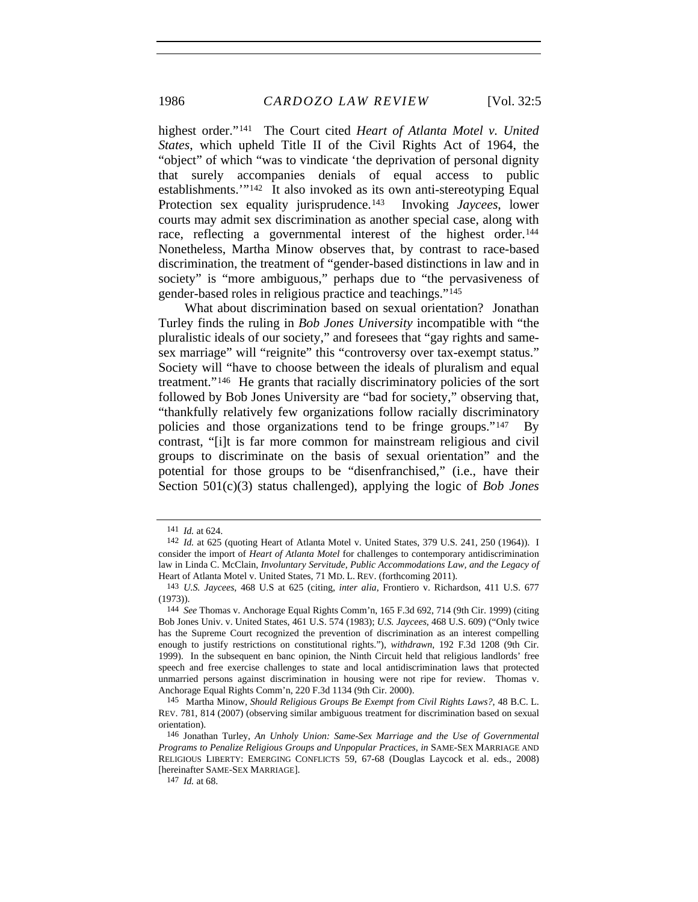highest order."[141](#page-29-0) The Court cited *Heart of Atlanta Motel v. United States*, which upheld Title II of the Civil Rights Act of 1964, the "object" of which "was to vindicate 'the deprivation of personal dignity that surely accompanies denials of equal access to public establishments.'"[142](#page-29-1) It also invoked as its own anti-stereotyping Equal Protection sex equality jurisprudence.[143](#page-29-2) Invoking *Jaycees*, lower courts may admit sex discrimination as another special case, along with race, reflecting a governmental interest of the highest order.<sup>[144](#page-29-3)</sup> Nonetheless, Martha Minow observes that, by contrast to race-based discrimination, the treatment of "gender-based distinctions in law and in society" is "more ambiguous," perhaps due to "the pervasiveness of gender-based roles in religious practice and teachings."[145](#page-29-4)

What about discrimination based on sexual orientation? Jonathan Turley finds the ruling in *Bob Jones University* incompatible with "the pluralistic ideals of our society," and foresees that "gay rights and samesex marriage" will "reignite" this "controversy over tax-exempt status." Society will "have to choose between the ideals of pluralism and equal treatment."[146](#page-29-5) He grants that racially discriminatory policies of the sort followed by Bob Jones University are "bad for society," observing that, "thankfully relatively few organizations follow racially discriminatory policies and those organizations tend to be fringe groups."<sup>[147](#page-29-6)</sup> contrast, "[i]t is far more common for mainstream religious and civil groups to discriminate on the basis of sexual orientation" and the potential for those groups to be "disenfranchised," (i.e., have their Section 501(c)(3) status challenged), applying the logic of *Bob Jones* 

147 *Id.* at 68.

<sup>141</sup> *Id.* at 624.

<span id="page-29-1"></span><span id="page-29-0"></span><sup>142</sup> *Id.* at 625 (quoting Heart of Atlanta Motel v. United States, 379 U.S. 241, 250 (1964)). I consider the import of *Heart of Atlanta Motel* for challenges to contemporary antidiscrimination law in Linda C. McClain, *Involuntary Servitude, Public Accommodations Law, and the Legacy of*  Heart of Atlanta Motel v. United States, 71 MD. L. REV. (forthcoming 2011).

<span id="page-29-2"></span><sup>143</sup> *U.S. Jaycees*, 468 U.S at 625 (citing, *inter alia*, Frontiero v. Richardson, 411 U.S. 677 (1973)).

<span id="page-29-3"></span><sup>144</sup> *See* Thomas v. Anchorage Equal Rights Comm'n, 165 F.3d 692, 714 (9th Cir. 1999) (citing Bob Jones Univ. v. United States, 461 U.S. 574 (1983); *U.S. Jaycees*, 468 U.S. 609) ("Only twice has the Supreme Court recognized the prevention of discrimination as an interest compelling enough to justify restrictions on constitutional rights."), *withdrawn*, 192 F.3d 1208 (9th Cir. 1999). In the subsequent en banc opinion, the Ninth Circuit held that religious landlords' free speech and free exercise challenges to state and local antidiscrimination laws that protected unmarried persons against discrimination in housing were not ripe for review. Thomas v. Anchorage Equal Rights Comm'n, 220 F.3d 1134 (9th Cir. 2000).

<span id="page-29-4"></span><sup>145</sup> Martha Minow, *Should Religious Groups Be Exempt from Civil Rights Laws?*, 48 B.C. L. REV. 781, 814 (2007) (observing similar ambiguous treatment for discrimination based on sexual orientation).

<span id="page-29-6"></span><span id="page-29-5"></span><sup>146</sup> Jonathan Turley, *An Unholy Union: Same-Sex Marriage and the Use of Governmental Programs to Penalize Religious Groups and Unpopular Practices*, *in* SAME-SEX MARRIAGE AND RELIGIOUS LIBERTY: EMERGING CONFLICTS 59, 67-68 (Douglas Laycock et al. eds., 2008) [hereinafter SAME-SEX MARRIAGE].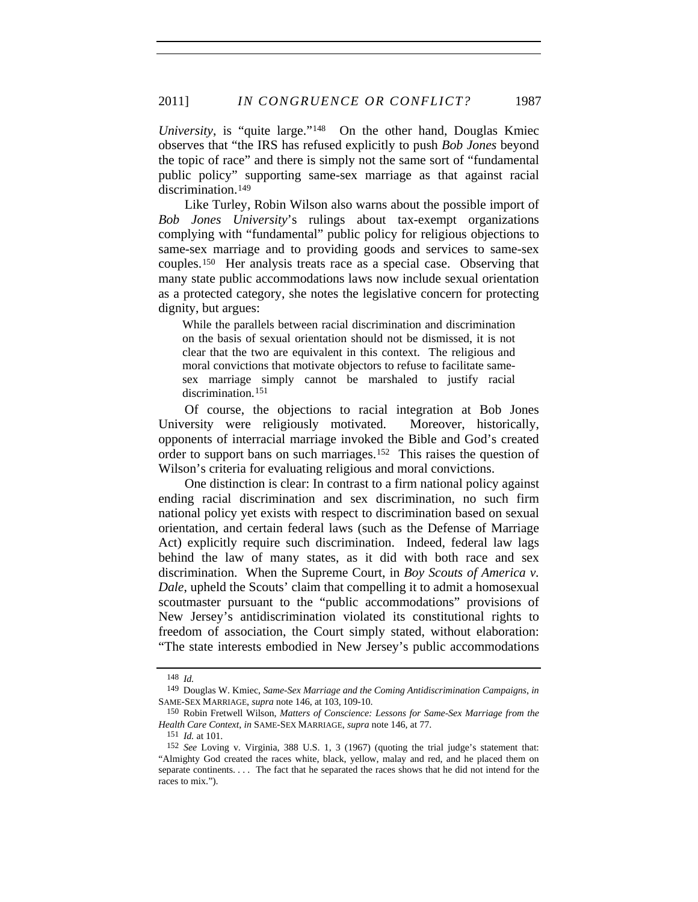*University*, is "quite large.["148](#page-30-0) On the other hand, Douglas Kmiec observes that "the IRS has refused explicitly to push *Bob Jones* beyond the topic of race" and there is simply not the same sort of "fundamental public policy" supporting same-sex marriage as that against racial discrimination.<sup>[149](#page-30-1)</sup>

Like Turley, Robin Wilson also warns about the possible import of *Bob Jones University*'s rulings about tax-exempt organizations complying with "fundamental" public policy for religious objections to same-sex marriage and to providing goods and services to same-sex couples.[150](#page-30-2) Her analysis treats race as a special case. Observing that many state public accommodations laws now include sexual orientation as a protected category, she notes the legislative concern for protecting dignity, but argues:

While the parallels between racial discrimination and discrimination on the basis of sexual orientation should not be dismissed, it is not clear that the two are equivalent in this context. The religious and moral convictions that motivate objectors to refuse to facilitate samesex marriage simply cannot be marshaled to justify racial discrimination.<sup>[151](#page-30-3)</sup>

Of course, the objections to racial integration at Bob Jones University were religiously motivated. Moreover, historically, opponents of interracial marriage invoked the Bible and God's created order to support bans on such marriages.[152](#page-30-4) This raises the question of Wilson's criteria for evaluating religious and moral convictions.

One distinction is clear: In contrast to a firm national policy against ending racial discrimination and sex discrimination, no such firm national policy yet exists with respect to discrimination based on sexual orientation, and certain federal laws (such as the Defense of Marriage Act) explicitly require such discrimination. Indeed, federal law lags behind the law of many states, as it did with both race and sex discrimination. When the Supreme Court, in *Boy Scouts of America v. Dale*, upheld the Scouts' claim that compelling it to admit a homosexual scoutmaster pursuant to the "public accommodations" provisions of New Jersey's antidiscrimination violated its constitutional rights to freedom of association, the Court simply stated, without elaboration: "The state interests embodied in New Jersey's public accommodations

<sup>148</sup> *Id.*

<span id="page-30-1"></span><span id="page-30-0"></span><sup>149</sup> Douglas W. Kmiec, *Same-Sex Marriage and the Coming Antidiscrimination Campaigns*, *in* SAME-SEX MARRIAGE, *supra* note 146, at 103, 109-10.

<span id="page-30-2"></span><sup>150</sup> Robin Fretwell Wilson, *Matters of Conscience: Lessons for Same-Sex Marriage from the Health Care Context*, *in* SAME-SEX MARRIAGE, *supra* note 146, at 77.

<sup>151</sup> *Id.* at 101.

<span id="page-30-4"></span><span id="page-30-3"></span><sup>152</sup> *See* Loving v. Virginia, 388 U.S. 1, 3 (1967) (quoting the trial judge's statement that: "Almighty God created the races white, black, yellow, malay and red, and he placed them on separate continents. . . . The fact that he separated the races shows that he did not intend for the races to mix.").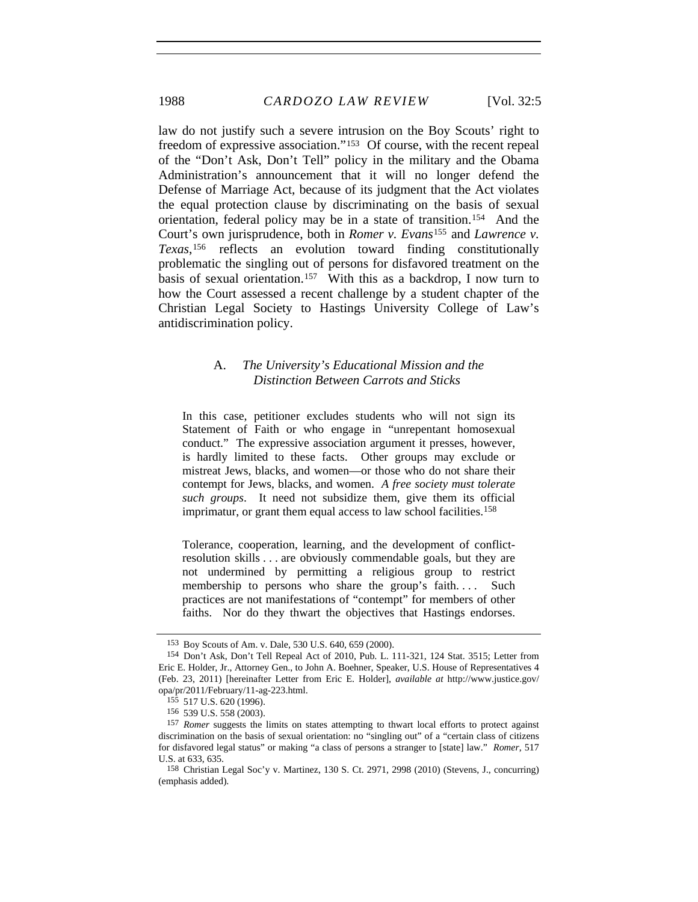law do not justify such a severe intrusion on the Boy Scouts' right to freedom of expressive association."[153](#page-31-0) Of course, with the recent repeal of the "Don't Ask, Don't Tell" policy in the military and the Obama Administration's announcement that it will no longer defend the Defense of Marriage Act, because of its judgment that the Act violates the equal protection clause by discriminating on the basis of sexual orientation, federal policy may be in a state of transition.[154](#page-31-1) And the Court's own jurisprudence, both in *Romer v. Evans*[155](#page-31-2) and *Lawrence v. Texas*,[156](#page-31-3) reflects an evolution toward finding constitutionally problematic the singling out of persons for disfavored treatment on the basis of sexual orientation.<sup>[157](#page-31-4)</sup> With this as a backdrop, I now turn to how the Court assessed a recent challenge by a student chapter of the Christian Legal Society to Hastings University College of Law's antidiscrimination policy.

## A. *The University's Educational Mission and the Distinction Between Carrots and Sticks*

In this case, petitioner excludes students who will not sign its Statement of Faith or who engage in "unrepentant homosexual conduct." The expressive association argument it presses, however, is hardly limited to these facts. Other groups may exclude or mistreat Jews, blacks, and women—or those who do not share their contempt for Jews, blacks, and women. *A free society must tolerate such groups*. It need not subsidize them, give them its official imprimatur, or grant them equal access to law school facilities.<sup>158</sup>

Tolerance, cooperation, learning, and the development of conflictresolution skills . . . are obviously commendable goals, but they are not undermined by permitting a religious group to restrict membership to persons who share the group's faith.... Such practices are not manifestations of "contempt" for members of other faiths. Nor do they thwart the objectives that Hastings endorses.

<sup>153</sup> Boy Scouts of Am. v. Dale, 530 U.S. 640, 659 (2000).

<span id="page-31-1"></span><span id="page-31-0"></span><sup>154</sup> Don't Ask, Don't Tell Repeal Act of 2010, Pub. L. 111-321, 124 Stat. 3515; Letter from Eric E. Holder, Jr., Attorney Gen., to John A. Boehner, Speaker, U.S. House of Representatives 4 (Feb. 23, 2011) [hereinafter Letter from Eric E. Holder], *available at* http://www.justice.gov/ opa/pr/2011/February/11-ag-223.html.

<sup>155 517</sup> U.S. 620 (1996).

<sup>156 539</sup> U.S. 558 (2003).

<span id="page-31-4"></span><span id="page-31-3"></span><span id="page-31-2"></span><sup>157</sup> *Romer* suggests the limits on states attempting to thwart local efforts to protect against discrimination on the basis of sexual orientation: no "singling out" of a "certain class of citizens for disfavored legal status" or making "a class of persons a stranger to [state] law." *Romer*, 517 U.S. at 633, 635.

<span id="page-31-5"></span><sup>158</sup> Christian Legal Soc'y v. Martinez, 130 S. Ct. 2971, 2998 (2010) (Stevens, J., concurring) (emphasis added).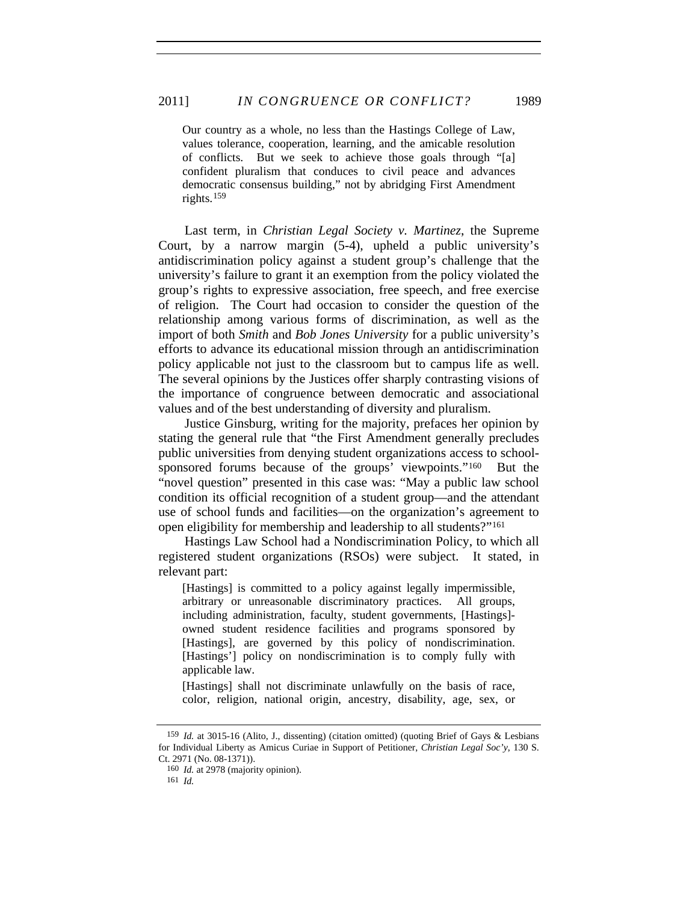Our country as a whole, no less than the Hastings College of Law, values tolerance, cooperation, learning, and the amicable resolution of conflicts. But we seek to achieve those goals through "[a] confident pluralism that conduces to civil peace and advances democratic consensus building," not by abridging First Amendment rights.[159](#page-32-0)

Last term, in *Christian Legal Society v. Martinez*, the Supreme Court, by a narrow margin (5-4), upheld a public university's antidiscrimination policy against a student group's challenge that the university's failure to grant it an exemption from the policy violated the group's rights to expressive association, free speech, and free exercise of religion. The Court had occasion to consider the question of the relationship among various forms of discrimination, as well as the import of both *Smith* and *Bob Jones University* for a public university's efforts to advance its educational mission through an antidiscrimination policy applicable not just to the classroom but to campus life as well. The several opinions by the Justices offer sharply contrasting visions of the importance of congruence between democratic and associational values and of the best understanding of diversity and pluralism.

Justice Ginsburg, writing for the majority, prefaces her opinion by stating the general rule that "the First Amendment generally precludes public universities from denying student organizations access to school-sponsored forums because of the groups' viewpoints."<sup>[160](#page-32-1)</sup> But the "novel question" presented in this case was: "May a public law school condition its official recognition of a student group—and the attendant use of school funds and facilities—on the organization's agreement to open eligibility for membership and leadership to all students?"[161](#page-32-2)

Hastings Law School had a Nondiscrimination Policy, to which all registered student organizations (RSOs) were subject. It stated, in relevant part:

[Hastings] is committed to a policy against legally impermissible, arbitrary or unreasonable discriminatory practices. All groups, including administration, faculty, student governments, [Hastings] owned student residence facilities and programs sponsored by [Hastings], are governed by this policy of nondiscrimination. [Hastings'] policy on nondiscrimination is to comply fully with applicable law.

[Hastings] shall not discriminate unlawfully on the basis of race, color, religion, national origin, ancestry, disability, age, sex, or

<span id="page-32-2"></span><span id="page-32-1"></span><span id="page-32-0"></span><sup>159</sup> *Id.* at 3015-16 (Alito, J., dissenting) (citation omitted) (quoting Brief of Gays & Lesbians for Individual Liberty as Amicus Curiae in Support of Petitioner, *Christian Legal Soc'y*, 130 S. Ct. 2971 (No. 08-1371)).

<sup>160</sup> *Id.* at 2978 (majority opinion).

<sup>161</sup> *Id.*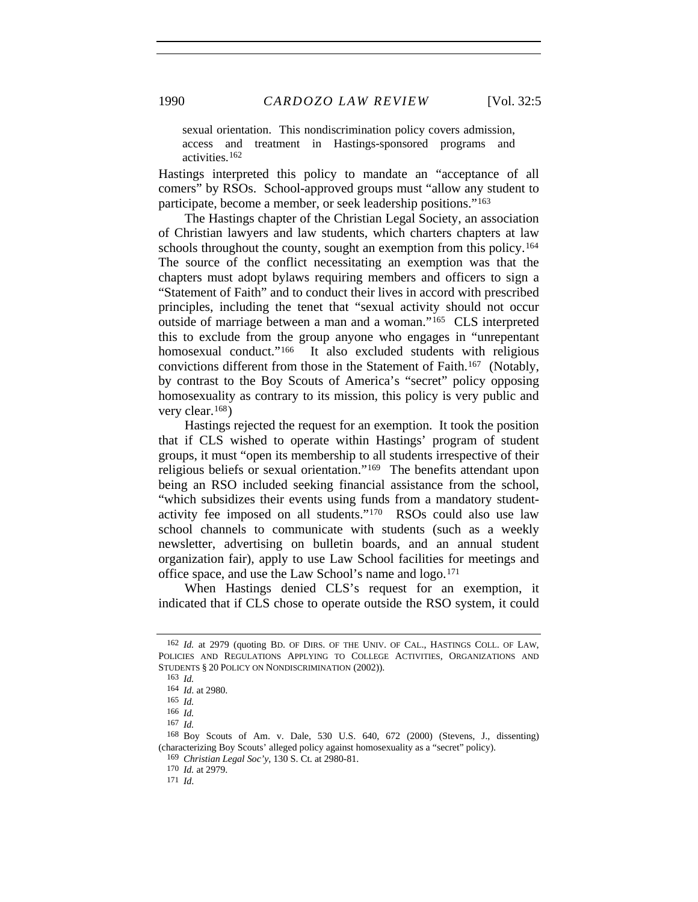sexual orientation. This nondiscrimination policy covers admission, access and treatment in Hastings-sponsored programs and activities.[162](#page-33-0)

Hastings interpreted this policy to mandate an "acceptance of all comers" by RSOs. School-approved groups must "allow any student to participate, become a member, or seek leadership positions."[163](#page-33-1)

The Hastings chapter of the Christian Legal Society, an association of Christian lawyers and law students, which charters chapters at law schools throughout the county, sought an exemption from this policy.<sup>[164](#page-33-2)</sup> The source of the conflict necessitating an exemption was that the chapters must adopt bylaws requiring members and officers to sign a "Statement of Faith" and to conduct their lives in accord with prescribed principles, including the tenet that "sexual activity should not occur outside of marriage between a man and a woman."[165](#page-33-3) CLS interpreted this to exclude from the group anyone who engages in "unrepentant homosexual conduct."<sup>[166](#page-33-4)</sup> It also excluded students with religious convictions different from those in the Statement of Faith.[167](#page-33-5) (Notably, by contrast to the Boy Scouts of America's "secret" policy opposing homosexuality as contrary to its mission, this policy is very public and very clear.[168](#page-33-6))

Hastings rejected the request for an exemption. It took the position that if CLS wished to operate within Hastings' program of student groups, it must "open its membership to all students irrespective of their religious beliefs or sexual orientation."[169](#page-33-7) The benefits attendant upon being an RSO included seeking financial assistance from the school, "which subsidizes their events using funds from a mandatory studentactivity fee imposed on all students."[170](#page-33-8) RSOs could also use law school channels to communicate with students (such as a weekly newsletter, advertising on bulletin boards, and an annual student organization fair), apply to use Law School facilities for meetings and office space, and use the Law School's name and logo.[171](#page-33-9)

When Hastings denied CLS's request for an exemption, it indicated that if CLS chose to operate outside the RSO system, it could

<span id="page-33-2"></span><span id="page-33-1"></span><span id="page-33-0"></span><sup>162</sup> *Id.* at 2979 (quoting BD. OF DIRS. OF THE UNIV. OF CAL., HASTINGS COLL. OF LAW, POLICIES AND REGULATIONS APPLYING TO COLLEGE ACTIVITIES, ORGANIZATIONS AND STUDENTS § 20 POLICY ON NONDISCRIMINATION (2002)).

<sup>163</sup> *Id.*

<sup>164</sup> *Id*. at 2980.

<sup>165</sup> *Id.*

<sup>166</sup> *Id.*

<sup>167</sup> *Id.*

<span id="page-33-9"></span><span id="page-33-8"></span><span id="page-33-7"></span><span id="page-33-6"></span><span id="page-33-5"></span><span id="page-33-4"></span><span id="page-33-3"></span><sup>168</sup> Boy Scouts of Am. v. Dale, 530 U.S. 640, 672 (2000) (Stevens, J., dissenting) (characterizing Boy Scouts' alleged policy against homosexuality as a "secret" policy).

<sup>169</sup> *Christian Legal Soc'y*, 130 S. Ct. at 2980-81.

<sup>170</sup> *Id.* at 2979.

<sup>171</sup> *Id*.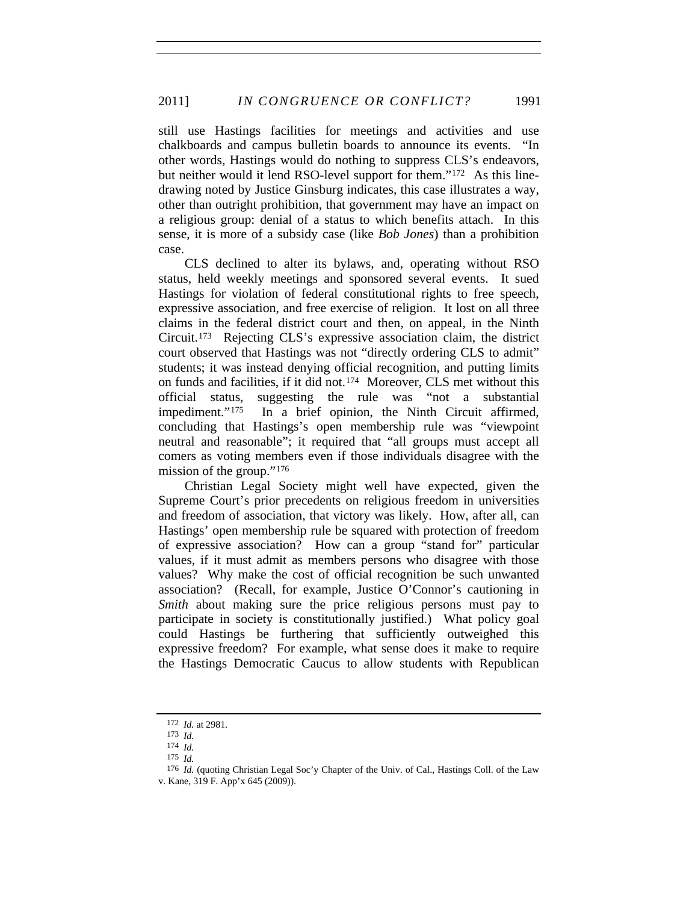still use Hastings facilities for meetings and activities and use chalkboards and campus bulletin boards to announce its events. "In other words, Hastings would do nothing to suppress CLS's endeavors, but neither would it lend RSO-level support for them."[172](#page-34-0) As this linedrawing noted by Justice Ginsburg indicates, this case illustrates a way, other than outright prohibition, that government may have an impact on a religious group: denial of a status to which benefits attach. In this sense, it is more of a subsidy case (like *Bob Jones*) than a prohibition case.

CLS declined to alter its bylaws, and, operating without RSO status, held weekly meetings and sponsored several events. It sued Hastings for violation of federal constitutional rights to free speech, expressive association, and free exercise of religion. It lost on all three claims in the federal district court and then, on appeal, in the Ninth Circuit.[173](#page-34-1) Rejecting CLS's expressive association claim, the district court observed that Hastings was not "directly ordering CLS to admit" students; it was instead denying official recognition, and putting limits on funds and facilities, if it did not.[174](#page-34-2) Moreover, CLS met without this official status, suggesting the rule was "not a substantial impediment."<sup>[175](#page-34-3)</sup> In a brief opinion, the Ninth Circuit affirmed, concluding that Hastings's open membership rule was "viewpoint neutral and reasonable"; it required that "all groups must accept all comers as voting members even if those individuals disagree with the mission of the group."[176](#page-34-4)

Christian Legal Society might well have expected, given the Supreme Court's prior precedents on religious freedom in universities and freedom of association, that victory was likely. How, after all, can Hastings' open membership rule be squared with protection of freedom of expressive association? How can a group "stand for" particular values, if it must admit as members persons who disagree with those values? Why make the cost of official recognition be such unwanted association? (Recall, for example, Justice O'Connor's cautioning in *Smith* about making sure the price religious persons must pay to participate in society is constitutionally justified.) What policy goal could Hastings be furthering that sufficiently outweighed this expressive freedom? For example, what sense does it make to require the Hastings Democratic Caucus to allow students with Republican

<sup>172</sup> *Id.* at 2981.

<sup>173</sup> *Id.*

<sup>174</sup> *Id.*

<sup>175</sup> *Id.*

<span id="page-34-4"></span><span id="page-34-3"></span><span id="page-34-2"></span><span id="page-34-1"></span><span id="page-34-0"></span><sup>176</sup> *Id.* (quoting Christian Legal Soc'y Chapter of the Univ. of Cal., Hastings Coll. of the Law v. Kane, 319 F. App'x 645 (2009)).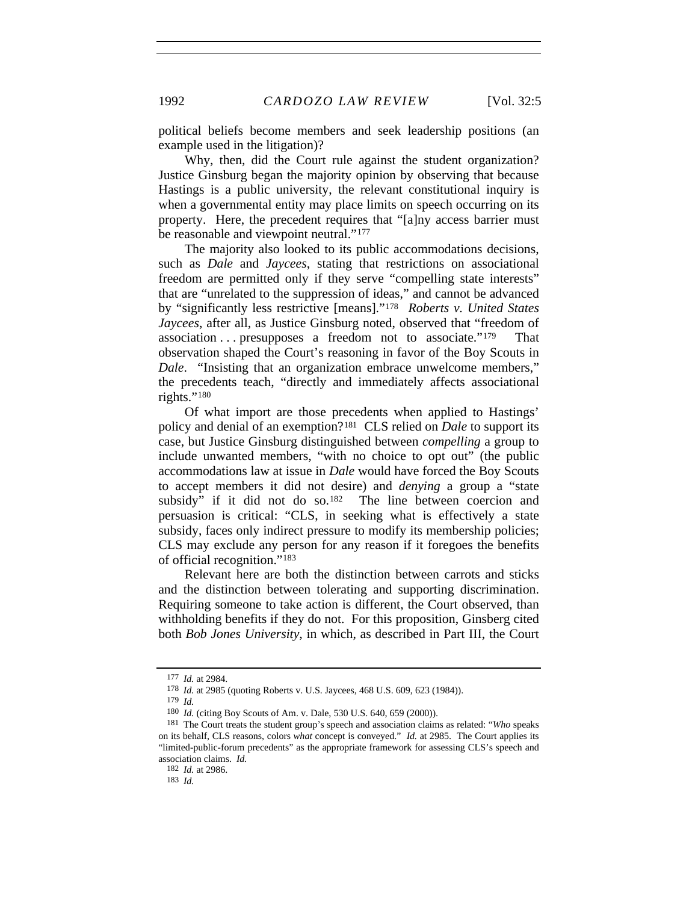1992 *CARDOZO LAW REVIEW* [Vol. 32:5

political beliefs become members and seek leadership positions (an example used in the litigation)?

Why, then, did the Court rule against the student organization? Justice Ginsburg began the majority opinion by observing that because Hastings is a public university, the relevant constitutional inquiry is when a governmental entity may place limits on speech occurring on its property. Here, the precedent requires that "[a]ny access barrier must be reasonable and viewpoint neutral."<sup>[177](#page-35-0)</sup>

The majority also looked to its public accommodations decisions, such as *Dale* and *Jaycees*, stating that restrictions on associational freedom are permitted only if they serve "compelling state interests" that are "unrelated to the suppression of ideas," and cannot be advanced by "significantly less restrictive [means]."[178](#page-35-1) *Roberts v. United States Jaycees*, after all, as Justice Ginsburg noted, observed that "freedom of association . . . presupposes a freedom not to associate."[179](#page-35-2) That observation shaped the Court's reasoning in favor of the Boy Scouts in *Dale*. "Insisting that an organization embrace unwelcome members," the precedents teach, "directly and immediately affects associational rights."[180](#page-35-3)

Of what import are those precedents when applied to Hastings' policy and denial of an exemption?[181](#page-35-4) CLS relied on *Dale* to support its case, but Justice Ginsburg distinguished between *compelling* a group to include unwanted members, "with no choice to opt out" (the public accommodations law at issue in *Dale* would have forced the Boy Scouts to accept members it did not desire) and *denying* a group a "state subsidy" if it did not do so.<sup>[182](#page-35-5)</sup> The line between coercion and persuasion is critical: "CLS, in seeking what is effectively a state subsidy, faces only indirect pressure to modify its membership policies; CLS may exclude any person for any reason if it foregoes the benefits of official recognition."[183](#page-35-6)

Relevant here are both the distinction between carrots and sticks and the distinction between tolerating and supporting discrimination. Requiring someone to take action is different, the Court observed, than withholding benefits if they do not. For this proposition, Ginsberg cited both *Bob Jones University*, in which, as described in Part III, the Court

<sup>177</sup> *Id.* at 2984.

<sup>178</sup> *Id.* at 2985 (quoting Roberts v. U.S. Jaycees, 468 U.S. 609, 623 (1984)).

<sup>179</sup> *Id.*

<sup>180</sup> *Id.* (citing Boy Scouts of Am. v. Dale, 530 U.S. 640, 659 (2000)).

<span id="page-35-5"></span><span id="page-35-4"></span><span id="page-35-3"></span><span id="page-35-2"></span><span id="page-35-1"></span><span id="page-35-0"></span><sup>181</sup> The Court treats the student group's speech and association claims as related: "*Who* speaks on its behalf, CLS reasons, colors *what* concept is conveyed." *Id.* at 2985. The Court applies its "limited-public-forum precedents" as the appropriate framework for assessing CLS's speech and association claims. *Id.*

<span id="page-35-6"></span><sup>182</sup> *Id.* at 2986.

<sup>183</sup> *Id.*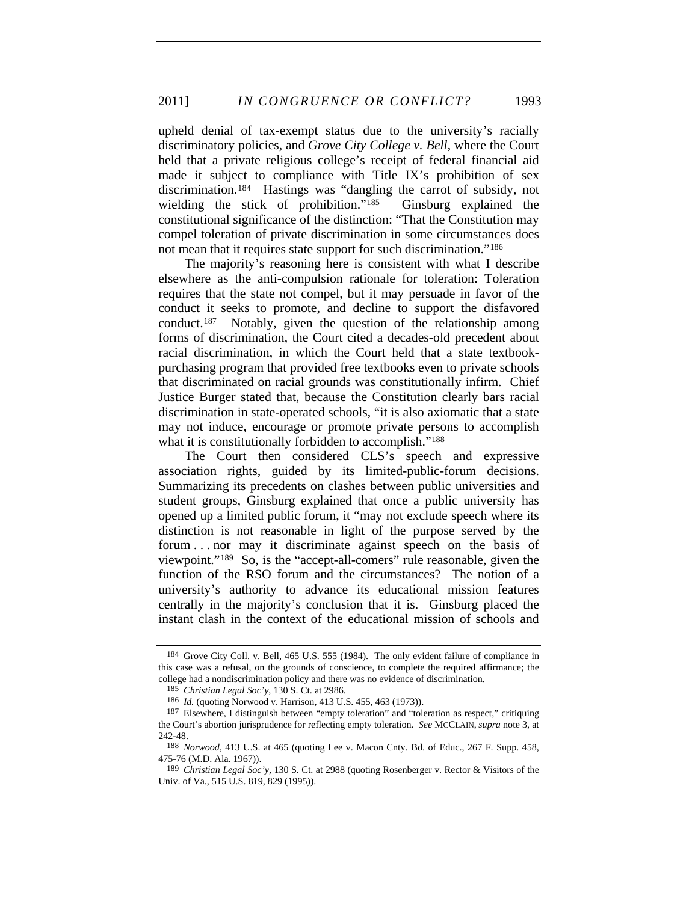upheld denial of tax-exempt status due to the university's racially discriminatory policies, and *Grove City College v. Bell*, where the Court held that a private religious college's receipt of federal financial aid made it subject to compliance with Title IX's prohibition of sex discrimination.[184](#page-36-0) Hastings was "dangling the carrot of subsidy, not wielding the stick of prohibition."<sup>[185](#page-36-1)</sup> Ginsburg explained the constitutional significance of the distinction: "That the Constitution may compel toleration of private discrimination in some circumstances does not mean that it requires state support for such discrimination."<sup>[186](#page-36-2)</sup>

The majority's reasoning here is consistent with what I describe elsewhere as the anti-compulsion rationale for toleration: Toleration requires that the state not compel, but it may persuade in favor of the conduct it seeks to promote, and decline to support the disfavored conduct.[187](#page-36-3) Notably, given the question of the relationship among forms of discrimination, the Court cited a decades-old precedent about racial discrimination, in which the Court held that a state textbookpurchasing program that provided free textbooks even to private schools that discriminated on racial grounds was constitutionally infirm. Chief Justice Burger stated that, because the Constitution clearly bars racial discrimination in state-operated schools, "it is also axiomatic that a state may not induce, encourage or promote private persons to accomplish what it is constitutionally forbidden to accomplish."<sup>[188](#page-36-4)</sup>

The Court then considered CLS's speech and expressive association rights, guided by its limited-public-forum decisions. Summarizing its precedents on clashes between public universities and student groups, Ginsburg explained that once a public university has opened up a limited public forum, it "may not exclude speech where its distinction is not reasonable in light of the purpose served by the forum . . . nor may it discriminate against speech on the basis of viewpoint."[189](#page-36-5) So, is the "accept-all-comers" rule reasonable, given the function of the RSO forum and the circumstances? The notion of a university's authority to advance its educational mission features centrally in the majority's conclusion that it is. Ginsburg placed the instant clash in the context of the educational mission of schools and

<span id="page-36-0"></span><sup>184</sup> Grove City Coll. v. Bell, 465 U.S. 555 (1984). The only evident failure of compliance in this case was a refusal, on the grounds of conscience, to complete the required affirmance; the college had a nondiscrimination policy and there was no evidence of discrimination.

<sup>185</sup> *Christian Legal Soc'y*, 130 S. Ct. at 2986.

<sup>186</sup> *Id.* (quoting Norwood v. Harrison, 413 U.S. 455, 463 (1973)).

<span id="page-36-3"></span><span id="page-36-2"></span><span id="page-36-1"></span><sup>187</sup> Elsewhere, I distinguish between "empty toleration" and "toleration as respect," critiquing the Court's abortion jurisprudence for reflecting empty toleration. *See* MCCLAIN, *supra* note 3, at 242-48.

<span id="page-36-4"></span><sup>188</sup> *Norwood*, 413 U.S. at 465 (quoting Lee v. Macon Cnty. Bd. of Educ., 267 F. Supp. 458, 475-76 (M.D. Ala. 1967)).

<span id="page-36-5"></span><sup>189</sup> *Christian Legal Soc'y*, 130 S. Ct. at 2988 (quoting Rosenberger v. Rector & Visitors of the Univ. of Va., 515 U.S. 819, 829 (1995)).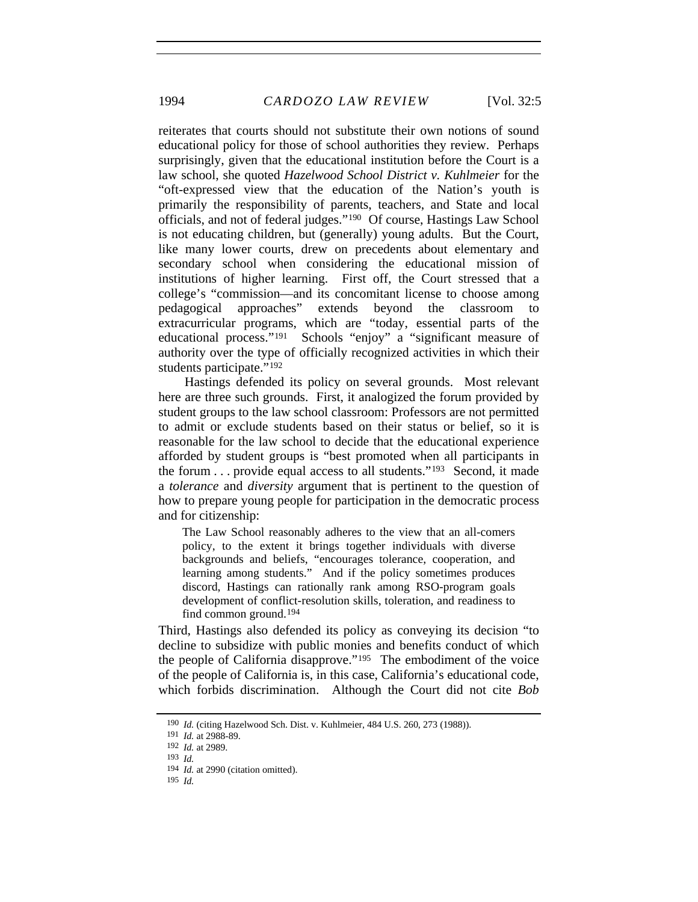reiterates that courts should not substitute their own notions of sound educational policy for those of school authorities they review. Perhaps surprisingly, given that the educational institution before the Court is a law school, she quoted *Hazelwood School District v. Kuhlmeier* for the "oft-expressed view that the education of the Nation's youth is primarily the responsibility of parents, teachers, and State and local officials, and not of federal judges."[190](#page-37-0) Of course, Hastings Law School is not educating children, but (generally) young adults. But the Court, like many lower courts, drew on precedents about elementary and secondary school when considering the educational mission of institutions of higher learning. First off, the Court stressed that a college's "commission—and its concomitant license to choose among pedagogical approaches" extends beyond the classroom to extracurricular programs, which are "today, essential parts of the educational process."[191](#page-37-1) Schools "enjoy" a "significant measure of authority over the type of officially recognized activities in which their students participate."<sup>[192](#page-37-2)</sup>

Hastings defended its policy on several grounds. Most relevant here are three such grounds. First, it analogized the forum provided by student groups to the law school classroom: Professors are not permitted to admit or exclude students based on their status or belief, so it is reasonable for the law school to decide that the educational experience afforded by student groups is "best promoted when all participants in the forum . . . provide equal access to all students."[193](#page-37-3) Second, it made a *tolerance* and *diversity* argument that is pertinent to the question of how to prepare young people for participation in the democratic process and for citizenship:

The Law School reasonably adheres to the view that an all-comers policy, to the extent it brings together individuals with diverse backgrounds and beliefs, "encourages tolerance, cooperation, and learning among students." And if the policy sometimes produces discord, Hastings can rationally rank among RSO-program goals development of conflict-resolution skills, toleration, and readiness to find common ground.[194](#page-37-4)

Third, Hastings also defended its policy as conveying its decision "to decline to subsidize with public monies and benefits conduct of which the people of California disapprove."[195](#page-37-5) The embodiment of the voice of the people of California is, in this case, California's educational code, which forbids discrimination. Although the Court did not cite *Bob* 

<span id="page-37-1"></span><span id="page-37-0"></span><sup>190</sup> *Id.* (citing Hazelwood Sch. Dist. v. Kuhlmeier, 484 U.S. 260, 273 (1988)).

<sup>191</sup> *Id.* at 2988-89.

<span id="page-37-2"></span><sup>192</sup> *Id.* at 2989.

<sup>193</sup> *Id.*

<span id="page-37-4"></span><span id="page-37-3"></span><sup>194</sup> *Id.* at 2990 (citation omitted).

<span id="page-37-5"></span><sup>195</sup> *Id.*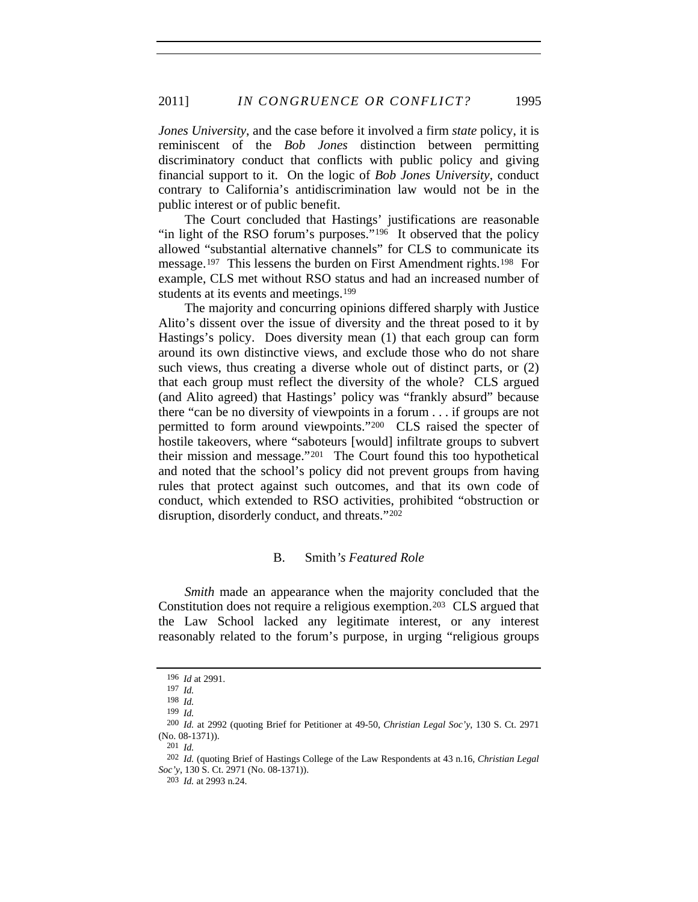*Jones University*, and the case before it involved a firm *state* policy, it is reminiscent of the *Bob Jones* distinction between permitting discriminatory conduct that conflicts with public policy and giving financial support to it. On the logic of *Bob Jones University*, conduct contrary to California's antidiscrimination law would not be in the public interest or of public benefit.

The Court concluded that Hastings' justifications are reasonable "in light of the RSO forum's purposes."<sup>[196](#page-38-0)</sup> It observed that the policy allowed "substantial alternative channels" for CLS to communicate its message.[197](#page-38-1) This lessens the burden on First Amendment rights.[198](#page-38-2) For example, CLS met without RSO status and had an increased number of students at its events and meetings.<sup>[199](#page-38-3)</sup>

The majority and concurring opinions differed sharply with Justice Alito's dissent over the issue of diversity and the threat posed to it by Hastings's policy. Does diversity mean (1) that each group can form around its own distinctive views, and exclude those who do not share such views, thus creating a diverse whole out of distinct parts, or (2) that each group must reflect the diversity of the whole? CLS argued (and Alito agreed) that Hastings' policy was "frankly absurd" because there "can be no diversity of viewpoints in a forum . . . if groups are not permitted to form around viewpoints."[200](#page-38-4) CLS raised the specter of hostile takeovers, where "saboteurs [would] infiltrate groups to subvert their mission and message."[201](#page-38-5) The Court found this too hypothetical and noted that the school's policy did not prevent groups from having rules that protect against such outcomes, and that its own code of conduct, which extended to RSO activities, prohibited "obstruction or disruption, disorderly conduct, and threats."[202](#page-38-6)

#### B. Smith*'s Featured Role*

*Smith* made an appearance when the majority concluded that the Constitution does not require a religious exemption.[203](#page-38-7) CLS argued that the Law School lacked any legitimate interest, or any interest reasonably related to the forum's purpose, in urging "religious groups

201 *Id.*

<sup>196</sup> *Id* at 2991.

<sup>197</sup> *Id.*

<span id="page-38-0"></span><sup>198</sup> *Id.*

<sup>199</sup> *Id.*

<span id="page-38-4"></span><span id="page-38-3"></span><span id="page-38-2"></span><span id="page-38-1"></span><sup>200</sup> *Id.* at 2992 (quoting Brief for Petitioner at 49-50, *Christian Legal Soc'y*, 130 S. Ct. 2971 (No. 08-1371)).

<span id="page-38-7"></span><span id="page-38-6"></span><span id="page-38-5"></span><sup>202</sup> *Id.* (quoting Brief of Hastings College of the Law Respondents at 43 n.16, *Christian Legal Soc'y*, 130 S. Ct. 2971 (No. 08-1371)).

<sup>203</sup> *Id.* at 2993 n.24.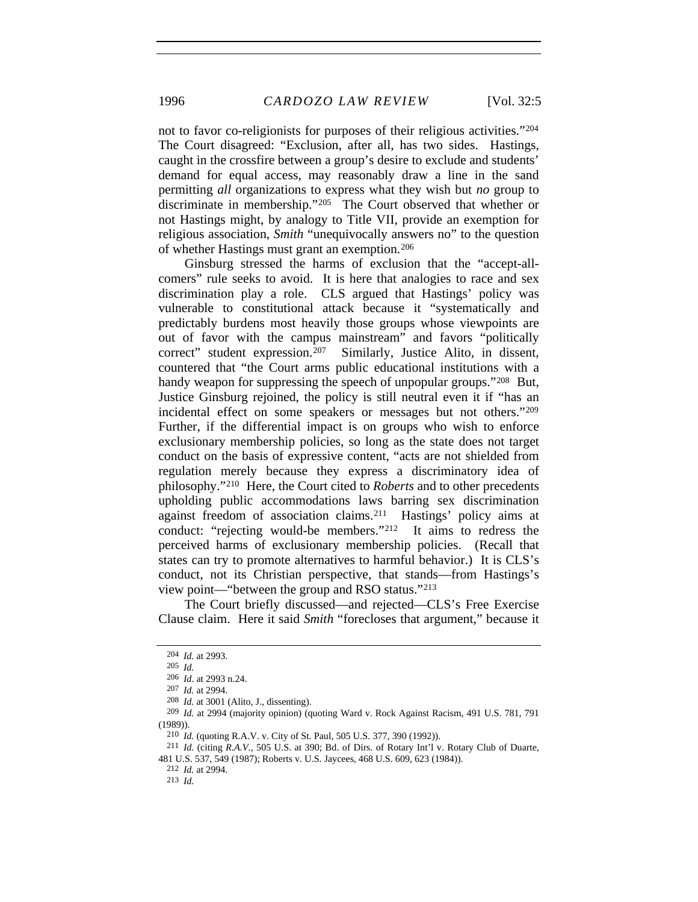not to favor co-religionists for purposes of their religious activities."[204](#page-39-0) The Court disagreed: "Exclusion, after all, has two sides. Hastings, caught in the crossfire between a group's desire to exclude and students' demand for equal access, may reasonably draw a line in the sand permitting *all* organizations to express what they wish but *no* group to discriminate in membership."[205](#page-39-1) The Court observed that whether or not Hastings might, by analogy to Title VII, provide an exemption for religious association, *Smith* "unequivocally answers no" to the question of whether Hastings must grant an exemption.[206](#page-39-2)

Ginsburg stressed the harms of exclusion that the "accept-allcomers" rule seeks to avoid. It is here that analogies to race and sex discrimination play a role. CLS argued that Hastings' policy was vulnerable to constitutional attack because it "systematically and predictably burdens most heavily those groups whose viewpoints are out of favor with the campus mainstream" and favors "politically correct" student expression.[207](#page-39-3) Similarly, Justice Alito, in dissent, countered that "the Court arms public educational institutions with a handy weapon for suppressing the speech of unpopular groups."<sup>[208](#page-39-4)</sup> But, Justice Ginsburg rejoined, the policy is still neutral even it if "has an incidental effect on some speakers or messages but not others."[209](#page-39-5) Further, if the differential impact is on groups who wish to enforce exclusionary membership policies, so long as the state does not target conduct on the basis of expressive content, "acts are not shielded from regulation merely because they express a discriminatory idea of philosophy."[210](#page-39-6) Here, the Court cited to *Roberts* and to other precedents upholding public accommodations laws barring sex discrimination against freedom of association claims.[211](#page-39-7) Hastings' policy aims at conduct: "rejecting would-be members."[212](#page-39-8) It aims to redress the perceived harms of exclusionary membership policies. (Recall that states can try to promote alternatives to harmful behavior.) It is CLS's conduct, not its Christian perspective, that stands—from Hastings's view point—"between the group and RSO status."[213](#page-39-9)

The Court briefly discussed—and rejected—CLS's Free Exercise Clause claim. Here it said *Smith* "forecloses that argument," because it

<sup>204</sup> *Id.* at 2993.

<span id="page-39-0"></span><sup>205</sup> *Id.*

<sup>206</sup> *Id*. at 2993 n.24.

<sup>207</sup> *Id.* at 2994.

<sup>208</sup> *Id.* at 3001 (Alito, J., dissenting).

<span id="page-39-6"></span><span id="page-39-5"></span><span id="page-39-4"></span><span id="page-39-3"></span><span id="page-39-2"></span><span id="page-39-1"></span><sup>209</sup> *Id.* at 2994 (majority opinion) (quoting Ward v. Rock Against Racism, 491 U.S. 781, 791 (1989)).

<sup>210</sup> *Id.* (quoting R.A.V. v. City of St. Paul, 505 U.S. 377, 390 (1992)).

<sup>211</sup> *Id.* (citing *R.A.V.*, 505 U.S. at 390; Bd. of Dirs. of Rotary Int'l v. Rotary Club of Duarte,

<span id="page-39-9"></span><span id="page-39-8"></span><span id="page-39-7"></span><sup>481</sup> U.S. 537, 549 (1987); Roberts v. U.S. Jaycees, 468 U.S. 609, 623 (1984)).

<sup>212</sup> *Id.* at 2994.

<sup>213</sup> *Id.*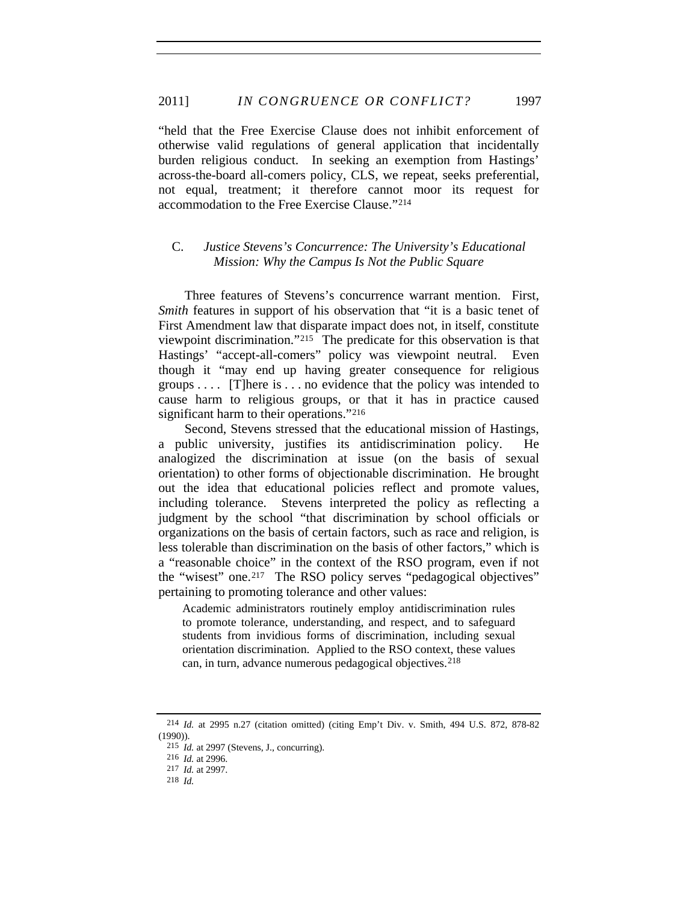"held that the Free Exercise Clause does not inhibit enforcement of otherwise valid regulations of general application that incidentally burden religious conduct. In seeking an exemption from Hastings' across-the-board all-comers policy, CLS, we repeat, seeks preferential, not equal, treatment; it therefore cannot moor its request for accommodation to the Free Exercise Clause."[214](#page-40-0)

### C. *Justice Stevens's Concurrence: The University's Educational Mission: Why the Campus Is Not the Public Square*

Three features of Stevens's concurrence warrant mention. First, *Smith* features in support of his observation that "it is a basic tenet of First Amendment law that disparate impact does not, in itself, constitute viewpoint discrimination."[215](#page-40-1) The predicate for this observation is that Hastings' "accept-all-comers" policy was viewpoint neutral. Even though it "may end up having greater consequence for religious groups  $\ldots$  [T] here is  $\ldots$  no evidence that the policy was intended to cause harm to religious groups, or that it has in practice caused significant harm to their operations."<sup>[216](#page-40-2)</sup>

Second, Stevens stressed that the educational mission of Hastings, a public university, justifies its antidiscrimination policy. He analogized the discrimination at issue (on the basis of sexual orientation) to other forms of objectionable discrimination. He brought out the idea that educational policies reflect and promote values, including tolerance. Stevens interpreted the policy as reflecting a judgment by the school "that discrimination by school officials or organizations on the basis of certain factors, such as race and religion, is less tolerable than discrimination on the basis of other factors," which is a "reasonable choice" in the context of the RSO program, even if not the "wisest" one.<sup>[217](#page-40-3)</sup> The RSO policy serves "pedagogical objectives" pertaining to promoting tolerance and other values:

Academic administrators routinely employ antidiscrimination rules to promote tolerance, understanding, and respect, and to safeguard students from invidious forms of discrimination, including sexual orientation discrimination. Applied to the RSO context, these values can, in turn, advance numerous pedagogical objectives.[218](#page-40-4)

<span id="page-40-2"></span><span id="page-40-1"></span><span id="page-40-0"></span><sup>214</sup> *Id.* at 2995 n.27 (citation omitted) (citing Emp't Div. v. Smith, 494 U.S. 872, 878-82 (1990)).

<sup>215</sup> *Id.* at 2997 (Stevens, J., concurring).

<sup>216</sup> *Id.* at 2996.

<sup>217</sup> *Id.* at 2997.

<span id="page-40-4"></span><span id="page-40-3"></span><sup>218</sup> *Id.*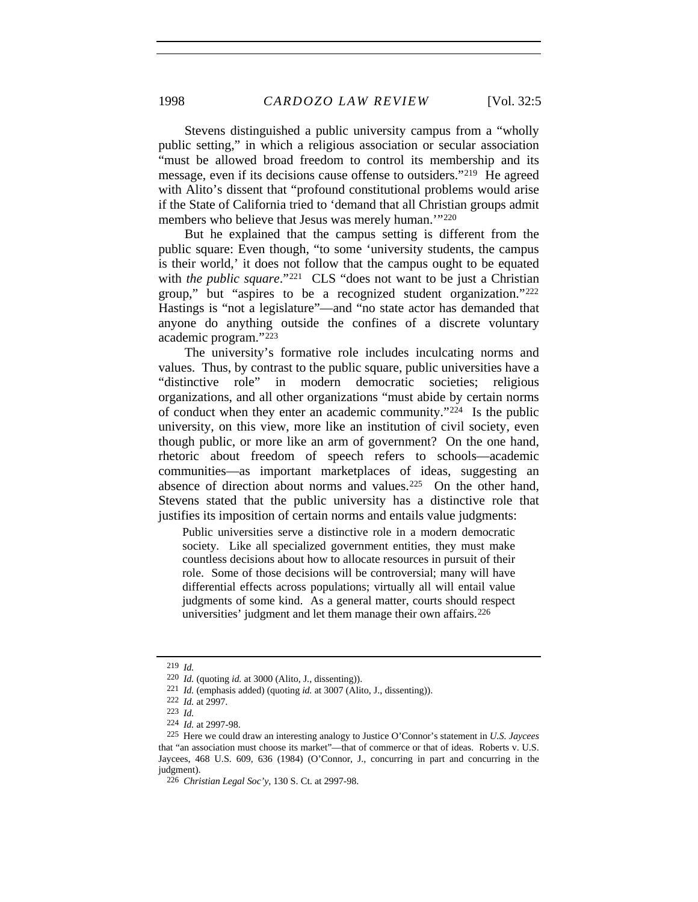Stevens distinguished a public university campus from a "wholly public setting," in which a religious association or secular association "must be allowed broad freedom to control its membership and its message, even if its decisions cause offense to outsiders.["219](#page-41-0) He agreed with Alito's dissent that "profound constitutional problems would arise if the State of California tried to 'demand that all Christian groups admit members who believe that Jesus was merely human."<sup>[220](#page-41-1)</sup>

But he explained that the campus setting is different from the public square: Even though, "to some 'university students, the campus is their world,' it does not follow that the campus ought to be equated with *the public square*."<sup>[221](#page-41-2)</sup> CLS "does not want to be just a Christian group," but "aspires to be a recognized student organization."[222](#page-41-3) Hastings is "not a legislature"—and "no state actor has demanded that anyone do anything outside the confines of a discrete voluntary academic program."[223](#page-41-4)

The university's formative role includes inculcating norms and values. Thus, by contrast to the public square, public universities have a "distinctive role" in modern democratic societies; religious organizations, and all other organizations "must abide by certain norms of conduct when they enter an academic community."[224](#page-41-5) Is the public university, on this view, more like an institution of civil society, even though public, or more like an arm of government? On the one hand, rhetoric about freedom of speech refers to schools—academic communities—as important marketplaces of ideas, suggesting an absence of direction about norms and values.[225](#page-41-6) On the other hand, Stevens stated that the public university has a distinctive role that justifies its imposition of certain norms and entails value judgments:

Public universities serve a distinctive role in a modern democratic society. Like all specialized government entities, they must make countless decisions about how to allocate resources in pursuit of their role. Some of those decisions will be controversial; many will have differential effects across populations; virtually all will entail value judgments of some kind. As a general matter, courts should respect universities' judgment and let them manage their own affairs.<sup>[226](#page-41-7)</sup>

<span id="page-41-0"></span><sup>219</sup> *Id.*

<span id="page-41-1"></span><sup>220</sup> *Id.* (quoting *id.* at 3000 (Alito, J., dissenting)).

<sup>221</sup> *Id.* (emphasis added) (quoting *id.* at 3007 (Alito, J., dissenting)).

<sup>222</sup> *Id.* at 2997.

<sup>223</sup> *Id.*

<sup>224</sup> *Id.* at 2997-98.

<span id="page-41-7"></span><span id="page-41-6"></span><span id="page-41-5"></span><span id="page-41-4"></span><span id="page-41-3"></span><span id="page-41-2"></span><sup>225</sup> Here we could draw an interesting analogy to Justice O'Connor's statement in *U.S. Jaycees* that "an association must choose its market"—that of commerce or that of ideas. Roberts v. U.S. Jaycees, 468 U.S. 609, 636 (1984) (O'Connor, J., concurring in part and concurring in the judgment).

<sup>226</sup> *Christian Legal Soc'y*, 130 S. Ct. at 2997-98.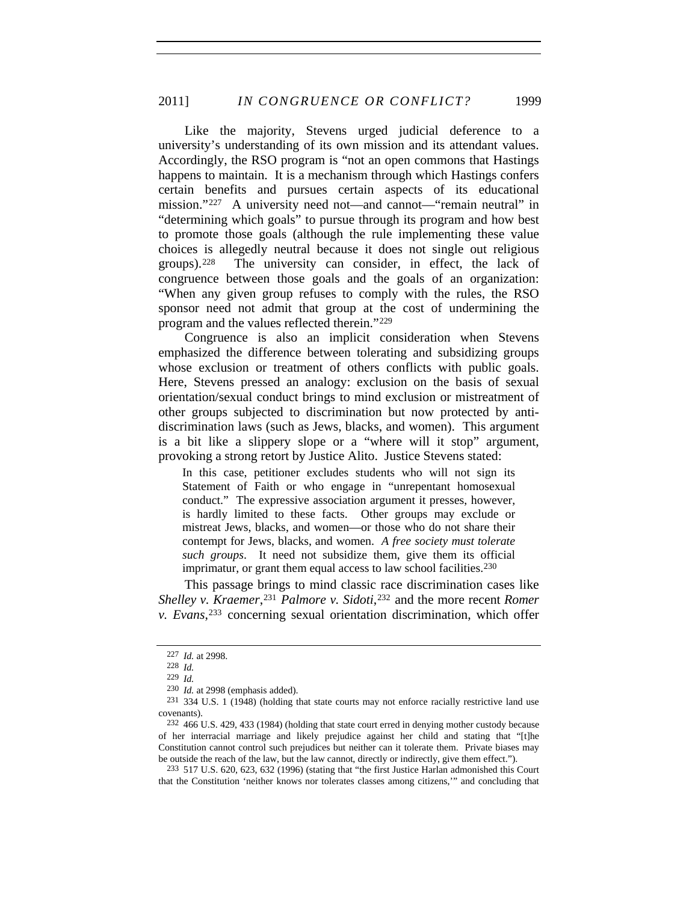Like the majority, Stevens urged judicial deference to a university's understanding of its own mission and its attendant values. Accordingly, the RSO program is "not an open commons that Hastings happens to maintain. It is a mechanism through which Hastings confers certain benefits and pursues certain aspects of its educational mission."[227](#page-42-0) A university need not—and cannot—"remain neutral" in "determining which goals" to pursue through its program and how best to promote those goals (although the rule implementing these value choices is allegedly neutral because it does not single out religious groups).[228](#page-42-1) The university can consider, in effect, the lack of congruence between those goals and the goals of an organization: "When any given group refuses to comply with the rules, the RSO sponsor need not admit that group at the cost of undermining the program and the values reflected therein."[229](#page-42-2)

Congruence is also an implicit consideration when Stevens emphasized the difference between tolerating and subsidizing groups whose exclusion or treatment of others conflicts with public goals. Here, Stevens pressed an analogy: exclusion on the basis of sexual orientation/sexual conduct brings to mind exclusion or mistreatment of other groups subjected to discrimination but now protected by antidiscrimination laws (such as Jews, blacks, and women). This argument is a bit like a slippery slope or a "where will it stop" argument, provoking a strong retort by Justice Alito. Justice Stevens stated:

In this case, petitioner excludes students who will not sign its Statement of Faith or who engage in "unrepentant homosexual conduct." The expressive association argument it presses, however, is hardly limited to these facts. Other groups may exclude or mistreat Jews, blacks, and women—or those who do not share their contempt for Jews, blacks, and women. *A free society must tolerate such groups*. It need not subsidize them, give them its official imprimatur, or grant them equal access to law school facilities. $230$ 

This passage brings to mind classic race discrimination cases like *Shelley v. Kraemer*,<sup>[231](#page-42-4)</sup> *Palmore v. Sidoti*,<sup>[232](#page-42-5)</sup> and the more recent *Romer v. Evans*,[233](#page-42-6) concerning sexual orientation discrimination, which offer

<span id="page-42-6"></span>233 517 U.S. 620, 623, 632 (1996) (stating that "the first Justice Harlan admonished this Court that the Constitution 'neither knows nor tolerates classes among citizens,'" and concluding that

<span id="page-42-0"></span><sup>227</sup> *Id.* at 2998.

<sup>228</sup> *Id.*

<sup>229</sup> *Id.*

<sup>230</sup> *Id.* at 2998 (emphasis added).

<span id="page-42-4"></span><span id="page-42-3"></span><span id="page-42-2"></span><span id="page-42-1"></span><sup>231 334</sup> U.S. 1 (1948) (holding that state courts may not enforce racially restrictive land use covenants).

<span id="page-42-5"></span><sup>232 466</sup> U.S. 429, 433 (1984) (holding that state court erred in denying mother custody because of her interracial marriage and likely prejudice against her child and stating that "[t]he Constitution cannot control such prejudices but neither can it tolerate them. Private biases may be outside the reach of the law, but the law cannot, directly or indirectly, give them effect.").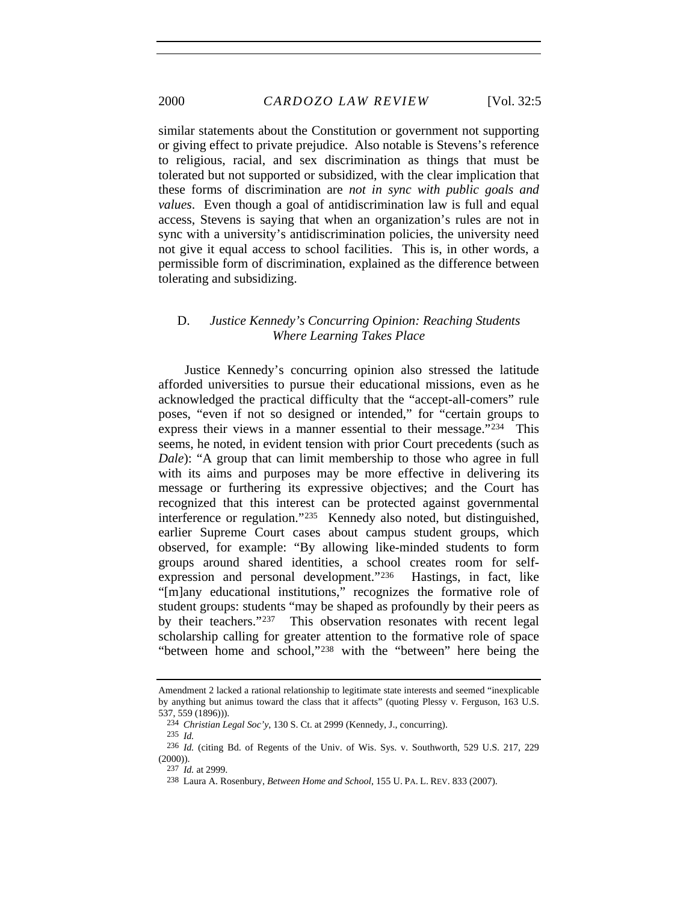similar statements about the Constitution or government not supporting or giving effect to private prejudice. Also notable is Stevens's reference to religious, racial, and sex discrimination as things that must be tolerated but not supported or subsidized, with the clear implication that these forms of discrimination are *not in sync with public goals and values*. Even though a goal of antidiscrimination law is full and equal access, Stevens is saying that when an organization's rules are not in sync with a university's antidiscrimination policies, the university need not give it equal access to school facilities. This is, in other words, a permissible form of discrimination, explained as the difference between tolerating and subsidizing.

#### D. *Justice Kennedy's Concurring Opinion: Reaching Students Where Learning Takes Place*

Justice Kennedy's concurring opinion also stressed the latitude afforded universities to pursue their educational missions, even as he acknowledged the practical difficulty that the "accept-all-comers" rule poses, "even if not so designed or intended," for "certain groups to express their views in a manner essential to their message."[234](#page-43-0) This seems, he noted, in evident tension with prior Court precedents (such as *Dale*): "A group that can limit membership to those who agree in full with its aims and purposes may be more effective in delivering its message or furthering its expressive objectives; and the Court has recognized that this interest can be protected against governmental interference or regulation."[235](#page-43-1) Kennedy also noted, but distinguished, earlier Supreme Court cases about campus student groups, which observed, for example: "By allowing like-minded students to form groups around shared identities, a school creates room for selfexpression and personal development."[236](#page-43-2) Hastings, in fact, like "[m]any educational institutions," recognizes the formative role of student groups: students "may be shaped as profoundly by their peers as by their teachers."[237](#page-43-3) This observation resonates with recent legal scholarship calling for greater attention to the formative role of space "between home and school,"[238](#page-43-4) with the "between" here being the

Amendment 2 lacked a rational relationship to legitimate state interests and seemed "inexplicable by anything but animus toward the class that it affects" (quoting Plessy v. Ferguson, 163 U.S. 537, 559 (1896))).

<sup>234</sup> *Christian Legal Soc'y*, 130 S. Ct. at 2999 (Kennedy, J., concurring).

<sup>235</sup> *Id.*

<span id="page-43-4"></span><span id="page-43-3"></span><span id="page-43-2"></span><span id="page-43-1"></span><span id="page-43-0"></span><sup>236</sup> *Id.* (citing Bd. of Regents of the Univ. of Wis. Sys. v. Southworth, 529 U.S. 217, 229  $(2000)$ ).

<sup>237</sup> *Id.* at 2999.

<sup>238</sup> Laura A. Rosenbury, *Between Home and School*, 155 U. PA. L. REV. 833 (2007).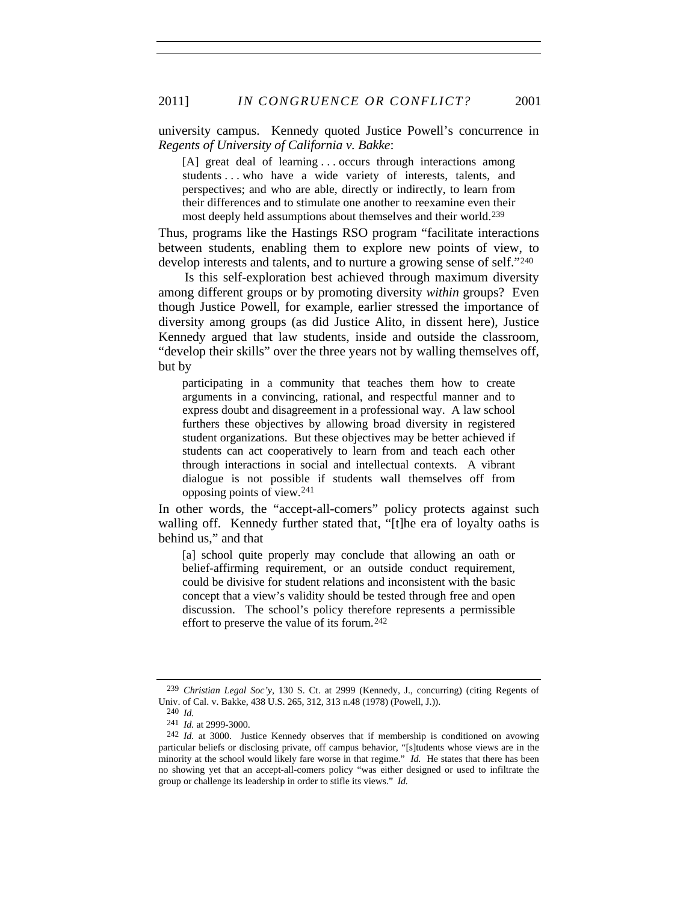university campus. Kennedy quoted Justice Powell's concurrence in *Regents of University of California v. Bakke*:

[A] great deal of learning . . . occurs through interactions among students . . . who have a wide variety of interests, talents, and perspectives; and who are able, directly or indirectly, to learn from their differences and to stimulate one another to reexamine even their most deeply held assumptions about themselves and their world.<sup>239</sup>

Thus, programs like the Hastings RSO program "facilitate interactions between students, enabling them to explore new points of view, to develop interests and talents, and to nurture a growing sense of self."[240](#page-44-1)

Is this self-exploration best achieved through maximum diversity among different groups or by promoting diversity *within* groups? Even though Justice Powell, for example, earlier stressed the importance of diversity among groups (as did Justice Alito, in dissent here), Justice Kennedy argued that law students, inside and outside the classroom, "develop their skills" over the three years not by walling themselves off, but by

participating in a community that teaches them how to create arguments in a convincing, rational, and respectful manner and to express doubt and disagreement in a professional way. A law school furthers these objectives by allowing broad diversity in registered student organizations. But these objectives may be better achieved if students can act cooperatively to learn from and teach each other through interactions in social and intellectual contexts. A vibrant dialogue is not possible if students wall themselves off from opposing points of view.[241](#page-44-2)

In other words, the "accept-all-comers" policy protects against such walling off. Kennedy further stated that, "[t]he era of loyalty oaths is behind us," and that

[a] school quite properly may conclude that allowing an oath or belief-affirming requirement, or an outside conduct requirement, could be divisive for student relations and inconsistent with the basic concept that a view's validity should be tested through free and open discussion. The school's policy therefore represents a permissible effort to preserve the value of its forum.[242](#page-44-3)

<span id="page-44-1"></span><span id="page-44-0"></span><sup>239</sup> *Christian Legal Soc'y*, 130 S. Ct. at 2999 (Kennedy, J., concurring) (citing Regents of Univ. of Cal. v. Bakke, 438 U.S. 265, 312, 313 n.48 (1978) (Powell, J.)).

<sup>240</sup> *Id.*

<sup>241</sup> *Id.* at 2999-3000.

<span id="page-44-3"></span><span id="page-44-2"></span><sup>242</sup> *Id.* at 3000. Justice Kennedy observes that if membership is conditioned on avowing particular beliefs or disclosing private, off campus behavior, "[s]tudents whose views are in the minority at the school would likely fare worse in that regime." *Id.* He states that there has been no showing yet that an accept-all-comers policy "was either designed or used to infiltrate the group or challenge its leadership in order to stifle its views." *Id.*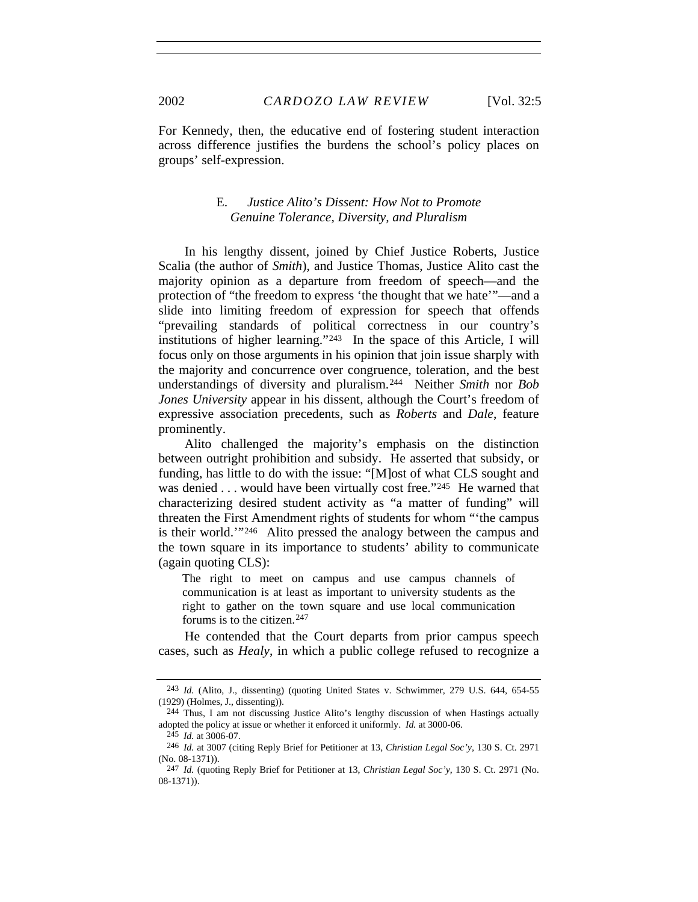For Kennedy, then, the educative end of fostering student interaction across difference justifies the burdens the school's policy places on groups' self-expression.

## E. *Justice Alito's Dissent: How Not to Promote Genuine Tolerance, Diversity, and Pluralism*

In his lengthy dissent, joined by Chief Justice Roberts, Justice Scalia (the author of *Smith*), and Justice Thomas, Justice Alito cast the majority opinion as a departure from freedom of speech—and the protection of "the freedom to express 'the thought that we hate'"—and a slide into limiting freedom of expression for speech that offends "prevailing standards of political correctness in our country's institutions of higher learning."[243](#page-45-0) In the space of this Article, I will focus only on those arguments in his opinion that join issue sharply with the majority and concurrence over congruence, toleration, and the best understandings of diversity and pluralism.[244](#page-45-1) Neither *Smith* nor *Bob Jones University* appear in his dissent, although the Court's freedom of expressive association precedents, such as *Roberts* and *Dale*, feature prominently.

Alito challenged the majority's emphasis on the distinction between outright prohibition and subsidy. He asserted that subsidy, or funding, has little to do with the issue: "[M]ost of what CLS sought and was denied . . . would have been virtually cost free."<sup>[245](#page-45-2)</sup> He warned that characterizing desired student activity as "a matter of funding" will threaten the First Amendment rights of students for whom "'the campus is their world.'["246](#page-45-3) Alito pressed the analogy between the campus and the town square in its importance to students' ability to communicate (again quoting CLS):

The right to meet on campus and use campus channels of communication is at least as important to university students as the right to gather on the town square and use local communication forums is to the citizen.[247](#page-45-4)

He contended that the Court departs from prior campus speech cases, such as *Healy*, in which a public college refused to recognize a

<span id="page-45-0"></span><sup>243</sup> *Id.* (Alito, J., dissenting) (quoting United States v. Schwimmer, 279 U.S. 644, 654-55 (1929) (Holmes, J., dissenting)).

<span id="page-45-1"></span><sup>244</sup> Thus, I am not discussing Justice Alito's lengthy discussion of when Hastings actually adopted the policy at issue or whether it enforced it uniformly. *Id.* at 3000-06. 245 *Id.* at 3006-07.

<sup>246</sup> *Id.* at 3007 (citing Reply Brief for Petitioner at 13, *Christian Legal Soc'y*, 130 S. Ct. 2971

<span id="page-45-3"></span><span id="page-45-2"></span><sup>(</sup>No. 08-1371)).

<span id="page-45-4"></span><sup>247</sup> *Id.* (quoting Reply Brief for Petitioner at 13, *Christian Legal Soc'y*, 130 S. Ct. 2971 (No. 08-1371)).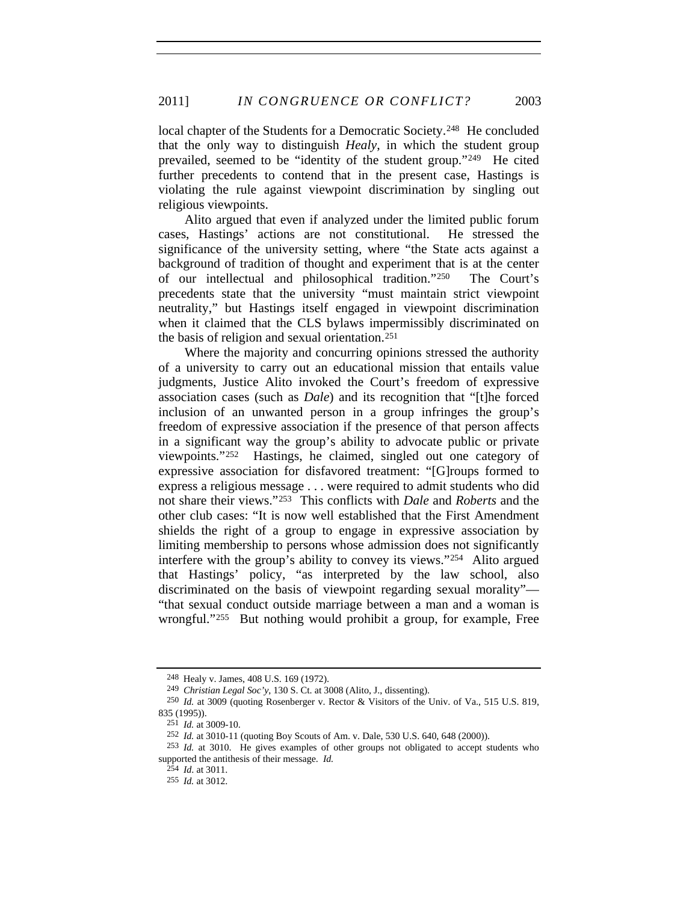local chapter of the Students for a Democratic Society.<sup>[248](#page-46-0)</sup> He concluded that the only way to distinguish *Healy*, in which the student group prevailed, seemed to be "identity of the student group."[249](#page-46-1) He cited further precedents to contend that in the present case, Hastings is violating the rule against viewpoint discrimination by singling out religious viewpoints.

Alito argued that even if analyzed under the limited public forum cases, Hastings' actions are not constitutional. He stressed the significance of the university setting, where "the State acts against a background of tradition of thought and experiment that is at the center of our intellectual and philosophical tradition."[250](#page-46-2) The Court's precedents state that the university "must maintain strict viewpoint neutrality," but Hastings itself engaged in viewpoint discrimination when it claimed that the CLS bylaws impermissibly discriminated on the basis of religion and sexual orientation.[251](#page-46-3)

Where the majority and concurring opinions stressed the authority of a university to carry out an educational mission that entails value judgments, Justice Alito invoked the Court's freedom of expressive association cases (such as *Dale*) and its recognition that "[t]he forced inclusion of an unwanted person in a group infringes the group's freedom of expressive association if the presence of that person affects in a significant way the group's ability to advocate public or private viewpoints."[252](#page-46-4) Hastings, he claimed, singled out one category of expressive association for disfavored treatment: "[G]roups formed to express a religious message . . . were required to admit students who did not share their views."[253](#page-46-5) This conflicts with *Dale* and *Roberts* and the other club cases: "It is now well established that the First Amendment shields the right of a group to engage in expressive association by limiting membership to persons whose admission does not significantly interfere with the group's ability to convey its views."[254](#page-46-6) Alito argued that Hastings' policy, "as interpreted by the law school, also discriminated on the basis of viewpoint regarding sexual morality"— "that sexual conduct outside marriage between a man and a woman is wrongful."[255](#page-46-7) But nothing would prohibit a group, for example, Free

<sup>248</sup> Healy v. James, 408 U.S. 169 (1972).

<sup>249</sup> *Christian Legal Soc'y*, 130 S. Ct. at 3008 (Alito, J., dissenting).

<span id="page-46-3"></span><span id="page-46-2"></span><span id="page-46-1"></span><span id="page-46-0"></span><sup>250</sup> *Id.* at 3009 (quoting Rosenberger v. Rector & Visitors of the Univ. of Va., 515 U.S. 819, 835 (1995)).

<sup>251</sup> *Id.* at 3009-10.

<sup>252</sup> *Id.* at 3010-11 (quoting Boy Scouts of Am. v. Dale, 530 U.S. 640, 648 (2000)).

<span id="page-46-7"></span><span id="page-46-6"></span><span id="page-46-5"></span><span id="page-46-4"></span><sup>253</sup> *Id.* at 3010. He gives examples of other groups not obligated to accept students who supported the antithesis of their message. *Id.*

<sup>254</sup> *Id*. at 3011.

<sup>255</sup> *Id.* at 3012.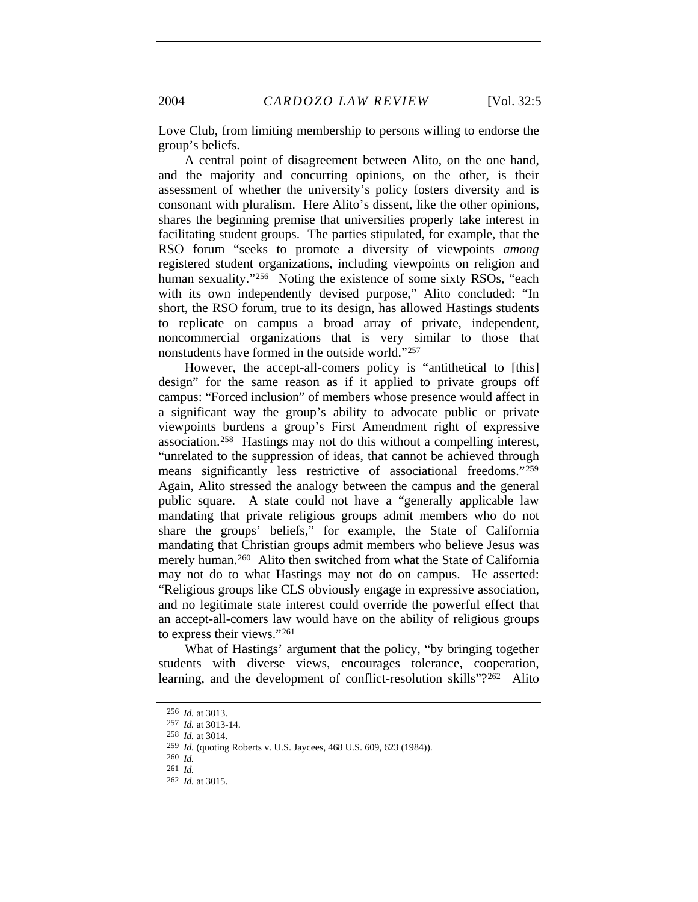Love Club, from limiting membership to persons willing to endorse the group's beliefs.

A central point of disagreement between Alito, on the one hand, and the majority and concurring opinions, on the other, is their assessment of whether the university's policy fosters diversity and is consonant with pluralism. Here Alito's dissent, like the other opinions, shares the beginning premise that universities properly take interest in facilitating student groups. The parties stipulated, for example, that the RSO forum "seeks to promote a diversity of viewpoints *among* registered student organizations, including viewpoints on religion and human sexuality."<sup>[256](#page-47-0)</sup> Noting the existence of some sixty RSOs, "each with its own independently devised purpose," Alito concluded: "In short, the RSO forum, true to its design, has allowed Hastings students to replicate on campus a broad array of private, independent, noncommercial organizations that is very similar to those that nonstudents have formed in the outside world."[257](#page-47-1)

However, the accept-all-comers policy is "antithetical to [this] design" for the same reason as if it applied to private groups off campus: "Forced inclusion" of members whose presence would affect in a significant way the group's ability to advocate public or private viewpoints burdens a group's First Amendment right of expressive association.[258](#page-47-2) Hastings may not do this without a compelling interest, "unrelated to the suppression of ideas, that cannot be achieved through means significantly less restrictive of associational freedoms."[259](#page-47-3) Again, Alito stressed the analogy between the campus and the general public square. A state could not have a "generally applicable law mandating that private religious groups admit members who do not share the groups' beliefs," for example, the State of California mandating that Christian groups admit members who believe Jesus was merely human.<sup>[260](#page-47-4)</sup> Alito then switched from what the State of California may not do to what Hastings may not do on campus. He asserted: "Religious groups like CLS obviously engage in expressive association, and no legitimate state interest could override the powerful effect that an accept-all-comers law would have on the ability of religious groups to express their views."[261](#page-47-5)

What of Hastings' argument that the policy, "by bringing together students with diverse views, encourages tolerance, cooperation, learning, and the development of conflict-resolution skills"?<sup>[262](#page-47-6)</sup> Alito

<sup>256</sup> *Id.* at 3013.

<span id="page-47-1"></span><span id="page-47-0"></span><sup>257</sup> *Id.* at 3013-14.

<sup>258</sup> *Id.* at 3014.

<span id="page-47-5"></span><span id="page-47-4"></span><span id="page-47-3"></span><span id="page-47-2"></span><sup>259</sup> *Id.* (quoting Roberts v. U.S. Jaycees, 468 U.S. 609, 623 (1984)).

<sup>260</sup> *Id.*

<sup>261</sup> *Id.*

<span id="page-47-6"></span><sup>262</sup> *Id.* at 3015.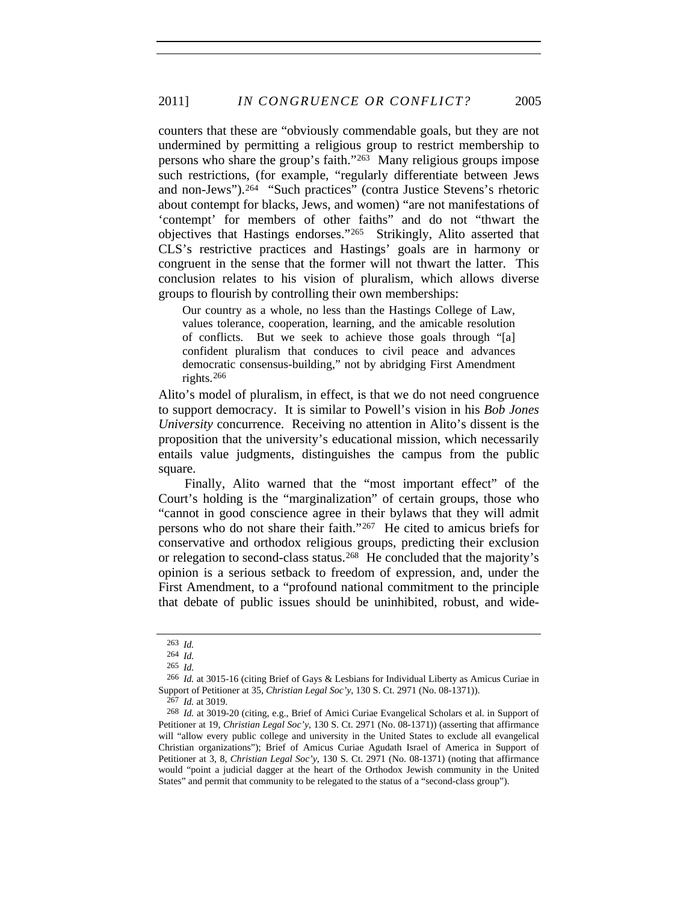counters that these are "obviously commendable goals, but they are not undermined by permitting a religious group to restrict membership to persons who share the group's faith."[263](#page-48-0) Many religious groups impose such restrictions, (for example, "regularly differentiate between Jews and non-Jews").[264](#page-48-1) "Such practices" (contra Justice Stevens's rhetoric about contempt for blacks, Jews, and women) "are not manifestations of 'contempt' for members of other faiths" and do not "thwart the objectives that Hastings endorses."[265](#page-48-2) Strikingly, Alito asserted that CLS's restrictive practices and Hastings' goals are in harmony or congruent in the sense that the former will not thwart the latter. This conclusion relates to his vision of pluralism, which allows diverse groups to flourish by controlling their own memberships:

Our country as a whole, no less than the Hastings College of Law, values tolerance, cooperation, learning, and the amicable resolution of conflicts. But we seek to achieve those goals through "[a] confident pluralism that conduces to civil peace and advances democratic consensus-building," not by abridging First Amendment rights.[266](#page-48-3)

Alito's model of pluralism, in effect, is that we do not need congruence to support democracy. It is similar to Powell's vision in his *Bob Jones University* concurrence. Receiving no attention in Alito's dissent is the proposition that the university's educational mission, which necessarily entails value judgments, distinguishes the campus from the public square.

Finally, Alito warned that the "most important effect" of the Court's holding is the "marginalization" of certain groups, those who "cannot in good conscience agree in their bylaws that they will admit persons who do not share their faith."[267](#page-48-4) He cited to amicus briefs for conservative and orthodox religious groups, predicting their exclusion or relegation to second-class status.[268](#page-48-5) He concluded that the majority's opinion is a serious setback to freedom of expression, and, under the First Amendment, to a "profound national commitment to the principle that debate of public issues should be uninhibited, robust, and wide-

<sup>263</sup> *Id.*

<sup>264</sup> *Id.*

<sup>265</sup> *Id.*

<span id="page-48-3"></span><span id="page-48-2"></span><span id="page-48-1"></span><span id="page-48-0"></span><sup>266</sup> *Id.* at 3015-16 (citing Brief of Gays & Lesbians for Individual Liberty as Amicus Curiae in Support of Petitioner at 35, *Christian Legal Soc'y*, 130 S. Ct. 2971 (No. 08-1371)).

<sup>267</sup> *Id.* at 3019.

<span id="page-48-5"></span><span id="page-48-4"></span><sup>268</sup> *Id.* at 3019-20 (citing, e.g., Brief of Amici Curiae Evangelical Scholars et al. in Support of Petitioner at 19, *Christian Legal Soc'y*, 130 S. Ct. 2971 (No. 08-1371)) (asserting that affirmance will "allow every public college and university in the United States to exclude all evangelical Christian organizations"); Brief of Amicus Curiae Agudath Israel of America in Support of Petitioner at 3, 8, *Christian Legal Soc'y*, 130 S. Ct. 2971 (No. 08-1371) (noting that affirmance would "point a judicial dagger at the heart of the Orthodox Jewish community in the United States" and permit that community to be relegated to the status of a "second-class group").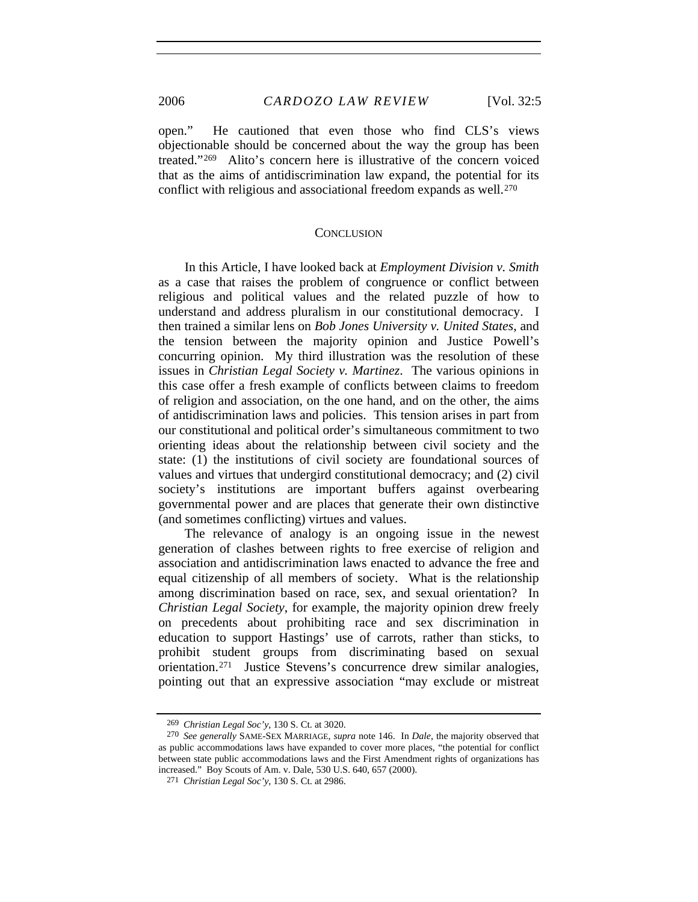open." He cautioned that even those who find CLS's views objectionable should be concerned about the way the group has been treated."[269](#page-49-0) Alito's concern here is illustrative of the concern voiced that as the aims of antidiscrimination law expand, the potential for its conflict with religious and associational freedom expands as well.[270](#page-49-1)

#### **CONCLUSION**

In this Article, I have looked back at *Employment Division v. Smith* as a case that raises the problem of congruence or conflict between religious and political values and the related puzzle of how to understand and address pluralism in our constitutional democracy. I then trained a similar lens on *Bob Jones University v. United States*, and the tension between the majority opinion and Justice Powell's concurring opinion. My third illustration was the resolution of these issues in *Christian Legal Society v. Martinez*. The various opinions in this case offer a fresh example of conflicts between claims to freedom of religion and association, on the one hand, and on the other, the aims of antidiscrimination laws and policies. This tension arises in part from our constitutional and political order's simultaneous commitment to two orienting ideas about the relationship between civil society and the state: (1) the institutions of civil society are foundational sources of values and virtues that undergird constitutional democracy; and (2) civil society's institutions are important buffers against overbearing governmental power and are places that generate their own distinctive (and sometimes conflicting) virtues and values.

The relevance of analogy is an ongoing issue in the newest generation of clashes between rights to free exercise of religion and association and antidiscrimination laws enacted to advance the free and equal citizenship of all members of society. What is the relationship among discrimination based on race, sex, and sexual orientation? In *Christian Legal Society*, for example, the majority opinion drew freely on precedents about prohibiting race and sex discrimination in education to support Hastings' use of carrots, rather than sticks, to prohibit student groups from discriminating based on sexual orientation.[271](#page-49-2) Justice Stevens's concurrence drew similar analogies, pointing out that an expressive association "may exclude or mistreat

<sup>269</sup> *Christian Legal Soc'y*, 130 S. Ct. at 3020.

<span id="page-49-2"></span><span id="page-49-1"></span><span id="page-49-0"></span><sup>270</sup> *See generally* SAME-SEX MARRIAGE, *supra* note 146. In *Dale*, the majority observed that as public accommodations laws have expanded to cover more places, "the potential for conflict between state public accommodations laws and the First Amendment rights of organizations has increased." Boy Scouts of Am. v. Dale, 530 U.S. 640, 657 (2000).

<sup>271</sup> *Christian Legal Soc'y*, 130 S. Ct. at 2986.